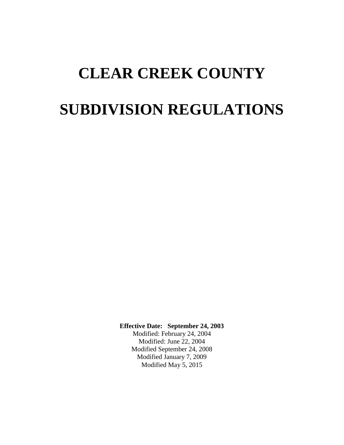# **CLEAR CREEK COUNTY SUBDIVISION REGULATIONS**

**Effective Date: September 24, 2003**

Modified: February 24, 2004 Modified: June 22, 2004 Modified September 24, 2008 Modified January 7, 2009 Modified May 5, 2015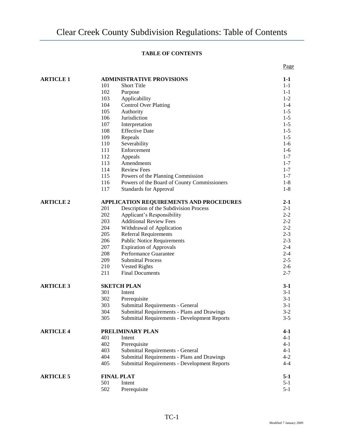# **TABLE OF CONTENTS**

| <b>ARTICLE 1</b> | <b>ADMINISTRATIVE PROVISIONS</b>        |                                                     |                    |
|------------------|-----------------------------------------|-----------------------------------------------------|--------------------|
|                  | 101                                     | <b>Short Title</b>                                  | $1-1$<br>$1 - 1$   |
|                  | 102                                     | Purpose                                             | $1 - 1$            |
|                  | 103                                     | Applicability                                       | $1 - 2$            |
|                  | 104                                     | <b>Control Over Platting</b>                        | $1-4$              |
|                  | 105                                     | Authority                                           | $1 - 5$            |
|                  | 106                                     | Jurisdiction                                        | $1 - 5$            |
|                  | 107                                     | Interpretation                                      | $1 - 5$            |
|                  | 108                                     | <b>Effective Date</b>                               | $1 - 5$            |
|                  | 109                                     | Repeals                                             | $1 - 5$            |
|                  | 110                                     | Severability                                        | $1-6$              |
|                  | 111                                     | Enforcement                                         | $1-6$              |
|                  | 112                                     | Appeals                                             | $1 - 7$            |
|                  | 113                                     | Amendments                                          | $1 - 7$            |
|                  | 114                                     | <b>Review Fees</b>                                  | $1 - 7$            |
|                  | 115                                     | Powers of the Planning Commission                   | $1 - 7$            |
|                  | 116                                     | Powers of the Board of County Commissioners         | $1-8$              |
|                  | 117                                     | <b>Standards for Approval</b>                       | $1-8$              |
| <b>ARTICLE 2</b> | APPLICATION REQUIREMENTS AND PROCEDURES |                                                     |                    |
|                  | 201                                     | Description of the Subdivision Process              | $2 - 1$<br>$2 - 1$ |
|                  | 202                                     | Applicant's Responsibility                          | $2 - 2$            |
|                  | 203                                     | <b>Additional Review Fees</b>                       | $2 - 2$            |
|                  | 204                                     | Withdrawal of Application                           | $2 - 2$            |
|                  | 205                                     | Referral Requirements                               | $2 - 3$            |
|                  | 206                                     | <b>Public Notice Requirements</b>                   | $2 - 3$            |
|                  | 207                                     | <b>Expiration of Approvals</b>                      | $2 - 4$            |
|                  | 208                                     | Performance Guarantee                               | $2 - 4$            |
|                  | 209                                     | <b>Submittal Process</b>                            | $2 - 5$            |
|                  | 210                                     | <b>Vested Rights</b>                                | $2 - 6$            |
|                  | 211                                     | <b>Final Documents</b>                              | $2 - 7$            |
| <b>ARTICLE 3</b> |                                         | <b>SKETCH PLAN</b>                                  | $3-1$              |
|                  | 301                                     | Intent                                              | $3-1$              |
|                  | 302                                     | Prerequisite                                        | $3-1$              |
|                  | 303                                     | Submittal Requirements - General                    | $3-1$              |
|                  | 304                                     | Submittal Requirements - Plans and Drawings         | $3-2$              |
|                  | 305                                     | Submittal Requirements - Development Reports        | $3 - 5$            |
| <b>ARTICLE 4</b> | PRELIMINARY PLAN                        |                                                     |                    |
|                  | 401                                     | Intent                                              | $4 - 1$<br>$4 - 1$ |
|                  | 402                                     | Prerequisite                                        | $4-1$              |
|                  | 403                                     | Submittal Requirements - General                    | $4 - 1$            |
|                  | 404                                     | Submittal Requirements - Plans and Drawings         | $4 - 2$            |
|                  | 405                                     | <b>Submittal Requirements - Development Reports</b> | $4 - 4$            |
| <b>ARTICLE 5</b> | <b>FINAL PLAT</b>                       |                                                     | $5-1$              |
|                  | 501                                     | Intent                                              | $5 - 1$            |
|                  | 502                                     | Prerequisite                                        | $5 - 1$            |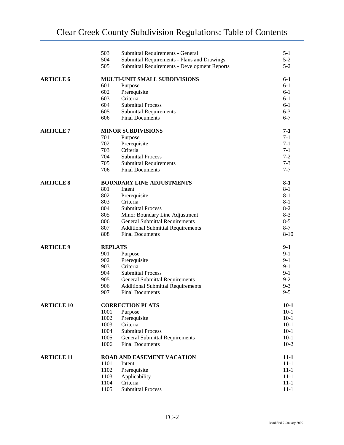|                   | 503                              | Submittal Requirements - General             | $5-1$    |
|-------------------|----------------------------------|----------------------------------------------|----------|
|                   | 504                              | Submittal Requirements - Plans and Drawings  | $5 - 2$  |
|                   | 505                              | Submittal Requirements - Development Reports | $5 - 2$  |
| <b>ARTICLE 6</b>  | MULTI-UNIT SMALL SUBDIVISIONS    | 6-1                                          |          |
|                   | 601                              | Purpose                                      | $6-1$    |
|                   | 602                              | Prerequisite                                 | $6-1$    |
|                   | 603                              | Criteria                                     | $6-1$    |
|                   | 604                              | <b>Submittal Process</b>                     | $6-1$    |
|                   | 605                              | <b>Submittal Requirements</b>                | $6 - 3$  |
|                   | 606                              | <b>Final Documents</b>                       | $6 - 7$  |
| <b>ARTICLE 7</b>  | <b>MINOR SUBDIVISIONS</b>        |                                              | $7-1$    |
|                   | 701                              | Purpose                                      | $7 - 1$  |
|                   | 702                              | Prerequisite                                 | $7-1$    |
|                   | 703                              | Criteria                                     | $7-1$    |
|                   | 704                              | <b>Submittal Process</b>                     | $7-2$    |
|                   | 705                              | <b>Submittal Requirements</b>                | $7 - 3$  |
|                   | 706                              | <b>Final Documents</b>                       | $7 - 7$  |
| <b>ARTICLE 8</b>  | <b>BOUNDARY LINE ADJUSTMENTS</b> |                                              | $8-1$    |
|                   | 801                              | Intent                                       | $8-1$    |
|                   | 802                              | Prerequisite                                 | $8-1$    |
|                   | 803                              | Criteria                                     | $8 - 1$  |
|                   | 804                              | <b>Submittal Process</b>                     | $8 - 2$  |
|                   | 805                              | Minor Boundary Line Adjustment               | $8-3$    |
|                   | 806                              | <b>General Submittal Requirements</b>        | $8 - 5$  |
|                   | 807                              | <b>Additional Submittal Requirements</b>     | $8 - 7$  |
|                   | 808                              | <b>Final Documents</b>                       | $8 - 10$ |
| <b>ARTICLE 9</b>  | <b>REPLATS</b>                   |                                              | $9-1$    |
|                   | 901                              | Purpose                                      | $9-1$    |
|                   | 902                              | Prerequisite                                 | $9-1$    |
|                   | 903                              | Criteria                                     | $9-1$    |
|                   | 904                              | <b>Submittal Process</b>                     | $9-1$    |
|                   | 905                              | <b>General Submittal Requirements</b>        | $9 - 2$  |
|                   | 906                              | <b>Additional Submittal Requirements</b>     | $9 - 3$  |
|                   | 907                              | <b>Final Documents</b>                       | $9 - 5$  |
| <b>ARTICLE 10</b> | <b>CORRECTION PLATS</b>          | $10-1$                                       |          |
|                   | 1001                             | Purpose                                      | $10-1$   |
|                   | 1002                             | Prerequisite                                 | $10-1$   |
|                   | 1003                             | Criteria                                     | $10-1$   |
|                   | 1004                             | <b>Submittal Process</b>                     | $10-1$   |
|                   | 1005                             | <b>General Submittal Requirements</b>        | $10-1$   |
|                   | 1006                             | <b>Final Documents</b>                       | $10 - 2$ |
| <b>ARTICLE 11</b> | ROAD AND EASEMENT VACATION       |                                              | $11-1$   |
|                   | 1101                             | Intent                                       | $11-1$   |
|                   | 1102                             | Prerequisite                                 | $11 - 1$ |
|                   | 1103                             | Applicability                                | $11 - 1$ |
|                   | 1104                             | Criteria                                     | $11 - 1$ |
|                   | 1105                             | <b>Submittal Process</b>                     | $11 - 1$ |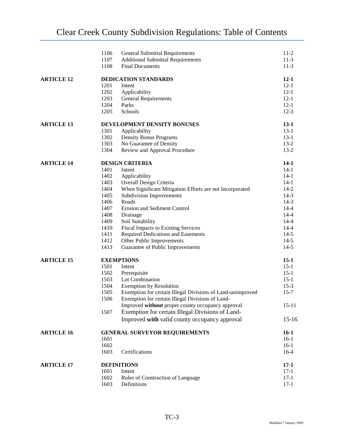|                   | 1106                                 | <b>General Submittal Requirements</b>                      | $11-2$           |  |
|-------------------|--------------------------------------|------------------------------------------------------------|------------------|--|
|                   | 1107                                 | <b>Additional Submittal Requirements</b>                   | $11-3$           |  |
|                   | 1108                                 | <b>Final Documents</b>                                     | $11-3$           |  |
| <b>ARTICLE 12</b> |                                      | <b>DEDICATION STANDARDS</b>                                |                  |  |
|                   | 1201                                 | Intent                                                     | $12-1$           |  |
|                   | 1202                                 | Applicability                                              | $12 - 1$         |  |
|                   | 1203                                 | <b>General Requirements</b>                                | $12 - 1$         |  |
|                   | 1204                                 | Parks                                                      | $12 - 1$         |  |
|                   | 1205                                 | Schools                                                    | $12-3$           |  |
| <b>ARTICLE 13</b> | DEVELOPMENT DENSITY BONUSES          |                                                            |                  |  |
|                   | 1301                                 | Applicability                                              | $13-1$           |  |
|                   | 1302                                 | <b>Density Bonus Programs</b>                              | $13-1$           |  |
|                   | 1303                                 | No Guarantee of Density                                    | $13-2$           |  |
|                   | 1304                                 | Review and Approval Procedure                              | $13-2$           |  |
| <b>ARTICLE 14</b> | <b>DESIGN CRITERIA</b>               |                                                            |                  |  |
|                   | 1401                                 | Intent                                                     | $14-1$           |  |
|                   | 1402                                 | Applicability                                              | $14-1$           |  |
|                   | 1403                                 | Overall Design Criteria                                    | $14-1$           |  |
|                   | 1404                                 | When Significant Mitigation Efforts are not Incorporated   | $14 - 2$         |  |
|                   | 1405                                 | <b>Subdivision Improvements</b>                            | $14-3$           |  |
|                   | 1406                                 | Roads                                                      | $14-3$           |  |
|                   | 1407                                 | Erosion and Sediment Control                               | $14 - 4$         |  |
|                   | 1408                                 | Drainage                                                   | $14 - 4$         |  |
|                   | 1409                                 | Soil Suitability                                           | $14 - 4$         |  |
|                   | 1410                                 | <b>Fiscal Impacts to Existing Services</b>                 | $14 - 4$         |  |
|                   | 1411                                 | Required Dedications and Easements                         | $14-5$           |  |
|                   | 1412                                 | Other Public Improvements                                  | $14-5$           |  |
|                   | 1413                                 | Guarantee of Public Improvements                           | $14-5$           |  |
| <b>ARTICLE 15</b> | <b>EXEMPTIONS</b>                    |                                                            |                  |  |
|                   | 1501                                 | Intent                                                     | $15-1$           |  |
|                   | 1502                                 | Prerequisite                                               | $15-1$           |  |
|                   | 1503                                 | Lot Combination                                            | $15-1$           |  |
|                   | 1504                                 | <b>Exemption by Resolution</b>                             | $15-3$           |  |
|                   | 1505                                 | Exemption for certain Illegal Divisions of Land-unimproved | $15 - 7$         |  |
|                   | 1506                                 | Exemption for certain Illegal Divisions of Land-           |                  |  |
|                   |                                      | Improved without proper county occupancy approval          | $15 - 11$        |  |
|                   | 1507                                 | Exemption for certain Illegal Divisions of Land-           |                  |  |
|                   |                                      | Improved with valid county occupancy approval              | $15 - 16$        |  |
| <b>ARTICLE 16</b> | <b>GENERAL SURVEYOR REQUIREMENTS</b> |                                                            |                  |  |
|                   | 1601                                 |                                                            | $16-1$<br>$16-1$ |  |
|                   | 1602                                 |                                                            | $16-1$           |  |
|                   | 1603                                 | Certifications                                             | $16-4$           |  |
| <b>ARTICLE 17</b> | <b>DEFINITIONS</b>                   |                                                            | $17-1$           |  |
|                   | 1601                                 | Intent                                                     | $17-1$           |  |
|                   | 1602                                 | Rules of Construction of Language                          | $17-1$           |  |
|                   | 1603                                 | Definitions                                                | $17-1$           |  |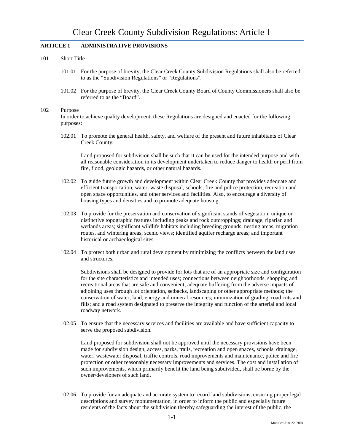# **ARTICLE 1 ADMINISTRATIVE PROVISIONS**

### 101 Short Title

- 101.01 For the purpose of brevity, the Clear Creek County Subdivision Regulations shall also be referred to as the "Subdivision Regulations" or "Regulations".
- 101.02 For the purpose of brevity, the Clear Creek County Board of County Commissioners shall also be referred to as the "Board".

### 102 Purpose

In order to achieve quality development, these Regulations are designed and enacted for the following purposes:

102.01 To promote the general health, safety, and welfare of the present and future inhabitants of Clear Creek County.

Land proposed for subdivision shall be such that it can be used for the intended purpose and with all reasonable consideration in its development undertaken to reduce danger to health or peril from fire, flood, geologic hazards, or other natural hazards.

- 102.02 To guide future growth and development within Clear Creek County that provides adequate and efficient transportation, water, waste disposal, schools, fire and police protection, recreation and open space opportunities, and other services and facilities. Also, to encourage a diversity of housing types and densities and to promote adequate housing.
- 102.03 To provide for the preservation and conservation of significant stands of vegetation; unique or distinctive topographic features including peaks and rock outcroppings; drainage, riparian and wetlands areas; significant wildlife habitats including breeding grounds, nesting areas, migration routes, and wintering areas; scenic views; identified aquifer recharge areas; and important historical or archaeological sites.
- 102.04 To protect both urban and rural development by minimizing the conflicts between the land uses and structures.

Subdivisions shall be designed to provide for lots that are of an appropriate size and configuration for the site characteristics and intended uses; connections between neighborhoods, shopping and recreational areas that are safe and convenient; adequate buffering from the adverse impacts of adjoining uses through lot orientation, setbacks, landscaping or other appropriate methods; the conservation of water, land, energy and mineral resources; minimization of grading, road cuts and fills; and a road system designated to preserve the integrity and function of the arterial and local roadway network.

102.05 To ensure that the necessary services and facilities are available and have sufficient capacity to serve the proposed subdivision.

Land proposed for subdivision shall not be approved until the necessary provisions have been made for subdivision design; access, parks, trails, recreation and open spaces, schools, drainage, water, wastewater disposal, traffic controls, road improvements and maintenance, police and fire protection or other reasonably necessary improvements and services. The cost and installation of such improvements, which primarily benefit the land being subdivided, shall be borne by the owner/developers of such land.

102.06 To provide for an adequate and accurate system to record land subdivisions, ensuring proper legal descriptions and survey monumentation, in order to inform the public and especially future residents of the facts about the subdivision thereby safeguarding the interest of the public, the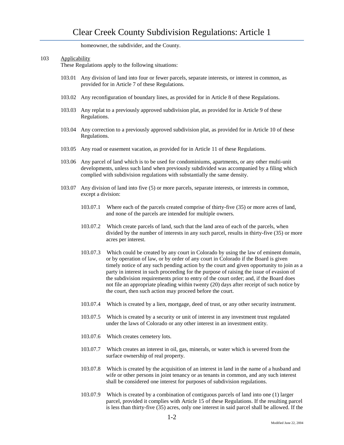homeowner, the subdivider, and the County.

# 103 Applicability

These Regulations apply to the following situations:

- 103.01 Any division of land into four or fewer parcels, separate interests, or interest in common, as provided for in Article 7 of these Regulations.
- 103.02 Any reconfiguration of boundary lines, as provided for in Article 8 of these Regulations.
- 103.03 Any replat to a previously approved subdivision plat, as provided for in Article 9 of these Regulations.
- 103.04 Any correction to a previously approved subdivision plat, as provided for in Article 10 of these Regulations.
- 103.05 Any road or easement vacation, as provided for in Article 11 of these Regulations.
- 103.06 Any parcel of land which is to be used for condominiums, apartments, or any other multi-unit developments, unless such land when previously subdivided was accompanied by a filing which complied with subdivision regulations with substantially the same density.
- 103.07 Any division of land into five (5) or more parcels, separate interests, or interests in common, except a division:
	- 103.07.1 Where each of the parcels created comprise of thirty-five (35) or more acres of land, and none of the parcels are intended for multiple owners.
	- 103.07.2 Which create parcels of land, such that the land area of each of the parcels, when divided by the number of interests in any such parcel, results in thirty-five (35) or more acres per interest.
	- 103.07.3 Which could be created by any court in Colorado by using the law of eminent domain, or by operation of law, or by order of any court in Colorado if the Board is given timely notice of any such pending action by the court and given opportunity to join as a party in interest in such proceeding for the purpose of raising the issue of evasion of the subdivision requirements prior to entry of the court order; and, if the Board does not file an appropriate pleading within twenty (20) days after receipt of such notice by the court, then such action may proceed before the court.
	- 103.07.4 Which is created by a lien, mortgage, deed of trust, or any other security instrument.
	- 103.07.5 Which is created by a security or unit of interest in any investment trust regulated under the laws of Colorado or any other interest in an investment entity.
	- 103.07.6 Which creates cemetery lots.
	- 103.07.7 Which creates an interest in oil, gas, minerals, or water which is severed from the surface ownership of real property.
	- 103.07.8 Which is created by the acquisition of an interest in land in the name of a husband and wife or other persons in joint tenancy or as tenants in common, and any such interest shall be considered one interest for purposes of subdivision regulations.
	- 103.07.9 Which is created by a combination of contiguous parcels of land into one (1) larger parcel, provided it complies with Article 15 of these Regulations. If the resulting parcel is less than thirty-five (35) acres, only one interest in said parcel shall be allowed. If the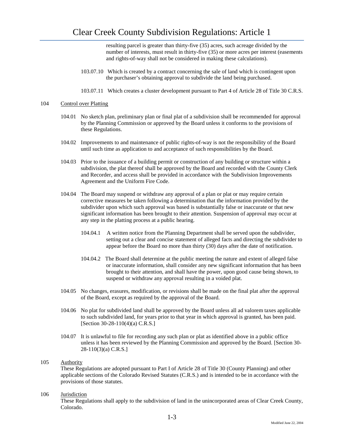resulting parcel is greater than thirty-five (35) acres, such acreage divided by the number of interests, must result in thirty-five (35) or more acres per interest (easements and rights-of-way shall not be considered in making these calculations).

- 103.07.10 Which is created by a contract concerning the sale of land which is contingent upon the purchaser's obtaining approval to subdivide the land being purchased.
- 103.07.11 Which creates a cluster development pursuant to Part 4 of Article 28 of Title 30 C.R.S.

### 104 Control over Platting

- 104.01 No sketch plan, preliminary plan or final plat of a subdivision shall be recommended for approval by the Planning Commission or approved by the Board unless it conforms to the provisions of these Regulations.
- 104.02 Improvements to and maintenance of public rights-of-way is not the responsibility of the Board until such time as application to and acceptance of such responsibilities by the Board.
- 104.03 Prior to the issuance of a building permit or construction of any building or structure within a subdivision, the plat thereof shall be approved by the Board and recorded with the County Clerk and Recorder, and access shall be provided in accordance with the Subdivision Improvements Agreement and the Uniform Fire Code.
- 104.04 The Board may suspend or withdraw any approval of a plan or plat or may require certain corrective measures be taken following a determination that the information provided by the subdivider upon which such approval was based is substantially false or inaccurate or that new significant information has been brought to their attention. Suspension of approval may occur at any step in the platting process at a public hearing.
	- 104.04.1 A written notice from the Planning Department shall be served upon the subdivider, setting out a clear and concise statement of alleged facts and directing the subdivider to appear before the Board no more than thirty (30) days after the date of notification.
	- 104.04.2 The Board shall determine at the public meeting the nature and extent of alleged false or inaccurate information, shall consider any new significant information that has been brought to their attention, and shall have the power, upon good cause being shown, to suspend or withdraw any approval resulting in a voided plat.
- 104.05 No changes, erasures, modification, or revisions shall be made on the final plat after the approval of the Board, except as required by the approval of the Board.
- 104.06 No plat for subdivided land shall be approved by the Board unless all ad valorem taxes applicable to such subdivided land, for years prior to that year in which approval is granted, has been paid. [Section 30-28-110(4)(a) C.R.S.]
- 104.07 It is unlawful to file for recording any such plan or plat as identified above in a public office unless it has been reviewed by the Planning Commission and approved by the Board. [Section 30- 28-110(3)(a) C.R.S.]

# 105 Authority

These Regulations are adopted pursuant to Part I of Article 28 of Title 30 (County Planning) and other applicable sections of the Colorado Revised Statutes (C.R.S.) and is intended to be in accordance with the provisions of those statutes.

### 106 Jurisdiction

These Regulations shall apply to the subdivision of land in the unincorporated areas of Clear Creek County, Colorado.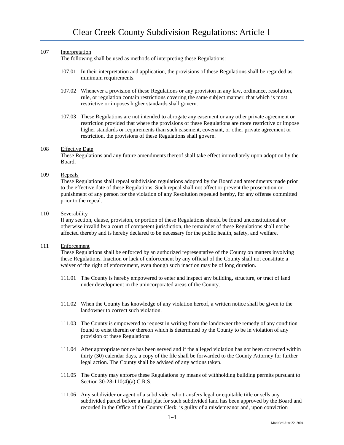# 107 Interpretation

The following shall be used as methods of interpreting these Regulations:

- 107.01 In their interpretation and application, the provisions of these Regulations shall be regarded as minimum requirements.
- 107.02 Whenever a provision of these Regulations or any provision in any law, ordinance, resolution, rule, or regulation contain restrictions covering the same subject manner, that which is most restrictive or imposes higher standards shall govern.
- 107.03 These Regulations are not intended to abrogate any easement or any other private agreement or restriction provided that where the provisions of these Regulations are more restrictive or impose higher standards or requirements than such easement, covenant, or other private agreement or restriction, the provisions of these Regulations shall govern.

### 108 Effective Date

These Regulations and any future amendments thereof shall take effect immediately upon adoption by the Board.

# 109 Repeals

These Regulations shall repeal subdivision regulations adopted by the Board and amendments made prior to the effective date of these Regulations. Such repeal shall not affect or prevent the prosecution or punishment of any person for the violation of any Resolution repealed hereby, for any offense committed prior to the repeal.

# 110 Severability

If any section, clause, provision, or portion of these Regulations should be found unconstitutional or otherwise invalid by a court of competent jurisdiction, the remainder of these Regulations shall not be affected thereby and is hereby declared to be necessary for the public health, safety, and welfare.

### 111 Enforcement

These Regulations shall be enforced by an authorized representative of the County on matters involving these Regulations. Inaction or lack of enforcement by any official of the County shall not constitute a waiver of the right of enforcement, even though such inaction may be of long duration.

- 111.01 The County is hereby empowered to enter and inspect any building, structure, or tract of land under development in the unincorporated areas of the County.
- 111.02 When the County has knowledge of any violation hereof, a written notice shall be given to the landowner to correct such violation.
- 111.03 The County is empowered to request in writing from the landowner the remedy of any condition found to exist therein or thereon which is determined by the County to be in violation of any provision of these Regulations.
- 111.04 After appropriate notice has been served and if the alleged violation has not been corrected within thirty (30) calendar days, a copy of the file shall be forwarded to the County Attorney for further legal action. The County shall be advised of any actions taken.
- 111.05 The County may enforce these Regulations by means of withholding building permits pursuant to Section 30-28-110(4)(a) C.R.S.
- 111.06 Any subdivider or agent of a subdivider who transfers legal or equitable title or sells any subdivided parcel before a final plat for such subdivided land has been approved by the Board and recorded in the Office of the County Clerk, is guilty of a misdemeanor and, upon conviction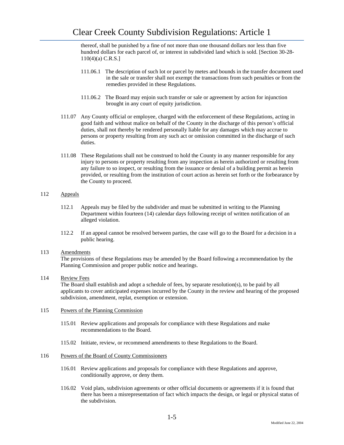thereof, shall be punished by a fine of not more than one thousand dollars nor less than five hundred dollars for each parcel of, or interest in subdivided land which is sold. [Section 30-28- 110(4)(a) C.R.S.]

- 111.06.1 The description of such lot or parcel by metes and bounds in the transfer document used in the sale or transfer shall not exempt the transactions from such penalties or from the remedies provided in these Regulations.
- 111.06.2 The Board may enjoin such transfer or sale or agreement by action for injunction brought in any court of equity jurisdiction.
- 111.07 Any County official or employee, charged with the enforcement of these Regulations, acting in good faith and without malice on behalf of the County in the discharge of this person's official duties, shall not thereby be rendered personally liable for any damages which may accrue to persons or property resulting from any such act or omission committed in the discharge of such duties.
- 111.08 These Regulations shall not be construed to hold the County in any manner responsible for any injury to persons or property resulting from any inspection as herein authorized or resulting from any failure to so inspect, or resulting from the issuance or denial of a building permit as herein provided, or resulting from the institution of court action as herein set forth or the forbearance by the County to proceed.

# 112 Appeals

- 112.1 Appeals may be filed by the subdivider and must be submitted in writing to the Planning Department within fourteen (14) calendar days following receipt of written notification of an alleged violation.
- 112.2 If an appeal cannot be resolved between parties, the case will go to the Board for a decision in a public hearing.

# 113 Amendments

The provisions of these Regulations may be amended by the Board following a recommendation by the Planning Commission and proper public notice and hearings.

# 114 Review Fees

The Board shall establish and adopt a schedule of fees, by separate resolution(s), to be paid by all applicants to cover anticipated expenses incurred by the County in the review and hearing of the proposed subdivision, amendment, replat, exemption or extension.

# 115 Powers of the Planning Commission

- 115.01 Review applications and proposals for compliance with these Regulations and make recommendations to the Board.
- 115.02 Initiate, review, or recommend amendments to these Regulations to the Board.

# 116 Powers of the Board of County Commissioners

- 116.01 Review applications and proposals for compliance with these Regulations and approve, conditionally approve, or deny them.
- 116.02 Void plats, subdivision agreements or other official documents or agreements if it is found that there has been a misrepresentation of fact which impacts the design, or legal or physical status of the subdivision.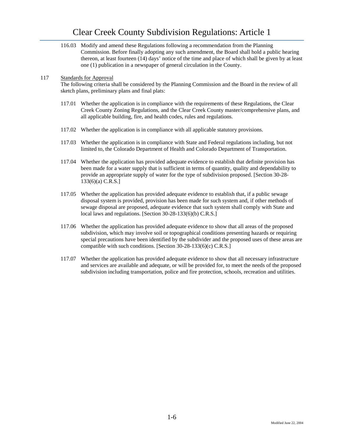# Clear Creek County Subdivision Regulations: Article 1

116.03 Modify and amend these Regulations following a recommendation from the Planning Commission. Before finally adopting any such amendment, the Board shall hold a public hearing thereon, at least fourteen (14) days' notice of the time and place of which shall be given by at least one (1) publication in a newspaper of general circulation in the County.

# 117 Standards for Approval

The following criteria shall be considered by the Planning Commission and the Board in the review of all sketch plans, preliminary plans and final plats:

- 117.01 Whether the application is in compliance with the requirements of these Regulations, the Clear Creek County Zoning Regulations, and the Clear Creek County master/comprehensive plans, and all applicable building, fire, and health codes, rules and regulations.
- 117.02 Whether the application is in compliance with all applicable statutory provisions.
- 117.03 Whether the application is in compliance with State and Federal regulations including, but not limited to, the Colorado Department of Health and Colorado Department of Transportation.
- 117.04 Whether the application has provided adequate evidence to establish that definite provision has been made for a water supply that is sufficient in terms of quantity, quality and dependability to provide an appropriate supply of water for the type of subdivision proposed. [Section 30-28- 133(6)(a) C.R.S.]
- 117.05 Whether the application has provided adequate evidence to establish that, if a public sewage disposal system is provided, provision has been made for such system and, if other methods of sewage disposal are proposed, adequate evidence that such system shall comply with State and local laws and regulations. [Section 30-28-133(6)(b) C.R.S.]
- 117.06 Whether the application has provided adequate evidence to show that all areas of the proposed subdivision, which may involve soil or topographical conditions presenting hazards or requiring special precautions have been identified by the subdivider and the proposed uses of these areas are compatible with such conditions. [Section 30-28-133(6)(c) C.R.S.]
- 117.07 Whether the application has provided adequate evidence to show that all necessary infrastructure and services are available and adequate, or will be provided for, to meet the needs of the proposed subdivision including transportation, police and fire protection, schools, recreation and utilities.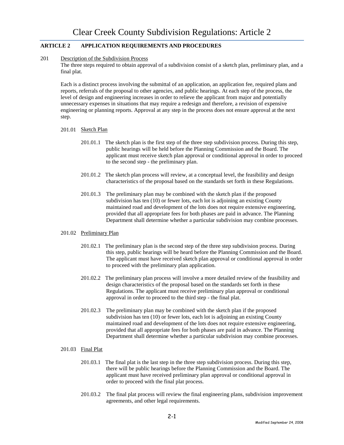# **ARTICLE 2 APPLICATION REQUIREMENTS AND PROCEDURES**

201 Description of the Subdivision Process

The three steps required to obtain approval of a subdivision consist of a sketch plan, preliminary plan, and a final plat.

Each is a distinct process involving the submittal of an application, an application fee, required plans and reports, referrals of the proposal to other agencies, and public hearings. At each step of the process, the level of design and engineering increases in order to relieve the applicant from major and potentially unnecessary expenses in situations that may require a redesign and therefore, a revision of expensive engineering or planning reports. Approval at any step in the process does not ensure approval at the next step.

# 201.01 Sketch Plan

- 201.01.1 The sketch plan is the first step of the three step subdivision process. During this step, public hearings will be held before the Planning Commission and the Board. The applicant must receive sketch plan approval or conditional approval in order to proceed to the second step - the preliminary plan.
- 201.01.2 The sketch plan process will review, at a conceptual level, the feasibility and design characteristics of the proposal based on the standards set forth in these Regulations.
- 201.01.3 The preliminary plan may be combined with the sketch plan if the proposed subdivision has ten (10) or fewer lots, each lot is adjoining an existing County maintained road and development of the lots does not require extensive engineering, provided that all appropriate fees for both phases are paid in advance. The Planning Department shall determine whether a particular subdivision may combine processes.

# 201.02 Preliminary Plan

- 201.02.1 The preliminary plan is the second step of the three step subdivision process. During this step, public hearings will be heard before the Planning Commission and the Board. The applicant must have received sketch plan approval or conditional approval in order to proceed with the preliminary plan application.
- 201.02.2 The preliminary plan process will involve a more detailed review of the feasibility and design characteristics of the proposal based on the standards set forth in these Regulations. The applicant must receive preliminary plan approval or conditional approval in order to proceed to the third step - the final plat.
- 201.02.3 The preliminary plan may be combined with the sketch plan if the proposed subdivision has ten (10) or fewer lots, each lot is adjoining an existing County maintained road and development of the lots does not require extensive engineering, provided that all appropriate fees for both phases are paid in advance. The Planning Department shall determine whether a particular subdivision may combine processes.
- 201.03 Final Plat
	- 201.03.1 The final plat is the last step in the three step subdivision process. During this step, there will be public hearings before the Planning Commission and the Board. The applicant must have received preliminary plan approval or conditional approval in order to proceed with the final plat process.
	- 201.03.2 The final plat process will review the final engineering plans, subdivision improvement agreements, and other legal requirements.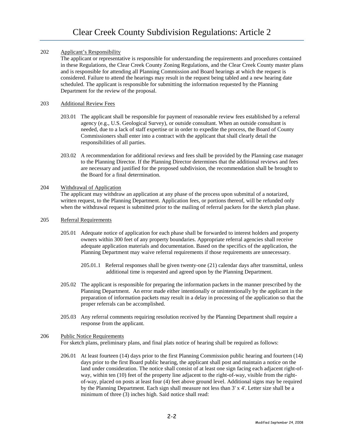# 202 Applicant's Responsibility

The applicant or representative is responsible for understanding the requirements and procedures contained in these Regulations, the Clear Creek County Zoning Regulations, and the Clear Creek County master plans and is responsible for attending all Planning Commission and Board hearings at which the request is considered. Failure to attend the hearings may result in the request being tabled and a new hearing date scheduled. The applicant is responsible for submitting the information requested by the Planning Department for the review of the proposal.

# 203 Additional Review Fees

- 203.01 The applicant shall be responsible for payment of reasonable review fees established by a referral agency (e.g., U.S. Geological Survey), or outside consultant. When an outside consultant is needed, due to a lack of staff expertise or in order to expedite the process, the Board of County Commissioners shall enter into a contract with the applicant that shall clearly detail the responsibilities of all parties.
- 203.02 A recommendation for additional reviews and fees shall be provided by the Planning case manager to the Planning Director. If the Planning Director determines that the additional reviews and fees are necessary and justified for the proposed subdivision, the recommendation shall be brought to the Board for a final determination.

# 204 Withdrawal of Application

The applicant may withdraw an application at any phase of the process upon submittal of a notarized, written request, to the Planning Department. Application fees, or portions thereof, will be refunded only when the withdrawal request is submitted prior to the mailing of referral packets for the sketch plan phase.

# 205 Referral Requirements

- 205.01 Adequate notice of application for each phase shall be forwarded to interest holders and property owners within 300 feet of any property boundaries. Appropriate referral agencies shall receive adequate application materials and documentation. Based on the specifics of the application, the Planning Department may waive referral requirements if those requirements are unnecessary.
	- 205.01.1 Referral responses shall be given twenty-one (21) calendar days after transmittal, unless additional time is requested and agreed upon by the Planning Department.
- 205.02 The applicant is responsible for preparing the information packets in the manner prescribed by the Planning Department. An error made either intentionally or unintentionally by the applicant in the preparation of information packets may result in a delay in processing of the application so that the proper referrals can be accomplished.
- 205.03 Any referral comments requiring resolution received by the Planning Department shall require a response from the applicant.

# 206 Public Notice Requirements

For sketch plans, preliminary plans, and final plats notice of hearing shall be required as follows:

206.01 At least fourteen (14) days prior to the first Planning Commission public hearing and fourteen (14) days prior to the first Board public hearing, the applicant shall post and maintain a notice on the land under consideration. The notice shall consist of at least one sign facing each adjacent right-ofway, within ten (10) feet of the property line adjacent to the right-of-way, visible from the rightof-way, placed on posts at least four (4) feet above ground level. Additional signs may be required by the Planning Department. Each sign shall measure not less than 3' x 4'. Letter size shall be a minimum of three (3) inches high. Said notice shall read: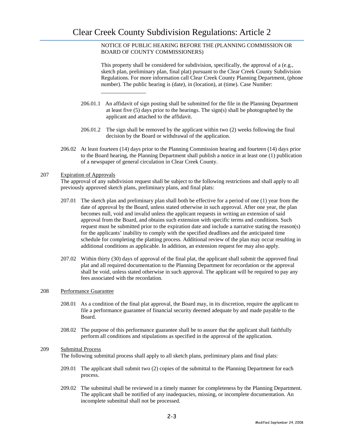\_\_\_\_\_\_\_\_\_\_\_\_\_\_\_\_

NOTICE OF PUBLIC HEARING BEFORE THE (PLANNING COMMISSION OR BOARD OF COUNTY COMMISSIONERS)

This property shall be considered for subdivision, specifically, the approval of a (e.g., sketch plan, preliminary plan, final plat) pursuant to the Clear Creek County Subdivision Regulations. For more information call Clear Creek County Planning Department, (phone number). The public hearing is (date), in (location), at (time). Case Number:

- 206.01.1 An affidavit of sign posting shall be submitted for the file in the Planning Department at least five (5) days prior to the hearings. The sign(s) shall be photographed by the applicant and attached to the affidavit.
- 206.01.2 The sign shall be removed by the applicant within two (2) weeks following the final decision by the Board or withdrawal of the application.
- 206.02 At least fourteen (14) days prior to the Planning Commission hearing and fourteen (14) days prior to the Board hearing, the Planning Department shall publish a notice in at least one (1) publication of a newspaper of general circulation in Clear Creek County.

### 207 Expiration of Approvals

The approval of any subdivision request shall be subject to the following restrictions and shall apply to all previously approved sketch plans, preliminary plans, and final plats:

- 207.01 The sketch plan and preliminary plan shall both be effective for a period of one (1) year from the date of approval by the Board, unless stated otherwise in such approval. After one year, the plan becomes null, void and invalid unless the applicant requests in writing an extension of said approval from the Board, and obtains such extension with specific terms and conditions. Such request must be submitted prior to the expiration date and include a narrative stating the reason(s) for the applicants' inability to comply with the specified deadlines and the anticipated time schedule for completing the platting process. Additional review of the plan may occur resulting in additional conditions as applicable. In addition, an extension request fee may also apply.
- 207.02 Within thirty (30) days of approval of the final plat, the applicant shall submit the approved final plat and all required documentation to the Planning Department for recordation or the approval shall be void, unless stated otherwise in such approval. The applicant will be required to pay any fees associated with the recordation.

### 208 Performance Guarantee

- 208.01 As a condition of the final plat approval, the Board may, in its discretion, require the applicant to file a performance guarantee of financial security deemed adequate by and made payable to the Board.
- 208.02 The purpose of this performance guarantee shall be to assure that the applicant shall faithfully perform all conditions and stipulations as specified in the approval of the application.

# 209 Submittal Process

The following submittal process shall apply to all sketch plans, preliminary plans and final plats:

- 209.01 The applicant shall submit two (2) copies of the submittal to the Planning Department for each process.
- 209.02 The submittal shall be reviewed in a timely manner for completeness by the Planning Department. The applicant shall be notified of any inadequacies, missing, or incomplete documentation. An incomplete submittal shall not be processed.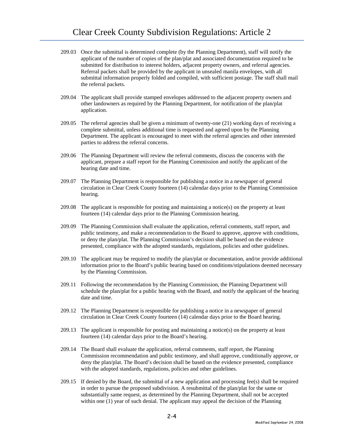- 209.03 Once the submittal is determined complete (by the Planning Department), staff will notify the applicant of the number of copies of the plan/plat and associated documentation required to be submitted for distribution to interest holders, adjacent property owners, and referral agencies. Referral packets shall be provided by the applicant in unsealed manila envelopes, with all submittal information properly folded and compiled, with sufficient postage. The staff shall mail the referral packets.
- 209.04 The applicant shall provide stamped envelopes addressed to the adjacent property owners and other landowners as required by the Planning Department, for notification of the plan/plat application.
- 209.05 The referral agencies shall be given a minimum of twenty-one (21) working days of receiving a complete submittal, unless additional time is requested and agreed upon by the Planning Department. The applicant is encouraged to meet with the referral agencies and other interested parties to address the referral concerns.
- 209.06 The Planning Department will review the referral comments, discuss the concerns with the applicant, prepare a staff report for the Planning Commission and notify the applicant of the hearing date and time.
- 209.07 The Planning Department is responsible for publishing a notice in a newspaper of general circulation in Clear Creek County fourteen (14) calendar days prior to the Planning Commission hearing.
- 209.08 The applicant is responsible for posting and maintaining a notice(s) on the property at least fourteen (14) calendar days prior to the Planning Commission hearing.
- 209.09 The Planning Commission shall evaluate the application, referral comments, staff report, and public testimony, and make a recommendation to the Board to approve, approve with conditions, or deny the plan/plat. The Planning Commission's decision shall be based on the evidence presented, compliance with the adopted standards, regulations, policies and other guidelines.
- 209.10 The applicant may be required to modify the plan/plat or documentation, and/or provide additional information prior to the Board's public hearing based on conditions/stipulations deemed necessary by the Planning Commission.
- 209.11 Following the recommendation by the Planning Commission, the Planning Department will schedule the plan/plat for a public hearing with the Board, and notify the applicant of the hearing date and time.
- 209.12 The Planning Department is responsible for publishing a notice in a newspaper of general circulation in Clear Creek County fourteen (14) calendar days prior to the Board hearing.
- 209.13 The applicant is responsible for posting and maintaining a notice(s) on the property at least fourteen (14) calendar days prior to the Board's hearing.
- 209.14 The Board shall evaluate the application, referral comments, staff report, the Planning Commission recommendation and public testimony, and shall approve, conditionally approve, or deny the plan/plat. The Board's decision shall be based on the evidence presented, compliance with the adopted standards, regulations, policies and other guidelines.
- 209.15 If denied by the Board, the submittal of a new application and processing fee(s) shall be required in order to pursue the proposed subdivision. A resubmittal of the plan/plat for the same or substantially same request, as determined by the Planning Department, shall not be accepted within one (1) year of such denial. The applicant may appeal the decision of the Planning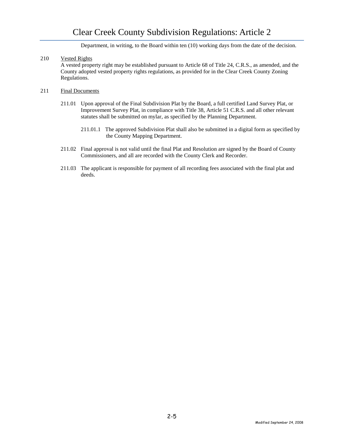# Clear Creek County Subdivision Regulations: Article 2

Department, in writing, to the Board within ten (10) working days from the date of the decision.

# 210 Vested Rights

A vested property right may be established pursuant to Article 68 of Title 24, C.R.S., as amended, and the County adopted vested property rights regulations, as provided for in the Clear Creek County Zoning Regulations.

### 211 Final Documents

- 211.01 Upon approval of the Final Subdivision Plat by the Board, a full certified Land Survey Plat, or Improvement Survey Plat, in compliance with Title 38, Article 51 C.R.S. and all other relevant statutes shall be submitted on mylar, as specified by the Planning Department.
	- 211.01.1 The approved Subdivision Plat shall also be submitted in a digital form as specified by the County Mapping Department.
- 211.02 Final approval is not valid until the final Plat and Resolution are signed by the Board of County Commissioners, and all are recorded with the County Clerk and Recorder.
- 211.03 The applicant is responsible for payment of all recording fees associated with the final plat and deeds.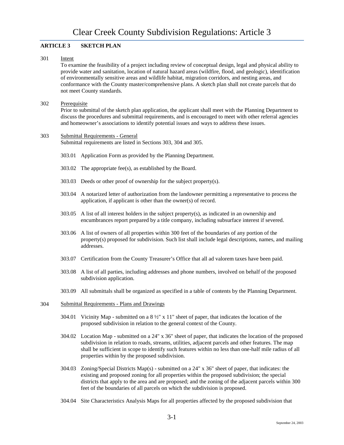# **ARTICLE 3 SKETCH PLAN**

### 301 Intent

To examine the feasibility of a project including review of conceptual design, legal and physical ability to provide water and sanitation, location of natural hazard areas (wildfire, flood, and geologic), identification of environmentally sensitive areas and wildlife habitat, migration corridors, and nesting areas, and conformance with the County master/comprehensive plans. A sketch plan shall not create parcels that do not meet County standards.

### 302 Prerequisite

Prior to submittal of the sketch plan application, the applicant shall meet with the Planning Department to discuss the procedures and submittal requirements, and is encouraged to meet with other referral agencies and homeowner's associations to identify potential issues and ways to address these issues.

# 303 Submittal Requirements - General

Submittal requirements are listed in Sections 303, 304 and 305.

- 303.01 Application Form as provided by the Planning Department.
- 303.02 The appropriate fee(s), as established by the Board.
- 303.03 Deeds or other proof of ownership for the subject property(s).
- 303.04 A notarized letter of authorization from the landowner permitting a representative to process the application, if applicant is other than the owner(s) of record.
- 303.05 A list of all interest holders in the subject property(s), as indicated in an ownership and encumbrances report prepared by a title company, including subsurface interest if severed.
- 303.06 A list of owners of all properties within 300 feet of the boundaries of any portion of the property(s) proposed for subdivision. Such list shall include legal descriptions, names, and mailing addresses.
- 303.07 Certification from the County Treasurer's Office that all ad valorem taxes have been paid.
- 303.08 A list of all parties, including addresses and phone numbers, involved on behalf of the proposed subdivision application.
- 303.09 All submittals shall be organized as specified in a table of contents by the Planning Department.

### 304 Submittal Requirements - Plans and Drawings

- 304.01 Vicinity Map submitted on a  $8\frac{1}{2}$ " x 11" sheet of paper, that indicates the location of the proposed subdivision in relation to the general context of the County.
- 304.02 Location Map submitted on a 24" x 36" sheet of paper, that indicates the location of the proposed subdivision in relation to roads, streams, utilities, adjacent parcels and other features. The map shall be sufficient in scope to identify such features within no less than one-half mile radius of all properties within by the proposed subdivision.
- 304.03 Zoning/Special Districts Map(s) submitted on a 24" x 36" sheet of paper, that indicates: the existing and proposed zoning for all properties within the proposed subdivision; the special districts that apply to the area and are proposed; and the zoning of the adjacent parcels within 300 feet of the boundaries of all parcels on which the subdivision is proposed.
- 304.04 Site Characteristics Analysis Maps for all properties affected by the proposed subdivision that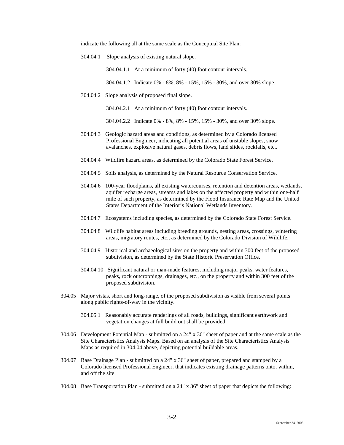indicate the following all at the same scale as the Conceptual Site Plan:

304.04.1 Slope analysis of existing natural slope.

304.04.1.1 At a minimum of forty (40) foot contour intervals.

304.04.1.2 Indicate 0% - 8%, 8% - 15%, 15% - 30%, and over 30% slope.

304.04.2 Slope analysis of proposed final slope.

304.04.2.1 At a minimum of forty (40) foot contour intervals.

304.04.2.2 Indicate 0% - 8%, 8% - 15%, 15% - 30%, and over 30% slope.

- 304.04.3 Geologic hazard areas and conditions, as determined by a Colorado licensed Professional Engineer, indicating all potential areas of unstable slopes, snow avalanches, explosive natural gases, debris flows, land slides, rockfalls, etc..
- 304.04.4 Wildfire hazard areas, as determined by the Colorado State Forest Service.
- 304.04.5 Soils analysis, as determined by the Natural Resource Conservation Service.
- 304.04.6 100-year floodplains, all existing watercourses, retention and detention areas, wetlands, aquifer recharge areas, streams and lakes on the affected property and within one-half mile of such property, as determined by the Flood Insurance Rate Map and the United States Department of the Interior's National Wetlands Inventory.
- 304.04.7 Ecosystems including species, as determined by the Colorado State Forest Service.
- 304.04.8 Wildlife habitat areas including breeding grounds, nesting areas, crossings, wintering areas, migratory routes, etc., as determined by the Colorado Division of Wildlife.
- 304.04.9 Historical and archaeological sites on the property and within 300 feet of the proposed subdivision, as determined by the State Historic Preservation Office.
- 304.04.10 Significant natural or man-made features, including major peaks, water features, peaks, rock outcroppings, drainages, etc., on the property and within 300 feet of the proposed subdivision.
- 304.05 Major vistas, short and long-range, of the proposed subdivision as visible from several points along public rights-of-way in the vicinity.
	- 304.05.1 Reasonably accurate renderings of all roads, buildings, significant earthwork and vegetation changes at full build out shall be provided.
- 304.06 Development Potential Map submitted on a 24" x 36" sheet of paper and at the same scale as the Site Characteristics Analysis Maps. Based on an analysis of the Site Characteristics Analysis Maps as required in 304.04 above, depicting potential buildable areas.
- 304.07 Base Drainage Plan submitted on a 24" x 36" sheet of paper, prepared and stamped by a Colorado licensed Professional Engineer, that indicates existing drainage patterns onto, within, and off the site.
- 304.08 Base Transportation Plan submitted on a 24" x 36" sheet of paper that depicts the following: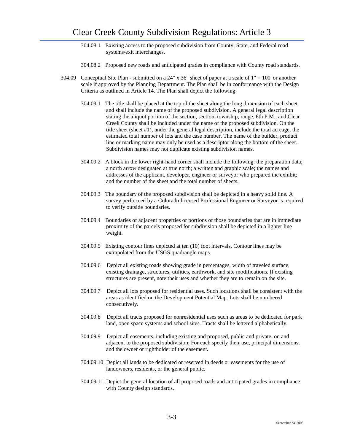- 304.08.1 Existing access to the proposed subdivision from County, State, and Federal road systems/exit interchanges.
- 304.08.2 Proposed new roads and anticipated grades in compliance with County road standards.
- 304.09 Conceptual Site Plan submitted on a 24" x 36" sheet of paper at a scale of  $1" = 100'$  or another scale if approved by the Planning Department. The Plan shall be in conformance with the Design Criteria as outlined in Article 14. The Plan shall depict the following:
	- 304.09.1 The title shall be placed at the top of the sheet along the long dimension of each sheet and shall include the name of the proposed subdivision. A general legal description stating the aliquot portion of the section, section, township, range, 6th P.M., and Clear Creek County shall be included under the name of the proposed subdivision. On the title sheet (sheet #1), under the general legal description, include the total acreage, the estimated total number of lots and the case number. The name of the builder, product line or marking name may only be used as a descriptor along the bottom of the sheet. Subdivision names may not duplicate existing subdivision names.
	- 304.09.2 A block in the lower right-hand corner shall include the following: the preparation data; a north arrow designated at true north; a written and graphic scale; the names and addresses of the applicant, developer, engineer or surveyor who prepared the exhibit; and the number of the sheet and the total number of sheets.
	- 304.09.3 The boundary of the proposed subdivision shall be depicted in a heavy solid line. A survey performed by a Colorado licensed Professional Engineer or Surveyor is required to verify outside boundaries.
	- 304.09.4 Boundaries of adjacent properties or portions of those boundaries that are in immediate proximity of the parcels proposed for subdivision shall be depicted in a lighter line weight.
	- 304.09.5 Existing contour lines depicted at ten (10) foot intervals. Contour lines may be extrapolated from the USGS quadrangle maps.
	- 304.09.6 Depict all existing roads showing grade in percentages, width of traveled surface, existing drainage, structures, utilities, earthwork, and site modifications. If existing structures are present, note their uses and whether they are to remain on the site.
	- 304.09.7 Depict all lots proposed for residential uses. Such locations shall be consistent with the areas as identified on the Development Potential Map. Lots shall be numbered consecutively.
	- 304.09.8 Depict all tracts proposed for nonresidential uses such as areas to be dedicated for park land, open space systems and school sites. Tracts shall be lettered alphabetically.
	- 304.09.9 Depict all easements, including existing and proposed, public and private, on and adjacent to the proposed subdivision. For each specify their use, principal dimensions, and the owner or rightholder of the easement.
	- 304.09.10 Depict all lands to be dedicated or reserved in deeds or easements for the use of landowners, residents, or the general public.
	- 304.09.11 Depict the general location of all proposed roads and anticipated grades in compliance with County design standards.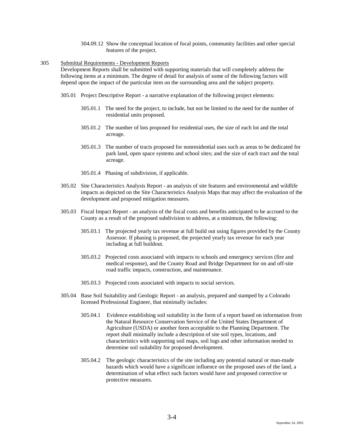304.09.12 Show the conceptual location of focal points, community facilities and other special features of the project.

### 305 Submittal Requirements - Development Reports

Development Reports shall be submitted with supporting materials that will completely address the following items at a minimum. The degree of detail for analysis of some of the following factors will depend upon the impact of the particular item on the surrounding area and the subject property.

- 305.01 Project Descriptive Report a narrative explanation of the following project elements:
	- 305.01.1 The need for the project, to include, but not be limited to the need for the number of residential units proposed.
	- 305.01.2 The number of lots proposed for residential uses, the size of each lot and the total acreage.
	- 305.01.3 The number of tracts proposed for nonresidential uses such as areas to be dedicated for park land, open space systems and school sites; and the size of each tract and the total acreage.
	- 305.01.4 Phasing of subdivision, if applicable.
- 305.02 Site Characteristics Analysis Report an analysis of site features and environmental and wildlife impacts as depicted on the Site Characteristics Analysis Maps that may affect the evaluation of the development and proposed mitigation measures.
- 305.03 Fiscal Impact Report an analysis of the fiscal costs and benefits anticipated to be accrued to the County as a result of the proposed subdivision to address, at a minimum, the following:
	- 305.03.1 The projected yearly tax revenue at full build out using figures provided by the County Assessor. If phasing is proposed, the projected yearly tax revenue for each year including at full buildout.
	- 305.03.2 Projected costs associated with impacts to schools and emergency services (fire and medical response), and the County Road and Bridge Department for on and off-site road traffic impacts, construction, and maintenance.
	- 305.03.3 Projected costs associated with impacts to social services.
- 305.04 Base Soil Suitability and Geologic Report an analysis, prepared and stamped by a Colorado licensed Professional Engineer, that minimally includes:
	- 305.04.1 Evidence establishing soil suitability in the form of a report based on information from the Natural Resource Conservation Service of the United States Department of Agriculture (USDA) or another form acceptable to the Planning Department. The report shall minimally include a description of site soil types, locations, and characteristics with supporting soil maps, soil logs and other information needed to determine soil suitability for proposed development.
	- 305.04.2 The geologic characteristics of the site including any potential natural or man-made hazards which would have a significant influence on the proposed uses of the land, a determination of what effect such factors would have and proposed corrective or protective measures.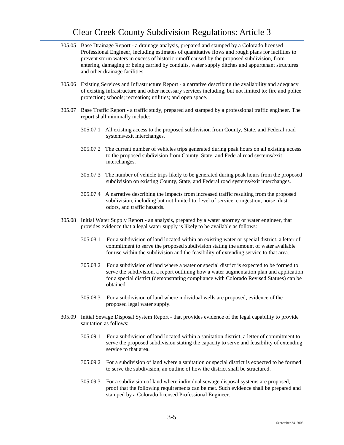- 305.05 Base Drainage Report a drainage analysis, prepared and stamped by a Colorado licensed Professional Engineer, including estimates of quantitative flows and rough plans for facilities to prevent storm waters in excess of historic runoff caused by the proposed subdivision, from entering, damaging or being carried by conduits, water supply ditches and appurtenant structures and other drainage facilities.
- 305.06 Existing Services and Infrastructure Report a narrative describing the availability and adequacy of existing infrastructure and other necessary services including, but not limited to: fire and police protection; schools; recreation; utilities; and open space.
- 305.07 Base Traffic Report a traffic study, prepared and stamped by a professional traffic engineer. The report shall minimally include:
	- 305.07.1 All existing access to the proposed subdivision from County, State, and Federal road systems/exit interchanges.
	- 305.07.2 The current number of vehicles trips generated during peak hours on all existing access to the proposed subdivision from County, State, and Federal road systems/exit interchanges.
	- 305.07.3 The number of vehicle trips likely to be generated during peak hours from the proposed subdivision on existing County, State, and Federal road systems/exit interchanges.
	- 305.07.4 A narrative describing the impacts from increased traffic resulting from the proposed subdivision, including but not limited to, level of service, congestion, noise, dust, odors, and traffic hazards.
- 305.08 Initial Water Supply Report an analysis, prepared by a water attorney or water engineer, that provides evidence that a legal water supply is likely to be available as follows:
	- 305.08.1 For a subdivision of land located within an existing water or special district, a letter of commitment to serve the proposed subdivision stating the amount of water available for use within the subdivision and the feasibility of extending service to that area.
	- 305.08.2 For a subdivision of land where a water or special district is expected to be formed to serve the subdivision, a report outlining how a water augmentation plan and application for a special district (demonstrating compliance with Colorado Revised Statues) can be obtained.
	- 305.08.3 For a subdivision of land where individual wells are proposed, evidence of the proposed legal water supply.
- 305.09 Initial Sewage Disposal System Report that provides evidence of the legal capability to provide sanitation as follows:
	- 305.09.1 For a subdivision of land located within a sanitation district, a letter of commitment to serve the proposed subdivision stating the capacity to serve and feasibility of extending service to that area.
	- 305.09.2 For a subdivision of land where a sanitation or special district is expected to be formed to serve the subdivision, an outline of how the district shall be structured.
	- 305.09.3 For a subdivision of land where individual sewage disposal systems are proposed, proof that the following requirements can be met. Such evidence shall be prepared and stamped by a Colorado licensed Professional Engineer.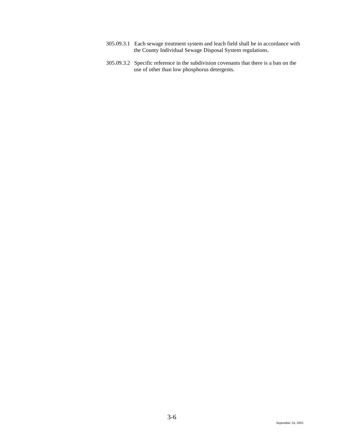- 305.09.3.1 Each sewage treatment system and leach field shall be in accordance with the County Individual Sewage Disposal System regulations.
- 305.09.3.2 Specific reference in the subdivision covenants that there is a ban on the use of other than low phosphorus detergents.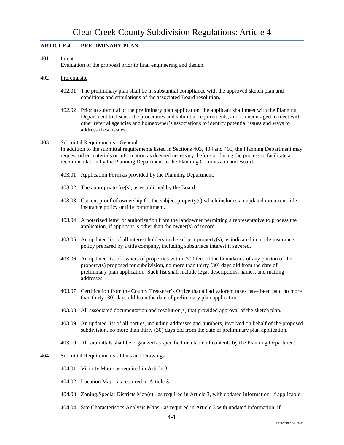# **ARTICLE 4 PRELIMINARY PLAN**

### 401 Intent

Evaluation of the proposal prior to final engineering and design.

### 402 Prerequisite

- 402.01 The preliminary plan shall be in substantial compliance with the approved sketch plan and conditions and stipulations of the associated Board resolution.
- 402.02 Prior to submittal of the preliminary plan application, the applicant shall meet with the Planning Department to discuss the procedures and submittal requirements, and is encouraged to meet with other referral agencies and homeowner's associations to identify potential issues and ways to address these issues.

### 403 Submittal Requirements - General

In addition to the submittal requirements listed in Sections 403, 404 and 405, the Planning Department may request other materials or information as deemed necessary, before or during the process to facilitate a recommendation by the Planning Department to the Planning Commission and Board.

- 403.01 Application Form as provided by the Planning Department.
- 403.02 The appropriate fee(s), as established by the Board.
- 403.03 Current proof of ownership for the subject property(s) which includes an updated or current title insurance policy or title commitment.
- 403.04 A notarized letter of authorization from the landowner permitting a representative to process the application, if applicant is other than the owner(s) of record.
- 403.05 An updated list of all interest holders in the subject property(s), as indicated in a title insurance policy prepared by a title company, including subsurface interest if severed.
- 403.06 An updated list of owners of properties within 300 feet of the boundaries of any portion of the property(s) proposed for subdivision, no more than thirty (30) days old from the date of preliminary plan application. Such list shall include legal descriptions, names, and mailing addresses.
- 403.07 Certification from the County Treasurer's Office that all ad valorem taxes have been paid no more than thirty (30) days old from the date of preliminary plan application.
- 403.08 All associated documentation and resolution(s) that provided approval of the sketch plan.
- 403.09 An updated list of all parties, including addresses and numbers, involved on behalf of the proposed subdivision, no more than thirty (30) days old from the date of preliminary plan application.
- 403.10 All submittals shall be organized as specified in a table of contents by the Planning Department.

# 404 Submittal Requirements - Plans and Drawings

- 404.01 Vicinity Map as required in Article 3.
- 404.02 Location Map as required in Article 3.
- 404.03 Zoning/Special Districts Map(s) as required in Article 3, with updated information, if applicable.
- 404.04 Site Characteristics Analysis Maps as required in Article 3 with updated information, if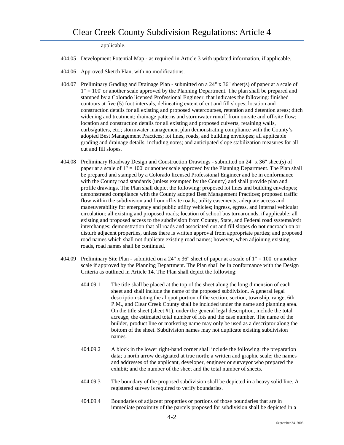applicable.

- 404.05 Development Potential Map as required in Article 3 with updated information, if applicable.
- 404.06 Approved Sketch Plan, with no modifications.
- 404.07 Preliminary Grading and Drainage Plan submitted on a 24" x 36" sheet(s) of paper at a scale of 1" = 100' or another scale approved by the Planning Department. The plan shall be prepared and stamped by a Colorado licensed Professional Engineer, that indicates the following: finished contours at five (5) foot intervals, delineating extent of cut and fill slopes; location and construction details for all existing and proposed watercourses, retention and detention areas; ditch widening and treatment; drainage patterns and stormwater runoff from on-site and off-site flow; location and construction details for all existing and proposed culverts, retaining walls, curbs/gutters, etc.; stormwater management plan demonstrating compliance with the County's adopted Best Management Practices; lot lines, roads, and building envelopes; all applicable grading and drainage details, including notes; and anticipated slope stabilization measures for all cut and fill slopes.
- 404.08 Preliminary Roadway Design and Construction Drawings submitted on 24" x 36" sheet(s) of paper at a scale of 1" = 100' or another scale approved by the Planning Department. The Plan shall be prepared and stamped by a Colorado licensed Professional Engineer and be in conformance with the County road standards (unless exempted by the County) and shall provide plan and profile drawings. The Plan shall depict the following: proposed lot lines and building envelopes; demonstrated compliance with the County adopted Best Management Practices; proposed traffic flow within the subdivision and from off-site roads; utility easements; adequate access and maneuverability for emergency and public utility vehicles; ingress, egress, and internal vehicular circulation; all existing and proposed roads; location of school bus turnarounds, if applicable; all existing and proposed access to the subdivision from County, State, and Federal road systems/exit interchanges; demonstration that all roads and associated cut and fill slopes do not encroach on or disturb adjacent properties, unless there is written approval from appropriate parties; and proposed road names which shall not duplicate existing road names; however, when adjoining existing roads, road names shall be continued.
- 404.09 Preliminary Site Plan submitted on a 24" x 36" sheet of paper at a scale of 1" = 100' or another scale if approved by the Planning Department. The Plan shall be in conformance with the Design Criteria as outlined in Article 14. The Plan shall depict the following:
	- 404.09.1 The title shall be placed at the top of the sheet along the long dimension of each sheet and shall include the name of the proposed subdivision. A general legal description stating the aliquot portion of the section, section, township, range, 6th P.M., and Clear Creek County shall be included under the name and planning area. On the title sheet (sheet #1), under the general legal description, include the total acreage, the estimated total number of lots and the case number. The name of the builder, product line or marketing name may only be used as a descriptor along the bottom of the sheet. Subdivision names may not duplicate existing subdivision names.
	- 404.09.2 A block in the lower right-hand corner shall include the following: the preparation data; a north arrow designated at true north; a written and graphic scale; the names and addresses of the applicant, developer, engineer or surveyor who prepared the exhibit; and the number of the sheet and the total number of sheets.
	- 404.09.3 The boundary of the proposed subdivision shall be depicted in a heavy solid line. A registered survey is required to verify boundaries.
	- 404.09.4 Boundaries of adjacent properties or portions of those boundaries that are in immediate proximity of the parcels proposed for subdivision shall be depicted in a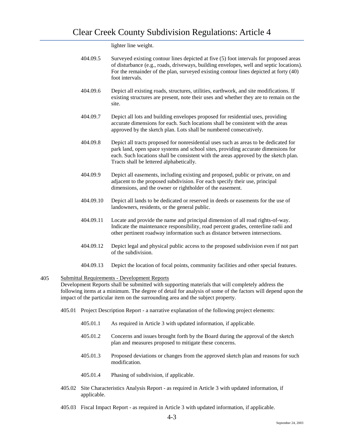lighter line weight.

- 404.09.5 Surveyed existing contour lines depicted at five (5) foot intervals for proposed areas of disturbance (e.g., roads, driveways, building envelopes, well and septic locations). For the remainder of the plan, surveyed existing contour lines depicted at forty (40) foot intervals.
- 404.09.6 Depict all existing roads, structures, utilities, earthwork, and site modifications. If existing structures are present, note their uses and whether they are to remain on the site.
- 404.09.7 Depict all lots and building envelopes proposed for residential uses, providing accurate dimensions for each. Such locations shall be consistent with the areas approved by the sketch plan. Lots shall be numbered consecutively.
- 404.09.8 Depict all tracts proposed for nonresidential uses such as areas to be dedicated for park land, open space systems and school sites, providing accurate dimensions for each. Such locations shall be consistent with the areas approved by the sketch plan. Tracts shall be lettered alphabetically.
- 404.09.9 Depict all easements, including existing and proposed, public or private, on and adjacent to the proposed subdivision. For each specify their use, principal dimensions, and the owner or rightholder of the easement.
- 404.09.10 Depict all lands to be dedicated or reserved in deeds or easements for the use of landowners, residents, or the general public.
- 404.09.11 Locate and provide the name and principal dimension of all road rights-of-way. Indicate the maintenance responsibility, road percent grades, centerline radii and other pertinent roadway information such as distance between intersections.
- 404.09.12 Depict legal and physical public access to the proposed subdivision even if not part of the subdivision.
- 404.09.13 Depict the location of focal points, community facilities and other special features.

# 405 Submittal Requirements - Development Reports

Development Reports shall be submitted with supporting materials that will completely address the following items at a minimum. The degree of detail for analysis of some of the factors will depend upon the impact of the particular item on the surrounding area and the subject property.

- 405.01 Project Description Report a narrative explanation of the following project elements:
	- 405.01.1 As required in Article 3 with updated information, if applicable.
	- 405.01.2 Concerns and issues brought forth by the Board during the approval of the sketch plan and measures proposed to mitigate these concerns.
	- 405.01.3 Proposed deviations or changes from the approved sketch plan and reasons for such modification.
	- 405.01.4 Phasing of subdivision, if applicable.
- 405.02 Site Characteristics Analysis Report as required in Article 3 with updated information, if applicable.
- 405.03 Fiscal Impact Report as required in Article 3 with updated information, if applicable.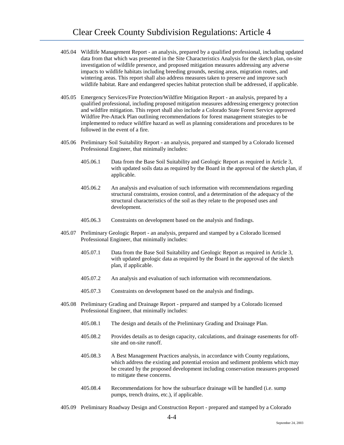- 405.04 Wildlife Management Report an analysis, prepared by a qualified professional, including updated data from that which was presented in the Site Characteristics Analysis for the sketch plan, on-site investigation of wildlife presence, and proposed mitigation measures addressing any adverse impacts to wildlife habitats including breeding grounds, nesting areas, migration routes, and wintering areas. This report shall also address measures taken to preserve and improve such wildlife habitat. Rare and endangered species habitat protection shall be addressed, if applicable.
- 405.05 Emergency Services/Fire Protection/Wildfire Mitigation Report an analysis, prepared by a qualified professional, including proposed mitigation measures addressing emergency protection and wildfire mitigation. This report shall also include a Colorado State Forest Service approved Wildfire Pre-Attack Plan outlining recommendations for forest management strategies to be implemented to reduce wildfire hazard as well as planning considerations and procedures to be followed in the event of a fire.
- 405.06 Preliminary Soil Suitability Report an analysis, prepared and stamped by a Colorado licensed Professional Engineer, that minimally includes:
	- 405.06.1 Data from the Base Soil Suitability and Geologic Report as required in Article 3, with updated soils data as required by the Board in the approval of the sketch plan, if applicable.
	- 405.06.2 An analysis and evaluation of such information with recommendations regarding structural constraints, erosion control, and a determination of the adequacy of the structural characteristics of the soil as they relate to the proposed uses and development.
	- 405.06.3 Constraints on development based on the analysis and findings.
- 405.07 Preliminary Geologic Report an analysis, prepared and stamped by a Colorado licensed Professional Engineer, that minimally includes:
	- 405.07.1 Data from the Base Soil Suitability and Geologic Report as required in Article 3, with updated geologic data as required by the Board in the approval of the sketch plan, if applicable.
	- 405.07.2 An analysis and evaluation of such information with recommendations.
	- 405.07.3 Constraints on development based on the analysis and findings.
- 405.08 Preliminary Grading and Drainage Report prepared and stamped by a Colorado licensed Professional Engineer, that minimally includes:
	- 405.08.1 The design and details of the Preliminary Grading and Drainage Plan.
	- 405.08.2 Provides details as to design capacity, calculations, and drainage easements for offsite and on-site runoff.
	- 405.08.3 A Best Management Practices analysis, in accordance with County regulations, which address the existing and potential erosion and sediment problems which may be created by the proposed development including conservation measures proposed to mitigate these concerns.
	- 405.08.4 Recommendations for how the subsurface drainage will be handled (i.e. sump pumps, trench drains, etc.), if applicable.
- 405.09 Preliminary Roadway Design and Construction Report prepared and stamped by a Colorado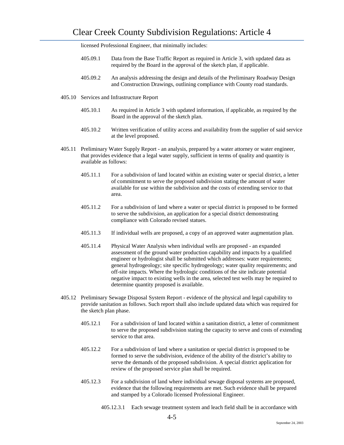licensed Professional Engineer, that minimally includes:

- 405.09.1 Data from the Base Traffic Report as required in Article 3, with updated data as required by the Board in the approval of the sketch plan, if applicable.
- 405.09.2 An analysis addressing the design and details of the Preliminary Roadway Design and Construction Drawings, outlining compliance with County road standards.
- 405.10 Services and Infrastructure Report
	- 405.10.1 As required in Article 3 with updated information, if applicable, as required by the Board in the approval of the sketch plan.
	- 405.10.2 Written verification of utility access and availability from the supplier of said service at the level proposed.
- 405.11 Preliminary Water Supply Report an analysis, prepared by a water attorney or water engineer, that provides evidence that a legal water supply, sufficient in terms of quality and quantity is available as follows:
	- 405.11.1 For a subdivision of land located within an existing water or special district, a letter of commitment to serve the proposed subdivision stating the amount of water available for use within the subdivision and the costs of extending service to that area.
	- 405.11.2 For a subdivision of land where a water or special district is proposed to be formed to serve the subdivision, an application for a special district demonstrating compliance with Colorado revised statues.
	- 405.11.3 If individual wells are proposed, a copy of an approved water augmentation plan.
	- 405.11.4 Physical Water Analysis when individual wells are proposed an expanded assessment of the ground water production capability and impacts by a qualified engineer or hydrologist shall be submitted which addresses: water requirements; general hydrogeology; site specific hydrogeology; water quality requirements; and off-site impacts. Where the hydrologic conditions of the site indicate potential negative impact to existing wells in the area, selected test wells may be required to determine quantity proposed is available.
- 405.12 Preliminary Sewage Disposal System Report evidence of the physical and legal capability to provide sanitation as follows. Such report shall also include updated data which was required for the sketch plan phase.
	- 405.12.1 For a subdivision of land located within a sanitation district, a letter of commitment to serve the proposed subdivision stating the capacity to serve and costs of extending service to that area.
	- 405.12.2 For a subdivision of land where a sanitation or special district is proposed to be formed to serve the subdivision, evidence of the ability of the district's ability to serve the demands of the proposed subdivision. A special district application for review of the proposed service plan shall be required.
	- 405.12.3 For a subdivision of land where individual sewage disposal systems are proposed, evidence that the following requirements are met. Such evidence shall be prepared and stamped by a Colorado licensed Professional Engineer.
		- 405.12.3.1 Each sewage treatment system and leach field shall be in accordance with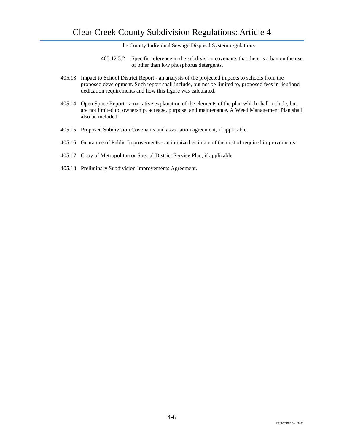the County Individual Sewage Disposal System regulations.

- 405.12.3.2 Specific reference in the subdivision covenants that there is a ban on the use of other than low phosphorus detergents.
- 405.13 Impact to School District Report an analysis of the projected impacts to schools from the proposed development. Such report shall include, but not be limited to, proposed fees in lieu/land dedication requirements and how this figure was calculated.
- 405.14 Open Space Report a narrative explanation of the elements of the plan which shall include, but are not limited to: ownership, acreage, purpose, and maintenance. A Weed Management Plan shall also be included.
- 405.15 Proposed Subdivision Covenants and association agreement, if applicable.
- 405.16 Guarantee of Public Improvements an itemized estimate of the cost of required improvements.
- 405.17 Copy of Metropolitan or Special District Service Plan, if applicable.
- 405.18 Preliminary Subdivision Improvements Agreement.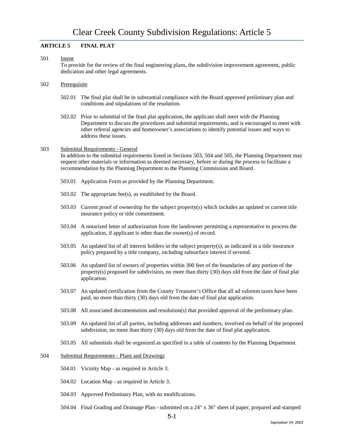# **ARTICLE 5 FINAL PLAT**

## 501 Intent

To provide for the review of the final engineering plans, the subdivision improvement agreement, public dedication and other legal agreements.

- 502 Prerequisite
	- 502.01 The final plat shall be in substantial compliance with the Board approved preliminary plan and conditions and stipulations of the resolution.
	- 502.02 Prior to submittal of the final plat application, the applicant shall meet with the Planning Department to discuss the procedures and submittal requirements, and is encouraged to meet with other referral agencies and homeowner's associations to identify potential issues and ways to address these issues.

### 503 Submittal Requirements - General

In addition to the submittal requirements listed in Sections 503, 504 and 505, the Planning Department may request other materials or information as deemed necessary, before or during the process to facilitate a recommendation by the Planning Department to the Planning Commission and Board.

- 503.01 Application Form as provided by the Planning Department.
- 503.02 The appropriate fee(s), as established by the Board.
- 503.03 Current proof of ownership for the subject property(s) which includes an updated or current title insurance policy or title commitment.
- 503.04 A notarized letter of authorization from the landowner permitting a representative to process the application, if applicant is other than the owner(s) of record.
- 503.05 An updated list of all interest holders in the subject property(s), as indicated in a title insurance policy prepared by a title company, including subsurface interest if severed.
- 503.06 An updated list of owners of properties within 300 feet of the boundaries of any portion of the property(s) proposed for subdivision, no more than thirty (30) days old from the date of final plat application.
- 503.07 An updated certification from the County Treasurer's Office that all ad valorem taxes have been paid, no more than thirty (30) days old from the date of final plat application.
- 503.08 All associated documentation and resolution(s) that provided approval of the preliminary plan.
- 503.09 An updated list of all parties, including addresses and numbers, involved on behalf of the proposed subdivision, no more than thirty (30) days old from the date of final plat application.
- 503.05 All submittals shall be organized as specified in a table of contents by the Planning Department.

# 504 Submittal Requirements - Plans and Drawings

- 504.01 Vicinity Map as required in Article 3.
- 504.02 Location Map as required in Article 3.
- 504.03 Approved Preliminary Plan, with no modifications.
- 504.04 Final Grading and Drainage Plan submitted on a 24" x 36" sheet of paper, prepared and stamped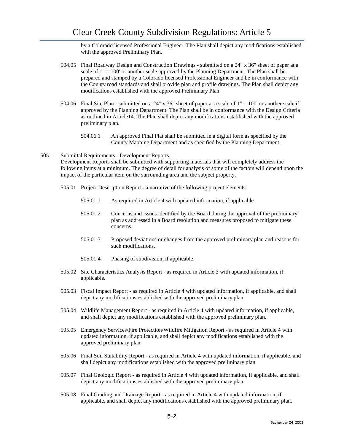by a Colorado licensed Professional Engineer. The Plan shall depict any modifications established with the approved Preliminary Plan.

- 504.05 Final Roadway Design and Construction Drawings submitted on a 24" x 36" sheet of paper at a scale of  $1" = 100'$  or another scale approved by the Planning Department. The Plan shall be prepared and stamped by a Colorado licensed Professional Engineer and be in conformance with the County road standards and shall provide plan and profile drawings. The Plan shall depict any modifications established with the approved Preliminary Plan.
- 504.06 Final Site Plan submitted on a 24" x 36" sheet of paper at a scale of  $1" = 100"$  or another scale if approved by the Planning Department. The Plan shall be in conformance with the Design Criteria as outlined in Article14. The Plan shall depict any modifications established with the approved preliminary plan.
	- 504.06.1 An approved Final Plat shall be submitted in a digital form as specified by the County Mapping Department and as specified by the Planning Department.

### 505 Submittal Requirements - Development Reports

Development Reports shall be submitted with supporting materials that will completely address the following items at a minimum. The degree of detail for analysis of some of the factors will depend upon the impact of the particular item on the surrounding area and the subject property.

- 505.01 Project Description Report a narrative of the following project elements:
	- 505.01.1 As required in Article 4 with updated information, if applicable.
	- 505.01.2 Concerns and issues identified by the Board during the approval of the preliminary plan as addressed in a Board resolution and measures proposed to mitigate these concerns.
	- 505.01.3 Proposed deviations or changes from the approved preliminary plan and reasons for such modifications.
	- 505.01.4 Phasing of subdivision, if applicable.
- 505.02 Site Characteristics Analysis Report as required in Article 3 with updated information, if applicable.
- 505.03 Fiscal Impact Report as required in Article 4 with updated information, if applicable, and shall depict any modifications established with the approved preliminary plan.
- 505.04 Wildlife Management Report as required in Article 4 with updated information, if applicable, and shall depict any modifications established with the approved preliminary plan.
- 505.05 Emergency Services/Fire Protection/Wildfire Mitigation Report as required in Article 4 with updated information, if applicable, and shall depict any modifications established with the approved preliminary plan.
- 505.06 Final Soil Suitability Report as required in Article 4 with updated information, if applicable, and shall depict any modifications established with the approved preliminary plan.
- 505.07 Final Geologic Report as required in Article 4 with updated information, if applicable, and shall depict any modifications established with the approved preliminary plan.
- 505.08 Final Grading and Drainage Report as required in Article 4 with updated information, if applicable, and shall depict any modifications established with the approved preliminary plan.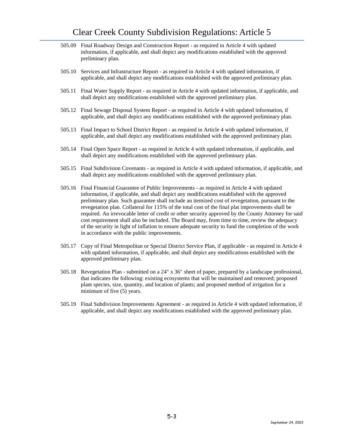- 505.09 Final Roadway Design and Construction Report as required in Article 4 with updated information, if applicable, and shall depict any modifications established with the approved preliminary plan.
- 505.10 Services and Infrastructure Report as required in Article 4 with updated information, if applicable, and shall depict any modifications established with the approved preliminary plan.
- 505.11 Final Water Supply Report as required in Article 4 with updated information, if applicable, and shall depict any modifications established with the approved preliminary plan.
- 505.12 Final Sewage Disposal System Report as required in Article 4 with updated information, if applicable, and shall depict any modifications established with the approved preliminary plan.
- 505.13 Final Impact to School District Report as required in Article 4 with updated information, if applicable, and shall depict any modifications established with the approved preliminary plan.
- 505.14 Final Open Space Report as required in Article 4 with updated information, if applicable, and shall depict any modifications established with the approved preliminary plan.
- 505.15 Final Subdivision Covenants as required in Article 4 with updated information, if applicable, and shall depict any modifications established with the approved preliminary plan.
- 505.16 Final Financial Guarantee of Public Improvements as required in Article 4 with updated information, if applicable, and shall depict any modifications established with the approved preliminary plan. Such guarantee shall include an itemized cost of revegetation, pursuant to the revegetation plan. Collateral for 115% of the total cost of the final plat improvements shall be required. An irrevocable letter of credit or other security approved by the County Attorney for said cost requirement shall also be included. The Board may, from time to time, review the adequacy of the security in light of inflation to ensure adequate security to fund the completion of the work in accordance with the public improvements.
- 505.17 Copy of Final Metropolitan or Special District Service Plan, if applicable as required in Article 4 with updated information, if applicable, and shall depict any modifications established with the approved preliminary plan.
- 505.18 Revegetation Plan submitted on a 24" x 36" sheet of paper, prepared by a landscape professional, that indicates the following: existing ecosystems that will be maintained and removed; proposed plant species, size, quantity, and location of plants; and proposed method of irrigation for a minimum of five (5) years.
- 505.19 Final Subdivision Improvements Agreement as required in Article 4 with updated information, if applicable, and shall depict any modifications established with the approved preliminary plan.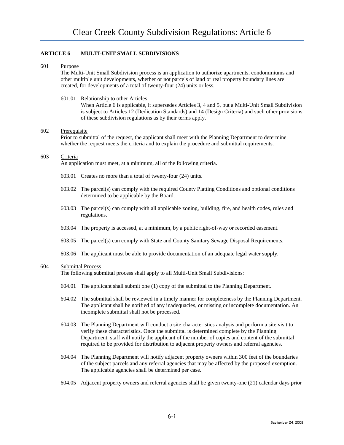# **ARTICLE 6 MULTI-UNIT SMALL SUBDIVISIONS**

# 601 Purpose

The Multi-Unit Small Subdivision process is an application to authorize apartments, condominiums and other multiple unit developments, whether or not parcels of land or real property boundary lines are created, for developments of a total of twenty-four (24) units or less.

# 601.01 Relationship to other Articles

When Article 6 is applicable, it supersedes Articles 3, 4 and 5, but a Multi-Unit Small Subdivision is subject to Articles 12 (Dedication Standards) and 14 (Design Criteria) and such other provisions of these subdivision regulations as by their terms apply.

# 602 Prerequisite

Prior to submittal of the request, the applicant shall meet with the Planning Department to determine whether the request meets the criteria and to explain the procedure and submittal requirements.

# 603 Criteria

An application must meet, at a minimum, all of the following criteria.

- 603.01 Creates no more than a total of twenty-four (24) units.
- 603.02 The parcel(s) can comply with the required County Platting Conditions and optional conditions determined to be applicable by the Board.
- 603.03 The parcel(s) can comply with all applicable zoning, building, fire, and health codes, rules and regulations.
- 603.04 The property is accessed, at a minimum, by a public right-of-way or recorded easement.
- 603.05 The parcel(s) can comply with State and County Sanitary Sewage Disposal Requirements.
- 603.06 The applicant must be able to provide documentation of an adequate legal water supply.

### 604 Submittal Process

The following submittal process shall apply to all Multi-Unit Small Subdivisions:

- 604.01 The applicant shall submit one (1) copy of the submittal to the Planning Department.
- 604.02 The submittal shall be reviewed in a timely manner for completeness by the Planning Department. The applicant shall be notified of any inadequacies, or missing or incomplete documentation. An incomplete submittal shall not be processed.
- 604.03 The Planning Department will conduct a site characteristics analysis and perform a site visit to verify these characteristics. Once the submittal is determined complete by the Planning Department, staff will notify the applicant of the number of copies and content of the submittal required to be provided for distribution to adjacent property owners and referral agencies.
- 604.04 The Planning Department will notify adjacent property owners within 300 feet of the boundaries of the subject parcels and any referral agencies that may be affected by the proposed exemption. The applicable agencies shall be determined per case.
- 604.05 Adjacent property owners and referral agencies shall be given twenty-one (21) calendar days prior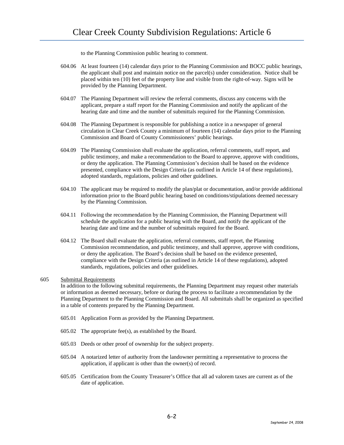to the Planning Commission public hearing to comment.

- 604.06 At least fourteen (14) calendar days prior to the Planning Commission and BOCC public hearings, the applicant shall post and maintain notice on the parcel(s) under consideration. Notice shall be placed within ten (10) feet of the property line and visible from the right-of-way. Signs will be provided by the Planning Department.
- 604.07 The Planning Department will review the referral comments, discuss any concerns with the applicant, prepare a staff report for the Planning Commission and notify the applicant of the hearing date and time and the number of submittals required for the Planning Commission.
- 604.08 The Planning Department is responsible for publishing a notice in a newspaper of general circulation in Clear Creek County a minimum of fourteen (14) calendar days prior to the Planning Commission and Board of County Commissioners' public hearings.
- 604.09 The Planning Commission shall evaluate the application, referral comments, staff report, and public testimony, and make a recommendation to the Board to approve, approve with conditions, or deny the application. The Planning Commission's decision shall be based on the evidence presented, compliance with the Design Criteria (as outlined in Article 14 of these regulations), adopted standards, regulations, policies and other guidelines.
- 604.10 The applicant may be required to modify the plan/plat or documentation, and/or provide additional information prior to the Board public hearing based on conditions/stipulations deemed necessary by the Planning Commission.
- 604.11 Following the recommendation by the Planning Commission, the Planning Department will schedule the application for a public hearing with the Board, and notify the applicant of the hearing date and time and the number of submittals required for the Board.
- 604.12 The Board shall evaluate the application, referral comments, staff report, the Planning Commission recommendation, and public testimony, and shall approve, approve with conditions, or deny the application. The Board's decision shall be based on the evidence presented, compliance with the Design Criteria (as outlined in Article 14 of these regulations), adopted standards, regulations, policies and other guidelines.

# 605 Submittal Requirements

In addition to the following submittal requirements, the Planning Department may request other materials or information as deemed necessary, before or during the process to facilitate a recommendation by the Planning Department to the Planning Commission and Board. All submittals shall be organized as specified in a table of contents prepared by the Planning Department.

- 605.01 Application Form as provided by the Planning Department.
- 605.02 The appropriate fee(s), as established by the Board.
- 605.03 Deeds or other proof of ownership for the subject property.
- 605.04 A notarized letter of authority from the landowner permitting a representative to process the application, if applicant is other than the owner(s) of record.
- 605.05 Certification from the County Treasurer's Office that all ad valorem taxes are current as of the date of application.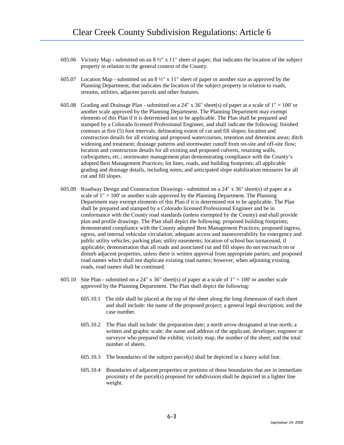- 605.06 Vicinity Map submitted on an  $8\frac{1}{2}$ " x 11" sheet of paper, that indicates the location of the subject property in relation to the general context of the County.
- 605.07 Location Map submitted on an  $8\frac{1}{2}$ " x 11" sheet of paper or another size as approved by the Planning Department, that indicates the location of the subject property in relation to roads, streams, utilities, adjacent parcels and other features.
- 605.08 Grading and Drainage Plan submitted on a 24" x 36" sheet(s) of paper at a scale of 1" = 100' or another scale approved by the Planning Department. The Planning Department may exempt elements of this Plan if it is determined not to be applicable. The Plan shall be prepared and stamped by a Colorado licensed Professional Engineer, and shall indicate the following: finished contours at five (5) foot intervals, delineating extent of cut and fill slopes; location and construction details for all existing and proposed watercourses, retention and detention areas; ditch widening and treatment; drainage patterns and stormwater runoff from on-site and off-site flow; location and construction details for all existing and proposed culverts, retaining walls, curbs/gutters, etc.; stormwater management plan demonstrating compliance with the County's adopted Best Management Practices; lot lines, roads, and building footprints; all applicable grading and drainage details, including notes; and anticipated slope stabilization measures for all cut and fill slopes.
- 605.09 Roadway Design and Construction Drawings submitted on a 24" x 36" sheet(s) of paper at a scale of  $1'' = 100'$  or another scale approved by the Planning Department. The Planning Department may exempt elements of this Plan if it is determined not to be applicable. The Plan shall be prepared and stamped by a Colorado licensed Professional Engineer and be in conformance with the County road standards (unless exempted by the County) and shall provide plan and profile drawings. The Plan shall depict the following: proposed building footprints; demonstrated compliance with the County adopted Best Management Practices; proposed ingress, egress, and internal vehicular circulation; adequate access and maneuverability for emergency and public utility vehicles; parking plan; utility easements; location of school bus turnaround, if applicable; demonstration that all roads and associated cut and fill slopes do not encroach on or disturb adjacent properties, unless there is written approval from appropriate parties; and proposed road names which shall not duplicate existing road names; however, when adjoining existing roads, road names shall be continued.
- 605.10 Site Plan submitted on a 24" x 36" sheet(s) of paper at a scale of  $1" = 100'$  or another scale approved by the Planning Department. The Plan shall depict the following:
	- 605.10.1 The title shall be placed at the top of the sheet along the long dimension of each sheet and shall include: the name of the proposed project; a general legal description; and the case number.
	- 605.10.2 The Plan shall include: the preparation date; a north arrow designated at true north; a written and graphic scale; the name and address of the applicant, developer, engineer or surveyor who prepared the exhibit; vicinity map; the number of the sheet; and the total number of sheets.
	- 605.10.3 The boundaries of the subject parcel(s) shall be depicted in a heavy solid line.
	- 605.10.4 Boundaries of adjacent properties or portions of those boundaries that are in immediate proximity of the parcel(s) proposed for subdivision shall be depicted in a lighter line weight.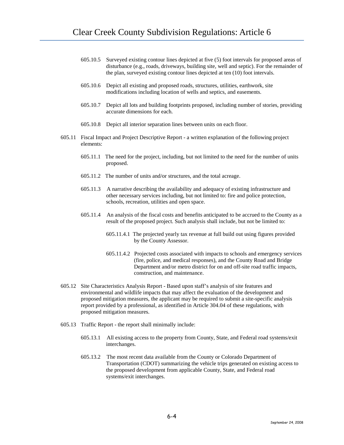- 605.10.5 Surveyed existing contour lines depicted at five (5) foot intervals for proposed areas of disturbance (e.g., roads, driveways, building site, well and septic). For the remainder of the plan, surveyed existing contour lines depicted at ten (10) foot intervals.
- 605.10.6 Depict all existing and proposed roads, structures, utilities, earthwork, site modifications including location of wells and septics, and easements.
- 605.10.7 Depict all lots and building footprints proposed, including number of stories, providing accurate dimensions for each.
- 605.10.8 Depict all interior separation lines between units on each floor.
- 605.11 Fiscal Impact and Project Descriptive Report a written explanation of the following project elements:
	- 605.11.1 The need for the project, including, but not limited to the need for the number of units proposed.
	- 605.11.2 The number of units and/or structures, and the total acreage.
	- 605.11.3 A narrative describing the availability and adequacy of existing infrastructure and other necessary services including, but not limited to: fire and police protection, schools, recreation, utilities and open space.
	- 605.11.4 An analysis of the fiscal costs and benefits anticipated to be accrued to the County as a result of the proposed project. Such analysis shall include, but not be limited to:
		- 605.11.4.1 The projected yearly tax revenue at full build out using figures provided by the County Assessor.
		- 605.11.4.2 Projected costs associated with impacts to schools and emergency services (fire, police, and medical responses), and the County Road and Bridge Department and/or metro district for on and off-site road traffic impacts, construction, and maintenance.
- 605.12 Site Characteristics Analysis Report Based upon staff's analysis of site features and environmental and wildlife impacts that may affect the evaluation of the development and proposed mitigation measures, the applicant may be required to submit a site-specific analysis report provided by a professional, as identified in Article 304.04 of these regulations, with proposed mitigation measures.
- 605.13 Traffic Report the report shall minimally include:
	- 605.13.1 All existing access to the property from County, State, and Federal road systems/exit interchanges.
	- 605.13.2 The most recent data available from the County or Colorado Department of Transportation (CDOT) summarizing the vehicle trips generated on existing access to the proposed development from applicable County, State, and Federal road systems/exit interchanges.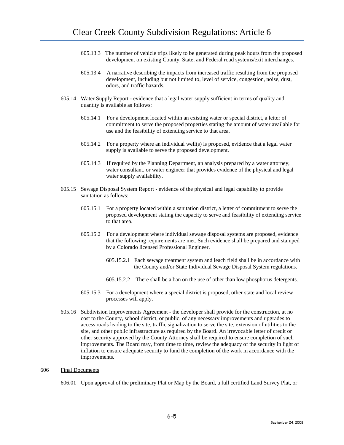- 605.13.3 The number of vehicle trips likely to be generated during peak hours from the proposed development on existing County, State, and Federal road systems/exit interchanges.
- 605.13.4 A narrative describing the impacts from increased traffic resulting from the proposed development, including but not limited to, level of service, congestion, noise, dust, odors, and traffic hazards.
- 605.14 Water Supply Report evidence that a legal water supply sufficient in terms of quality and quantity is available as follows:
	- 605.14.1 For a development located within an existing water or special district, a letter of commitment to serve the proposed properties stating the amount of water available for use and the feasibility of extending service to that area.
	- 605.14.2 For a property where an individual well(s) is proposed, evidence that a legal water supply is available to serve the proposed development.
	- 605.14.3 If required by the Planning Department, an analysis prepared by a water attorney, water consultant, or water engineer that provides evidence of the physical and legal water supply availability.
- 605.15 Sewage Disposal System Report evidence of the physical and legal capability to provide sanitation as follows:
	- 605.15.1 For a property located within a sanitation district, a letter of commitment to serve the proposed development stating the capacity to serve and feasibility of extending service to that area.
	- 605.15.2 For a development where individual sewage disposal systems are proposed, evidence that the following requirements are met. Such evidence shall be prepared and stamped by a Colorado licensed Professional Engineer.
		- 605.15.2.1 Each sewage treatment system and leach field shall be in accordance with the County and/or State Individual Sewage Disposal System regulations.
		- 605.15.2.2 There shall be a ban on the use of other than low phosphorus detergents.
	- 605.15.3 For a development where a special district is proposed, other state and local review processes will apply.
- 605.16 Subdivision Improvements Agreement the developer shall provide for the construction, at no cost to the County, school district, or public, of any necessary improvements and upgrades to access roads leading to the site, traffic signalization to serve the site, extension of utilities to the site, and other public infrastructure as required by the Board. An irrevocable letter of credit or other security approved by the County Attorney shall be required to ensure completion of such improvements. The Board may, from time to time, review the adequacy of the security in light of inflation to ensure adequate security to fund the completion of the work in accordance with the improvements.

#### 606 Final Documents

606.01 Upon approval of the preliminary Plat or Map by the Board, a full certified Land Survey Plat, or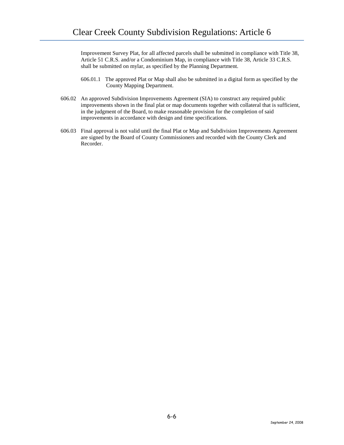Improvement Survey Plat, for all affected parcels shall be submitted in compliance with Title 38, Article 51 C.R.S. and/or a Condominium Map, in compliance with Title 38, Article 33 C.R.S. shall be submitted on mylar, as specified by the Planning Department.

- 606.01.1 The approved Plat or Map shall also be submitted in a digital form as specified by the County Mapping Department.
- 606.02 An approved Subdivision Improvements Agreement (SIA) to construct any required public improvements shown in the final plat or map documents together with collateral that is sufficient, in the judgment of the Board, to make reasonable provision for the completion of said improvements in accordance with design and time specifications.
- 606.03 Final approval is not valid until the final Plat or Map and Subdivision Improvements Agreement are signed by the Board of County Commissioners and recorded with the County Clerk and Recorder.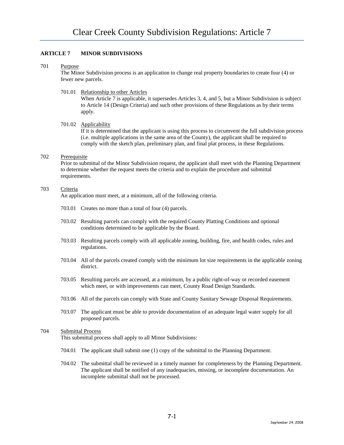# **ARTICLE 7 MINOR SUBDIVISIONS**

### 701 Purpose

The Minor Subdivision process is an application to change real property boundaries to create four (4) or fewer new parcels.

# 701.01 Relationship to other Articles

When Article 7 is applicable, it supersedes Articles 3, 4, and 5, but a Minor Subdivision is subject to Article 14 (Design Criteria) and such other provisions of these Regulations as by their terms apply.

# 701.02 Applicability

If it is determined that the applicant is using this process to circumvent the full subdivision process (i.e. multiple applications in the same area of the County), the applicant shall be required to comply with the sketch plan, preliminary plan, and final plat process, in these Regulations.

# 702 Prerequisite

Prior to submittal of the Minor Subdivision request, the applicant shall meet with the Planning Department to determine whether the request meets the criteria and to explain the procedure and submittal requirements.

# 703 Criteria

An application must meet, at a minimum, all of the following criteria.

- 703.01 Creates no more than a total of four (4) parcels.
- 703.02 Resulting parcels can comply with the required County Platting Conditions and optional conditions determined to be applicable by the Board.
- 703.03 Resulting parcels comply with all applicable zoning, building, fire, and health codes, rules and regulations.
- 703.04 All of the parcels created comply with the minimum lot size requirements in the applicable zoning district.
- 703.05 Resulting parcels are accessed, at a minimum, by a public right-of-way or recorded easement which meet, or with improvements can meet, County Road Design Standards.
- 703.06 All of the parcels can comply with State and County Sanitary Sewage Disposal Requirements.
- 703.07 The applicant must be able to provide documentation of an adequate legal water supply for all proposed parcels.

# 704 Submittal Process

This submittal process shall apply to all Minor Subdivisions:

- 704.01 The applicant shall submit one (1) copy of the submittal to the Planning Department.
- 704.02 The submittal shall be reviewed in a timely manner for completeness by the Planning Department. The applicant shall be notified of any inadequacies, missing, or incomplete documentation. An incomplete submittal shall not be processed.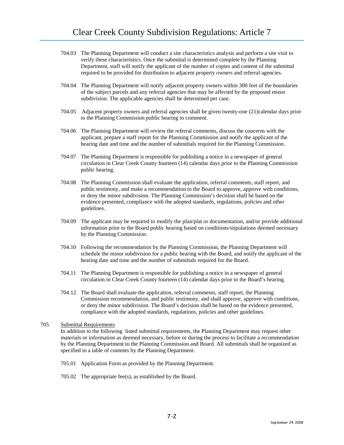- 704.03 The Planning Department will conduct a site characteristics analysis and perform a site visit to verify these characteristics. Once the submittal is determined complete by the Planning Department, staff will notify the applicant of the number of copies and content of the submittal required to be provided for distribution to adjacent property owners and referral agencies.
- 704.04 The Planning Department will notify adjacent property owners within 300 feet of the boundaries of the subject parcels and any referral agencies that may be affected by the proposed minor subdivision. The applicable agencies shall be determined per case.
- 704.05 Adjacent property owners and referral agencies shall be given twenty-one (21)calendar days prior to the Planning Commission public hearing to comment.
- 704.06 The Planning Department will review the referral comments, discuss the concerns with the applicant, prepare a staff report for the Planning Commission and notify the applicant of the hearing date and time and the number of submittals required for the Planning Commission.
- 704.07 The Planning Department is responsible for publishing a notice in a newspaper of general circulation in Clear Creek County fourteen (14) calendar days prior to the Planning Commission public hearing.
- 704.08 The Planning Commission shall evaluate the application, referral comments, staff report, and public testimony, and make a recommendation to the Board to approve, approve with conditions, or deny the minor subdivision. The Planning Commission's decision shall be based on the evidence presented, compliance with the adopted standards, regulations, policies and other guidelines.
- 704.09 The applicant may be required to modify the plan/plat or documentation, and/or provide additional information prior to the Board public hearing based on conditions/stipulations deemed necessary by the Planning Commission.
- 704.10 Following the recommendation by the Planning Commission, the Planning Department will schedule the minor subdivision for a public hearing with the Board, and notify the applicant of the hearing date and time and the number of submittals required for the Board.
- 704.11 The Planning Department is responsible for publishing a notice in a newspaper of general circulation in Clear Creek County fourteen (14) calendar days prior to the Board's hearing.
- 704.12 The Board shall evaluate the application, referral comments, staff report, the Planning Commission recommendation, and public testimony, and shall approve, approve with conditions, or deny the minor subdivision. The Board's decision shall be based on the evidence presented, compliance with the adopted standards, regulations, policies and other guidelines.

# 705 Submittal Requirements

In addition to the following listed submittal requirements, the Planning Department may request other materials or information as deemed necessary, before or during the process to facilitate a recommendation by the Planning Department to the Planning Commission and Board. All submittals shall be organized as specified in a table of contents by the Planning Department.

- 705.01 Application Form as provided by the Planning Department.
- 705.02 The appropriate fee(s), as established by the Board.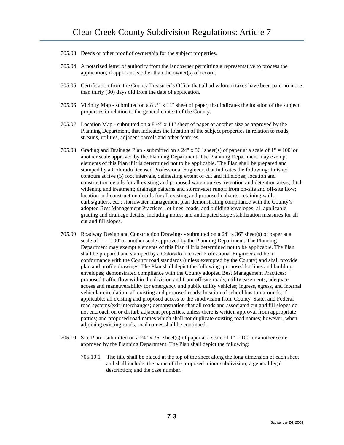- 705.03 Deeds or other proof of ownership for the subject properties.
- 705.04 A notarized letter of authority from the landowner permitting a representative to process the application, if applicant is other than the owner(s) of record.
- 705.05 Certification from the County Treasurer's Office that all ad valorem taxes have been paid no more than thirty (30) days old from the date of application.
- 705.06 Vicinity Map submitted on a 8 ½" x 11" sheet of paper, that indicates the location of the subject properties in relation to the general context of the County.
- 705.07 Location Map submitted on a 8 ½" x 11" sheet of paper or another size as approved by the Planning Department, that indicates the location of the subject properties in relation to roads, streams, utilities, adjacent parcels and other features.
- 705.08 Grading and Drainage Plan submitted on a 24" x 36" sheet(s) of paper at a scale of  $1" = 100'$  or another scale approved by the Planning Department. The Planning Department may exempt elements of this Plan if it is determined not to be applicable. The Plan shall be prepared and stamped by a Colorado licensed Professional Engineer, that indicates the following: finished contours at five (5) foot intervals, delineating extent of cut and fill slopes; location and construction details for all existing and proposed watercourses, retention and detention areas; ditch widening and treatment; drainage patterns and stormwater runoff from on-site and off-site flow; location and construction details for all existing and proposed culverts, retaining walls, curbs/gutters, etc.; stormwater management plan demonstrating compliance with the County's adopted Best Management Practices; lot lines, roads, and building envelopes; all applicable grading and drainage details, including notes; and anticipated slope stabilization measures for all cut and fill slopes.
- 705.09 Roadway Design and Construction Drawings submitted on a 24" x 36" sheet(s) of paper at a scale of  $1" = 100'$  or another scale approved by the Planning Department. The Planning Department may exempt elements of this Plan if it is determined not to be applicable. The Plan shall be prepared and stamped by a Colorado licensed Professional Engineer and be in conformance with the County road standards (unless exempted by the County) and shall provide plan and profile drawings. The Plan shall depict the following: proposed lot lines and building envelopes; demonstrated compliance with the County adopted Best Management Practices; proposed traffic flow within the division and from off-site roads; utility easements; adequate access and maneuverability for emergency and public utility vehicles; ingress, egress, and internal vehicular circulation; all existing and proposed roads; location of school bus turnarounds, if applicable; all existing and proposed access to the subdivision from County, State, and Federal road systems/exit interchanges; demonstration that all roads and associated cut and fill slopes do not encroach on or disturb adjacent properties, unless there is written approval from appropriate parties; and proposed road names which shall not duplicate existing road names; however, when adjoining existing roads, road names shall be continued.
- 705.10 Site Plan submitted on a 24" x 36" sheet(s) of paper at a scale of  $1" = 100'$  or another scale approved by the Planning Department. The Plan shall depict the following:
	- 705.10.1 The title shall be placed at the top of the sheet along the long dimension of each sheet and shall include: the name of the proposed minor subdivision; a general legal description; and the case number.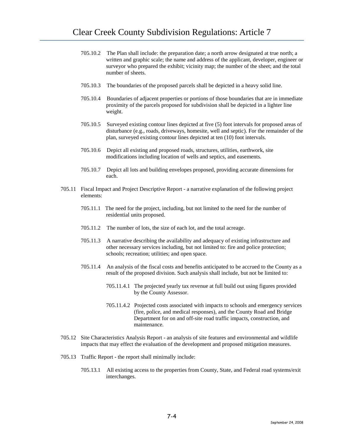- 705.10.2 The Plan shall include: the preparation date; a north arrow designated at true north; a written and graphic scale; the name and address of the applicant, developer, engineer or surveyor who prepared the exhibit; vicinity map; the number of the sheet; and the total number of sheets.
- 705.10.3 The boundaries of the proposed parcels shall be depicted in a heavy solid line.
- 705.10.4 Boundaries of adjacent properties or portions of those boundaries that are in immediate proximity of the parcels proposed for subdivision shall be depicted in a lighter line weight.
- 705.10.5 Surveyed existing contour lines depicted at five (5) foot intervals for proposed areas of disturbance (e.g., roads, driveways, homesite, well and septic). For the remainder of the plan, surveyed existing contour lines depicted at ten (10) foot intervals.
- 705.10.6 Depict all existing and proposed roads, structures, utilities, earthwork, site modifications including location of wells and septics, and easements.
- 705.10.7 Depict all lots and building envelopes proposed, providing accurate dimensions for each.
- 705.11 Fiscal Impact and Project Descriptive Report a narrative explanation of the following project elements:
	- 705.11.1 The need for the project, including, but not limited to the need for the number of residential units proposed.
	- 705.11.2 The number of lots, the size of each lot, and the total acreage.
	- 705.11.3 A narrative describing the availability and adequacy of existing infrastructure and other necessary services including, but not limited to: fire and police protection; schools; recreation; utilities; and open space.
	- 705.11.4 An analysis of the fiscal costs and benefits anticipated to be accrued to the County as a result of the proposed division. Such analysis shall include, but not be limited to:
		- 705.11.4.1 The projected yearly tax revenue at full build out using figures provided by the County Assessor.
		- 705.11.4.2 Projected costs associated with impacts to schools and emergency services (fire, police, and medical responses), and the County Road and Bridge Department for on and off-site road traffic impacts, construction, and maintenance.
- 705.12 Site Characteristics Analysis Report an analysis of site features and environmental and wildlife impacts that may effect the evaluation of the development and proposed mitigation measures.
- 705.13 Traffic Report the report shall minimally include:
	- 705.13.1 All existing access to the properties from County, State, and Federal road systems/exit interchanges.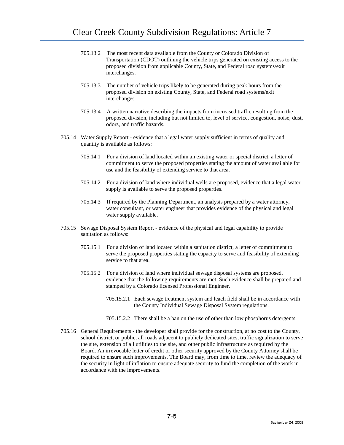- 705.13.2 The most recent data available from the County or Colorado Division of Transportation (CDOT) outlining the vehicle trips generated on existing access to the proposed division from applicable County, State, and Federal road systems/exit interchanges.
- 705.13.3 The number of vehicle trips likely to be generated during peak hours from the proposed division on existing County, State, and Federal road systems/exit interchanges.
- 705.13.4 A written narrative describing the impacts from increased traffic resulting from the proposed division, including but not limited to, level of service, congestion, noise, dust, odors, and traffic hazards.
- 705.14 Water Supply Report evidence that a legal water supply sufficient in terms of quality and quantity is available as follows:
	- 705.14.1 For a division of land located within an existing water or special district, a letter of commitment to serve the proposed properties stating the amount of water available for use and the feasibility of extending service to that area.
	- 705.14.2 For a division of land where individual wells are proposed, evidence that a legal water supply is available to serve the proposed properties.
	- 705.14.3 If required by the Planning Department, an analysis prepared by a water attorney, water consultant, or water engineer that provides evidence of the physical and legal water supply available.
- 705.15 Sewage Disposal System Report evidence of the physical and legal capability to provide sanitation as follows:
	- 705.15.1 For a division of land located within a sanitation district, a letter of commitment to serve the proposed properties stating the capacity to serve and feasibility of extending service to that area.
	- 705.15.2 For a division of land where individual sewage disposal systems are proposed, evidence that the following requirements are met. Such evidence shall be prepared and stamped by a Colorado licensed Professional Engineer.
		- 705.15.2.1 Each sewage treatment system and leach field shall be in accordance with the County Individual Sewage Disposal System regulations.
		- 705.15.2.2 There shall be a ban on the use of other than low phosphorus detergents.
- 705.16 General Requirements the developer shall provide for the construction, at no cost to the County, school district, or public, all roads adjacent to publicly dedicated sites, traffic signalization to serve the site, extension of all utilities to the site, and other public infrastructure as required by the Board. An irrevocable letter of credit or other security approved by the County Attorney shall be required to ensure such improvements. The Board may, from time to time, review the adequacy of the security in light of inflation to ensure adequate security to fund the completion of the work in accordance with the improvements.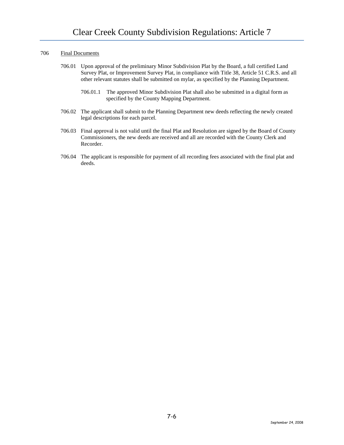### 706 Final Documents

- 706.01 Upon approval of the preliminary Minor Subdivision Plat by the Board, a full certified Land Survey Plat, or Improvement Survey Plat, in compliance with Title 38, Article 51 C.R.S. and all other relevant statutes shall be submitted on mylar, as specified by the Planning Department.
	- 706.01.1 The approved Minor Subdivision Plat shall also be submitted in a digital form as specified by the County Mapping Department.
- 706.02 The applicant shall submit to the Planning Department new deeds reflecting the newly created legal descriptions for each parcel.
- 706.03 Final approval is not valid until the final Plat and Resolution are signed by the Board of County Commissioners, the new deeds are received and all are recorded with the County Clerk and Recorder.
- 706.04 The applicant is responsible for payment of all recording fees associated with the final plat and deeds.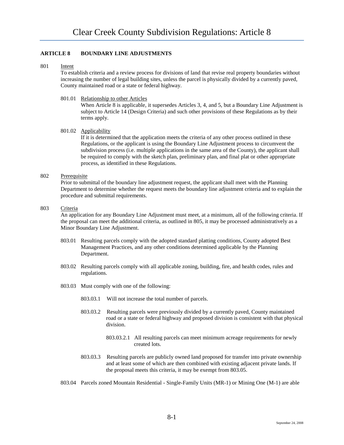# **ARTICLE 8 BOUNDARY LINE ADJUSTMENTS**

### 801 Intent

To establish criteria and a review process for divisions of land that revise real property boundaries without increasing the number of legal building sites, unless the parcel is physically divided by a currently paved, County maintained road or a state or federal highway.

# 801.01 Relationship to other Articles

When Article 8 is applicable, it supersedes Articles 3, 4, and 5, but a Boundary Line Adjustment is subject to Article 14 (Design Criteria) and such other provisions of these Regulations as by their terms apply.

# 801.02 Applicability

If it is determined that the application meets the criteria of any other process outlined in these Regulations, or the applicant is using the Boundary Line Adjustment process to circumvent the subdivision process (i.e. multiple applications in the same area of the County), the applicant shall be required to comply with the sketch plan, preliminary plan, and final plat or other appropriate process, as identified in these Regulations.

# 802 Prerequisite

Prior to submittal of the boundary line adjustment request, the applicant shall meet with the Planning Department to determine whether the request meets the boundary line adjustment criteria and to explain the procedure and submittal requirements.

### 803 Criteria

An application for any Boundary Line Adjustment must meet, at a minimum, all of the following criteria. If the proposal can meet the additional criteria, as outlined in 805, it may be processed administratively as a Minor Boundary Line Adjustment.

- 803.01 Resulting parcels comply with the adopted standard platting conditions, County adopted Best Management Practices, and any other conditions determined applicable by the Planning Department.
- 803.02 Resulting parcels comply with all applicable zoning, building, fire, and health codes, rules and regulations.
- 803.03 Must comply with one of the following:
	- 803.03.1 Will not increase the total number of parcels.
	- 803.03.2 Resulting parcels were previously divided by a currently paved, County maintained road or a state or federal highway and proposed division is consistent with that physical division.
		- 803.03.2.1 All resulting parcels can meet minimum acreage requirements for newly created lots.
	- 803.03.3 Resulting parcels are publicly owned land proposed for transfer into private ownership and at least some of which are then combined with existing adjacent private lands. If the proposal meets this criteria, it may be exempt from 803.05.
- 803.04 Parcels zoned Mountain Residential Single-Family Units (MR-1) or Mining One (M-1) are able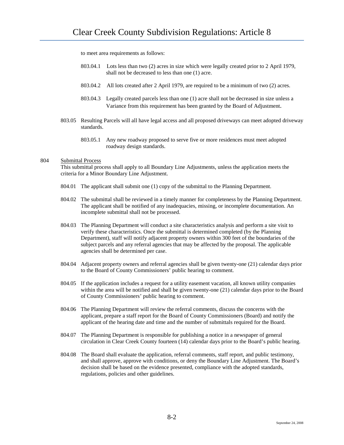to meet area requirements as follows:

- 803.04.1 Lots less than two (2) acres in size which were legally created prior to 2 April 1979, shall not be decreased to less than one (1) acre.
- 803.04.2 All lots created after 2 April 1979, are required to be a minimum of two (2) acres.
- 803.04.3 Legally created parcels less than one (1) acre shall not be decreased in size unless a Variance from this requirement has been granted by the Board of Adjustment.
- 803.05 Resulting Parcels will all have legal access and all proposed driveways can meet adopted driveway standards.
	- 803.05.1 Any new roadway proposed to serve five or more residences must meet adopted roadway design standards.

# 804 Submittal Process

This submittal process shall apply to all Boundary Line Adjustments, unless the application meets the criteria for a Minor Boundary Line Adjustment.

- 804.01 The applicant shall submit one (1) copy of the submittal to the Planning Department.
- 804.02 The submittal shall be reviewed in a timely manner for completeness by the Planning Department. The applicant shall be notified of any inadequacies, missing, or incomplete documentation. An incomplete submittal shall not be processed.
- 804.03 The Planning Department will conduct a site characteristics analysis and perform a site visit to verify these characteristics. Once the submittal is determined completed (by the Planning Department), staff will notify adjacent property owners within 300 feet of the boundaries of the subject parcels and any referral agencies that may be affected by the proposal. The applicable agencies shall be determined per case.
- 804.04 Adjacent property owners and referral agencies shall be given twenty-one (21) calendar days prior to the Board of County Commissioners' public hearing to comment.
- 804.05 If the application includes a request for a utility easement vacation, all known utility companies within the area will be notified and shall be given twenty-one (21) calendar days prior to the Board of County Commissioners' public hearing to comment.
- 804.06 The Planning Department will review the referral comments, discuss the concerns with the applicant, prepare a staff report for the Board of County Commissioners (Board) and notify the applicant of the hearing date and time and the number of submittals required for the Board.
- 804.07 The Planning Department is responsible for publishing a notice in a newspaper of general circulation in Clear Creek County fourteen (14) calendar days prior to the Board's public hearing.
- 804.08 The Board shall evaluate the application, referral comments, staff report, and public testimony, and shall approve, approve with conditions, or deny the Boundary Line Adjustment. The Board's decision shall be based on the evidence presented, compliance with the adopted standards, regulations, policies and other guidelines.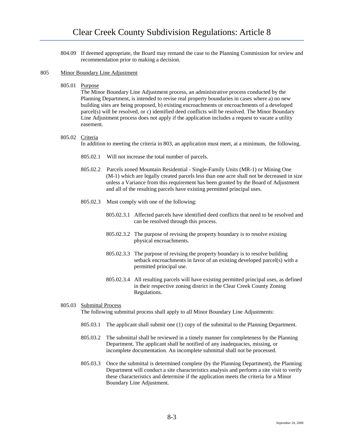804.09 If deemed appropriate, the Board may remand the case to the Planning Commission for review and recommendation prior to making a decision.

# 805 Minor Boundary Line Adjustment

805.01 Purpose

The Minor Boundary Line Adjustment process, an administrative process conducted by the Planning Department, is intended to revise real property boundaries in cases where a) no new building sites are being proposed, b) existing encroachments or encroachments of a developed parcel(s) will be resolved, or c) identified deed conflicts will be resolved. The Minor Boundary Line Adjustment process does not apply if the application includes a request to vacate a utility easement.

### 805.02 Criteria

In addition to meeting the criteria in 803, an application must meet, at a minimum, the following.

- 805.02.1 Will not increase the total number of parcels.
- 805.02.2 Parcels zoned Mountain Residential Single-Family Units (MR-1) or Mining One (M-1) which are legally created parcels less than one acre shall not be decreased in size unless a Variance from this requirement has been granted by the Board of Adjustment and all of the resulting parcels have existing permitted principal uses.
- 805.02.3 Must comply with one of the following:
	- 805.02.3.1 Affected parcels have identified deed conflicts that need to be resolved and can be resolved through this process.
	- 805.02.3.2 The purpose of revising the property boundary is to resolve existing physical encroachments.
	- 805.02.3.3 The purpose of revising the property boundary is to resolve building setback encroachments in favor of an existing developed parcel(s) with a permitted principal use.
	- 805.02.3.4 All resulting parcels will have existing permitted principal uses, as defined in their respective zoning district in the Clear Creek County Zoning Regulations.

# 805.03 Submittal Process The following submittal process shall apply to all Minor Boundary Line Adjustments:

- 805.03.1 The applicant shall submit one (1) copy of the submittal to the Planning Department.
- 805.03.2 The submittal shall be reviewed in a timely manner for completeness by the Planning Department. The applicant shall be notified of any inadequacies, missing, or incomplete documentation. An incomplete submittal shall not be processed.
- 805.03.3 Once the submittal is determined complete (by the Planning Department), the Planning Department will conduct a site characteristics analysis and perform a site visit to verify these characteristics and determine if the application meets the criteria for a Minor Boundary Line Adjustment.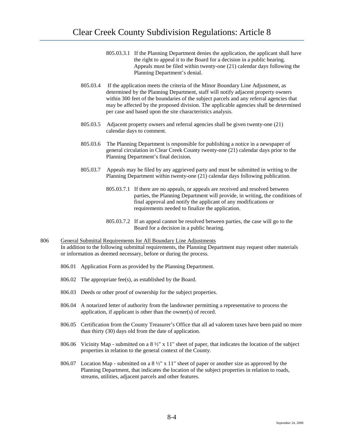- 805.03.3.1 If the Planning Department denies the application, the applicant shall have the right to appeal it to the Board for a decision in a public hearing. Appeals must be filed within twenty-one (21) calendar days following the Planning Department's denial.
- 805.03.4 If the application meets the criteria of the Minor Boundary Line Adjustment, as determined by the Planning Department, staff will notify adjacent property owners within 300 feet of the boundaries of the subject parcels and any referral agencies that may be affected by the proposed division. The applicable agencies shall be determined per case and based upon the site characteristics analysis.
- 805.03.5 Adjacent property owners and referral agencies shall be given twenty-one (21) calendar days to comment.
- 805.03.6 The Planning Department is responsible for publishing a notice in a newspaper of general circulation in Clear Creek County twenty-one (21) calendar days prior to the Planning Department's final decision.
- 805.03.7 Appeals may be filed by any aggrieved party and must be submitted in writing to the Planning Department within twenty-one (21) calendar days following publication.
	- 805.03.7.1 If there are no appeals, or appeals are received and resolved between parties, the Planning Department will provide, in writing, the conditions of final approval and notify the applicant of any modifications or requirements needed to finalize the application.
	- 805.03.7.2 If an appeal cannot be resolved between parties, the case will go to the Board for a decision in a public hearing.

# 806 General Submittal Requirements for All Boundary Line Adjustments In addition to the following submittal requirements, the Planning Department may request other materials or information as deemed necessary, before or during the process.

- 806.01 Application Form as provided by the Planning Department.
- 806.02 The appropriate fee(s), as established by the Board.
- 806.03 Deeds or other proof of ownership for the subject properties.
- 806.04 A notarized letter of authority from the landowner permitting a representative to process the application, if applicant is other than the owner(s) of record.
- 806.05 Certification from the County Treasurer's Office that all ad valorem taxes have been paid no more than thirty (30) days old from the date of application.
- 806.06 Vicinity Map submitted on a  $8\frac{1}{2}$ " x 11" sheet of paper, that indicates the location of the subject properties in relation to the general context of the County.
- 806.07 Location Map submitted on a 8 ½" x 11" sheet of paper or another size as approved by the Planning Department, that indicates the location of the subject properties in relation to roads, streams, utilities, adjacent parcels and other features.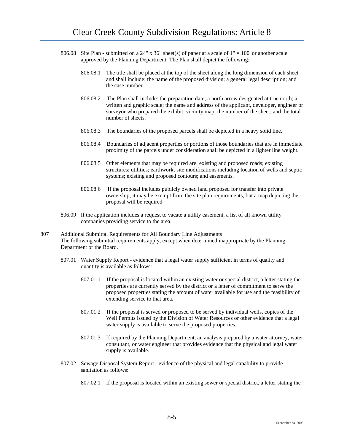- 806.08 Site Plan submitted on a 24" x 36" sheet(s) of paper at a scale of  $1" = 100'$  or another scale approved by the Planning Department. The Plan shall depict the following:
	- 806.08.1 The title shall be placed at the top of the sheet along the long dimension of each sheet and shall include: the name of the proposed division; a general legal description; and the case number.
	- 806.08.2 The Plan shall include: the preparation date; a north arrow designated at true north; a written and graphic scale; the name and address of the applicant, developer, engineer or surveyor who prepared the exhibit; vicinity map; the number of the sheet; and the total number of sheets.
	- 806.08.3 The boundaries of the proposed parcels shall be depicted in a heavy solid line.
	- 806.08.4 Boundaries of adjacent properties or portions of those boundaries that are in immediate proximity of the parcels under consideration shall be depicted in a lighter line weight.
	- 806.08.5 Other elements that may be required are: existing and proposed roads; existing structures; utilities; earthwork; site modifications including location of wells and septic systems; existing and proposed contours; and easements.
	- 806.08.6 If the proposal includes publicly owned land proposed for transfer into private ownership, it may be exempt from the site plan requirements, but a map depicting the proposal will be required.
- 806.09 If the application includes a request to vacate a utility easement, a list of all known utility companies providing service to the area.
- 807 Additional Submittal Requirements for All Boundary Line Adjustments The following submittal requirements apply, except when determined inappropriate by the Planning Department or the Board.
	- 807.01 Water Supply Report evidence that a legal water supply sufficient in terms of quality and quantity is available as follows:
		- 807.01.1 If the proposal is located within an existing water or special district, a letter stating the properties are currently served by the district or a letter of commitment to serve the proposed properties stating the amount of water available for use and the feasibility of extending service to that area.
		- 807.01.2 If the proposal is served or proposed to be served by individual wells, copies of the Well Permits issued by the Division of Water Resources or other evidence that a legal water supply is available to serve the proposed properties.
		- 807.01.3 If required by the Planning Department, an analysis prepared by a water attorney, water consultant, or water engineer that provides evidence that the physical and legal water supply is available.
	- 807.02 Sewage Disposal System Report evidence of the physical and legal capability to provide sanitation as follows:
		- 807.02.1 If the proposal is located within an existing sewer or special district, a letter stating the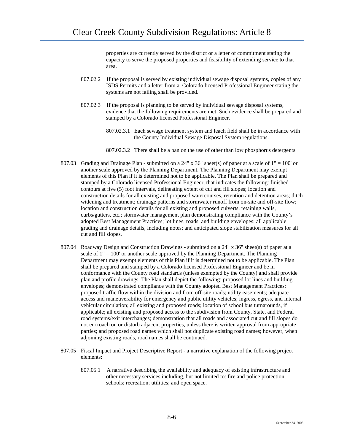properties are currently served by the district or a letter of commitment stating the capacity to serve the proposed properties and feasibility of extending service to that area.

- 807.02.2 If the proposal is served by existing individual sewage disposal systems, copies of any ISDS Permits and a letter from a Colorado licensed Professional Engineer stating the systems are not failing shall be provided.
- 807.02.3 If the proposal is planning to be served by individual sewage disposal systems, evidence that the following requirements are met. Such evidence shall be prepared and stamped by a Colorado licensed Professional Engineer.
	- 807.02.3.1 Each sewage treatment system and leach field shall be in accordance with the County Individual Sewage Disposal System regulations.
	- 807.02.3.2 There shall be a ban on the use of other than low phosphorus detergents.
- 807.03 Grading and Drainage Plan submitted on a 24" x 36" sheet(s) of paper at a scale of 1" = 100' or another scale approved by the Planning Department. The Planning Department may exempt elements of this Plan if it is determined not to be applicable. The Plan shall be prepared and stamped by a Colorado licensed Professional Engineer, that indicates the following: finished contours at five (5) foot intervals, delineating extent of cut and fill slopes; location and construction details for all existing and proposed watercourses, retention and detention areas; ditch widening and treatment; drainage patterns and stormwater runoff from on-site and off-site flow; location and construction details for all existing and proposed culverts, retaining walls, curbs/gutters, etc.; stormwater management plan demonstrating compliance with the County's adopted Best Management Practices; lot lines, roads, and building envelopes; all applicable grading and drainage details, including notes; and anticipated slope stabilization measures for all cut and fill slopes.
- 807.04 Roadway Design and Construction Drawings submitted on a 24" x 36" sheet(s) of paper at a scale of  $1" = 100'$  or another scale approved by the Planning Department. The Planning Department may exempt elements of this Plan if it is determined not to be applicable. The Plan shall be prepared and stamped by a Colorado licensed Professional Engineer and be in conformance with the County road standards (unless exempted by the County) and shall provide plan and profile drawings. The Plan shall depict the following: proposed lot lines and building envelopes; demonstrated compliance with the County adopted Best Management Practices; proposed traffic flow within the division and from off-site roads; utility easements; adequate access and maneuverability for emergency and public utility vehicles; ingress, egress, and internal vehicular circulation; all existing and proposed roads; location of school bus turnarounds, if applicable; all existing and proposed access to the subdivision from County, State, and Federal road systems/exit interchanges; demonstration that all roads and associated cut and fill slopes do not encroach on or disturb adjacent properties, unless there is written approval from appropriate parties; and proposed road names which shall not duplicate existing road names; however, when adjoining existing roads, road names shall be continued.
- 807.05 Fiscal Impact and Project Descriptive Report a narrative explanation of the following project elements:
	- 807.05.1 A narrative describing the availability and adequacy of existing infrastructure and other necessary services including, but not limited to: fire and police protection; schools; recreation; utilities; and open space.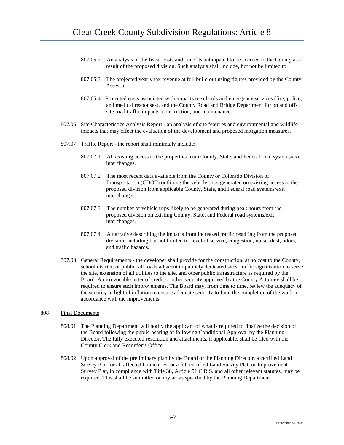- 807.05.2 An analysis of the fiscal costs and benefits anticipated to be accrued to the County as a result of the proposed division. Such analysis shall include, but not be limited to:
- 807.05.3 The projected yearly tax revenue at full build out using figures provided by the County Assessor.
- 807.05.4 Projected costs associated with impacts to schools and emergency services (fire, police, and medical responses), and the County Road and Bridge Department for on and offsite road traffic impacts, construction, and maintenance.
- 807.06 Site Characteristics Analysis Report an analysis of site features and environmental and wildlife impacts that may effect the evaluation of the development and proposed mitigation measures.
- 807.07 Traffic Report the report shall minimally include:
	- 807.07.1 All existing access to the properties from County, State, and Federal road systems/exit interchanges.
	- 807.07.2 The most recent data available from the County or Colorado Division of Transportation (CDOT) outlining the vehicle trips generated on existing access to the proposed division from applicable County, State, and Federal road systems/exit interchanges.
	- 807.07.3 The number of vehicle trips likely to be generated during peak hours from the proposed division on existing County, State, and Federal road systems/exit interchanges.
	- 807.07.4 A narrative describing the impacts from increased traffic resulting from the proposed division, including but not limited to, level of service, congestion, noise, dust, odors, and traffic hazards.
- 807.08 General Requirements the developer shall provide for the construction, at no cost to the County, school district, or public, all roads adjacent to publicly dedicated sites, traffic signalization to serve the site, extension of all utilities to the site, and other public infrastructure as required by the Board. An irrevocable letter of credit or other security approved by the County Attorney shall be required to ensure such improvements. The Board may, from time to time, review the adequacy of the security in light of inflation to ensure adequate security to fund the completion of the work in accordance with the improvements.
- 808 Final Documents
	- 808.01 The Planning Department will notify the applicant of what is required to finalize the decision of the Board following the public hearing or following Conditional Approval by the Planning Director. The fully executed resolution and attachments, if applicable, shall be filed with the County Clerk and Recorder's Office.
	- 808.02 Upon approval of the preliminary plan by the Board or the Planning Director, a certified Land Survey Plat for all affected boundaries, or a full certified Land Survey Plat, or Improvement Survey Plat, in compliance with Title 38, Article 51 C.R.S. and all other relevant statutes, may be required. This shall be submitted on mylar, as specified by the Planning Department.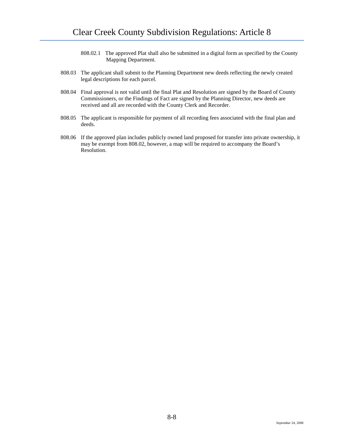- 808.02.1 The approved Plat shall also be submitted in a digital form as specified by the County Mapping Department.
- 808.03 The applicant shall submit to the Planning Department new deeds reflecting the newly created legal descriptions for each parcel.
- 808.04 Final approval is not valid until the final Plat and Resolution are signed by the Board of County Commissioners, or the Findings of Fact are signed by the Planning Director, new deeds are received and all are recorded with the County Clerk and Recorder.
- 808.05 The applicant is responsible for payment of all recording fees associated with the final plan and deeds.
- 808.06 If the approved plan includes publicly owned land proposed for transfer into private ownership, it may be exempt from 808.02, however, a map will be required to accompany the Board's Resolution.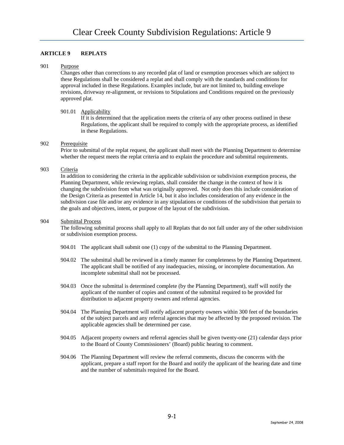# **ARTICLE 9 REPLATS**

#### 901 Purpose

Changes other than corrections to any recorded plat of land or exemption processes which are subject to these Regulations shall be considered a replat and shall comply with the standards and conditions for approval included in these Regulations. Examples include, but are not limited to, building envelope revisions, driveway re-alignment, or revisions to Stipulations and Conditions required on the previously approved plat.

### 901.01 Applicability

If it is determined that the application meets the criteria of any other process outlined in these Regulations, the applicant shall be required to comply with the appropriate process, as identified in these Regulations.

# 902 Prerequisite

Prior to submittal of the replat request, the applicant shall meet with the Planning Department to determine whether the request meets the replat criteria and to explain the procedure and submittal requirements.

# 903 Criteria

In addition to considering the criteria in the applicable subdivision or subdivision exemption process, the Planning Department, while reviewing replats, shall consider the change in the context of how it is changing the subdivision from what was originally approved. Not only does this include consideration of the Design Criteria as presented in Article 14, but it also includes consideration of any evidence in the subdivision case file and/or any evidence in any stipulations or conditions of the subdivision that pertain to the goals and objectives, intent, or purpose of the layout of the subdivision.

### 904 Submittal Process

The following submittal process shall apply to all Replats that do not fall under any of the other subdivision or subdivision exemption process.

- 904.01 The applicant shall submit one (1) copy of the submittal to the Planning Department.
- 904.02 The submittal shall be reviewed in a timely manner for completeness by the Planning Department. The applicant shall be notified of any inadequacies, missing, or incomplete documentation. An incomplete submittal shall not be processed.
- 904.03 Once the submittal is determined complete (by the Planning Department), staff will notify the applicant of the number of copies and content of the submittal required to be provided for distribution to adjacent property owners and referral agencies.
- 904.04 The Planning Department will notify adjacent property owners within 300 feet of the boundaries of the subject parcels and any referral agencies that may be affected by the proposed revision. The applicable agencies shall be determined per case.
- 904.05 Adjacent property owners and referral agencies shall be given twenty-one (21) calendar days prior to the Board of County Commissioners' (Board) public hearing to comment.
- 904.06 The Planning Department will review the referral comments, discuss the concerns with the applicant, prepare a staff report for the Board and notify the applicant of the hearing date and time and the number of submittals required for the Board.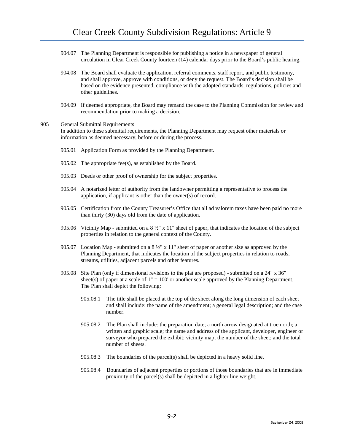- 904.07 The Planning Department is responsible for publishing a notice in a newspaper of general circulation in Clear Creek County fourteen (14) calendar days prior to the Board's public hearing.
- 904.08 The Board shall evaluate the application, referral comments, staff report, and public testimony, and shall approve, approve with conditions, or deny the request. The Board's decision shall be based on the evidence presented, compliance with the adopted standards, regulations, policies and other guidelines.
- 904.09 If deemed appropriate, the Board may remand the case to the Planning Commission for review and recommendation prior to making a decision.

# 905 General Submittal Requirements In addition to these submittal requirements, the Planning Department may request other materials or information as deemed necessary, before or during the process.

- 905.01 Application Form as provided by the Planning Department.
- 905.02 The appropriate fee(s), as established by the Board.
- 905.03 Deeds or other proof of ownership for the subject properties.
- 905.04 A notarized letter of authority from the landowner permitting a representative to process the application, if applicant is other than the owner(s) of record.
- 905.05 Certification from the County Treasurer's Office that all ad valorem taxes have been paid no more than thirty (30) days old from the date of application.
- 905.06 Vicinity Map submitted on a  $8\frac{1}{2}$ " x 11" sheet of paper, that indicates the location of the subject properties in relation to the general context of the County.
- 905.07 Location Map submitted on a 8 ½" x 11" sheet of paper or another size as approved by the Planning Department, that indicates the location of the subject properties in relation to roads, streams, utilities, adjacent parcels and other features.
- 905.08 Site Plan (only if dimensional revisions to the plat are proposed) submitted on a 24" x 36" sheet(s) of paper at a scale of  $1" = 100'$  or another scale approved by the Planning Department. The Plan shall depict the following:
	- 905.08.1 The title shall be placed at the top of the sheet along the long dimension of each sheet and shall include: the name of the amendment; a general legal description; and the case number.
	- 905.08.2 The Plan shall include: the preparation date; a north arrow designated at true north; a written and graphic scale; the name and address of the applicant, developer, engineer or surveyor who prepared the exhibit; vicinity map; the number of the sheet; and the total number of sheets.
	- 905.08.3 The boundaries of the parcel(s) shall be depicted in a heavy solid line.
	- 905.08.4 Boundaries of adjacent properties or portions of those boundaries that are in immediate proximity of the parcel(s) shall be depicted in a lighter line weight.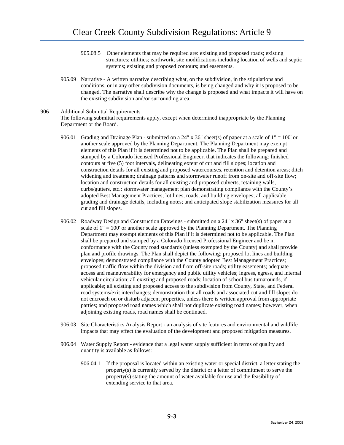- 905.08.5 Other elements that may be required are: existing and proposed roads; existing structures; utilities; earthwork; site modifications including location of wells and septic systems; existing and proposed contours; and easements.
- 905.09 Narrative A written narrative describing what, on the subdivision, in the stipulations and conditions, or in any other subdivision documents, is being changed and why it is proposed to be changed. The narrative shall describe why the change is proposed and what impacts it will have on the existing subdivision and/or surrounding area.

# 906 Additional Submittal Requirements

The following submittal requirements apply, except when determined inappropriate by the Planning Department or the Board.

- 906.01 Grading and Drainage Plan submitted on a 24" x 36" sheet(s) of paper at a scale of  $1" = 100'$  or another scale approved by the Planning Department. The Planning Department may exempt elements of this Plan if it is determined not to be applicable. The Plan shall be prepared and stamped by a Colorado licensed Professional Engineer, that indicates the following: finished contours at five (5) foot intervals, delineating extent of cut and fill slopes; location and construction details for all existing and proposed watercourses, retention and detention areas; ditch widening and treatment; drainage patterns and stormwater runoff from on-site and off-site flow; location and construction details for all existing and proposed culverts, retaining walls, curbs/gutters, etc.; stormwater management plan demonstrating compliance with the County's adopted Best Management Practices; lot lines, roads, and building envelopes; all applicable grading and drainage details, including notes; and anticipated slope stabilization measures for all cut and fill slopes.
- 906.02 Roadway Design and Construction Drawings submitted on a 24" x 36" sheet(s) of paper at a scale of  $1" = 100'$  or another scale approved by the Planning Department. The Planning Department may exempt elements of this Plan if it is determined not to be applicable. The Plan shall be prepared and stamped by a Colorado licensed Professional Engineer and be in conformance with the County road standards (unless exempted by the County) and shall provide plan and profile drawings. The Plan shall depict the following: proposed lot lines and building envelopes; demonstrated compliance with the County adopted Best Management Practices; proposed traffic flow within the division and from off-site roads; utility easements; adequate access and maneuverability for emergency and public utility vehicles; ingress, egress, and internal vehicular circulation; all existing and proposed roads; location of school bus turnarounds, if applicable; all existing and proposed access to the subdivision from County, State, and Federal road systems/exit interchanges; demonstration that all roads and associated cut and fill slopes do not encroach on or disturb adjacent properties, unless there is written approval from appropriate parties; and proposed road names which shall not duplicate existing road names; however, when adjoining existing roads, road names shall be continued.
- 906.03 Site Characteristics Analysis Report an analysis of site features and environmental and wildlife impacts that may effect the evaluation of the development and proposed mitigation measures.
- 906.04 Water Supply Report evidence that a legal water supply sufficient in terms of quality and quantity is available as follows:
	- 906.04.1 If the proposal is located within an existing water or special district, a letter stating the property(s) is currently served by the district or a letter of commitment to serve the property(s) stating the amount of water available for use and the feasibility of extending service to that area.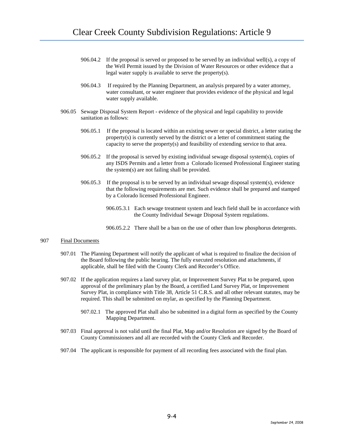- 906.04.2 If the proposal is served or proposed to be served by an individual well(s), a copy of the Well Permit issued by the Division of Water Resources or other evidence that a legal water supply is available to serve the property(s).
- 906.04.3 If required by the Planning Department, an analysis prepared by a water attorney, water consultant, or water engineer that provides evidence of the physical and legal water supply available.
- 906.05 Sewage Disposal System Report evidence of the physical and legal capability to provide sanitation as follows:
	- 906.05.1 If the proposal is located within an existing sewer or special district, a letter stating the property(s) is currently served by the district or a letter of commitment stating the capacity to serve the property(s) and feasibility of extending service to that area.
	- 906.05.2 If the proposal is served by existing individual sewage disposal system(s), copies of any ISDS Permits and a letter from a Colorado licensed Professional Engineer stating the system(s) are not failing shall be provided.
	- 906.05.3 If the proposal is to be served by an individual sewage disposal system(s), evidence that the following requirements are met. Such evidence shall be prepared and stamped by a Colorado licensed Professional Engineer.
		- 906.05.3.1 Each sewage treatment system and leach field shall be in accordance with the County Individual Sewage Disposal System regulations.
		- 906.05.2.2 There shall be a ban on the use of other than low phosphorus detergents.

### 907 Final Documents

- 907.01 The Planning Department will notify the applicant of what is required to finalize the decision of the Board following the public hearing. The fully executed resolution and attachments, if applicable, shall be filed with the County Clerk and Recorder's Office.
- 907.02 If the application requires a land survey plat, or Improvement Survey Plat to be prepared, upon approval of the preliminary plan by the Board, a certified Land Survey Plat, or Improvement Survey Plat, in compliance with Title 38, Article 51 C.R.S. and all other relevant statutes, may be required. This shall be submitted on mylar, as specified by the Planning Department.
	- 907.02.1 The approved Plat shall also be submitted in a digital form as specified by the County Mapping Department.
- 907.03 Final approval is not valid until the final Plat, Map and/or Resolution are signed by the Board of County Commissioners and all are recorded with the County Clerk and Recorder.
- 907.04 The applicant is responsible for payment of all recording fees associated with the final plan.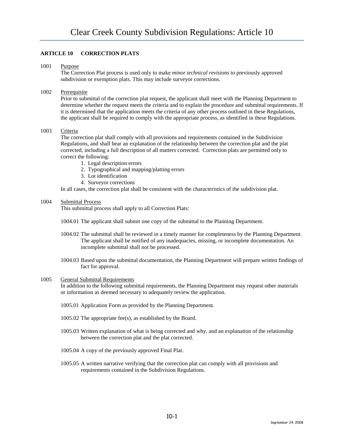# **ARTICLE 10 CORRECTION PLATS**

#### 1001 Purpose

The Correction Plat process is used only to make *minor technical revisions* to previously approved subdivision or exemption plats. This may include surveyor corrections.

# 1002 Prerequisite

Prior to submittal of the correction plat request, the applicant shall meet with the Planning Department to determine whether the request meets the criteria and to explain the procedure and submittal requirements. If it is determined that the application meets the criteria of any other process outlined in these Regulations, the applicant shall be required to comply with the appropriate process, as identified in these Regulations.

### 1003 Criteria

The correction plat shall comply with all provisions and requirements contained in the Subdivision Regulations, and shall bear an explanation of the relationship between the correction plat and the plat corrected, including a full description of all matters corrected. Correction plats are permitted only to correct the following:

- 1. Legal description errors
- 2. Typographical and mapping/platting errors
- 3. Lot identification
- 4. Surveyor corrections

In all cases, the correction plat shall be consistent with the characteristics of the subdivision plat.

### 1004 Submittal Process

This submittal process shall apply to all Correction Plats:

- 1004.01 The applicant shall submit one copy of the submittal to the Planning Department.
- 1004.02 The submittal shall be reviewed in a timely manner for completeness by the Planning Department. The applicant shall be notified of any inadequacies, missing, or incomplete documentation. An incomplete submittal shall not be processed.
- 1004.03 Based upon the submittal documentation, the Planning Department will prepare written findings of fact for approval.

### 1005 General Submittal Requirements

In addition to the following submittal requirements, the Planning Department may request other materials or information as deemed necessary to adequately review the application.

- 1005.01 Application Form as provided by the Planning Department.
- 1005.02 The appropriate fee(s), as established by the Board.
- 1005.03 Written explanation of what is being corrected and why, and an explanation of the relationship between the correction plat and the plat corrected.
- 1005.04 A copy of the previously approved Final Plat.
- 1005.05 A written narrative verifying that the correction plat can comply with all provisions and requirements contained in the Subdivision Regulations.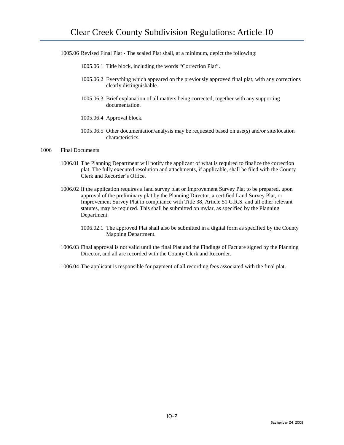1005.06 Revised Final Plat - The scaled Plat shall, at a minimum, depict the following:

- 1005.06.1 Title block, including the words "Correction Plat".
- 1005.06.2 Everything which appeared on the previously approved final plat, with any corrections clearly distinguishable.
- 1005.06.3 Brief explanation of all matters being corrected, together with any supporting documentation.
- 1005.06.4 Approval block.
- 1005.06.5 Other documentation/analysis may be requested based on use(s) and/or site/location characteristics.

### 1006 Final Documents

- 1006.01 The Planning Department will notify the applicant of what is required to finalize the correction plat. The fully executed resolution and attachments, if applicable, shall be filed with the County Clerk and Recorder's Office.
- 1006.02 If the application requires a land survey plat or Improvement Survey Plat to be prepared, upon approval of the preliminary plat by the Planning Director, a certified Land Survey Plat, or Improvement Survey Plat in compliance with Title 38, Article 51 C.R.S. and all other relevant statutes, may be required. This shall be submitted on mylar, as specified by the Planning Department.
	- 1006.02.1 The approved Plat shall also be submitted in a digital form as specified by the County Mapping Department.
- 1006.03 Final approval is not valid until the final Plat and the Findings of Fact are signed by the Planning Director, and all are recorded with the County Clerk and Recorder.
- 1006.04 The applicant is responsible for payment of all recording fees associated with the final plat.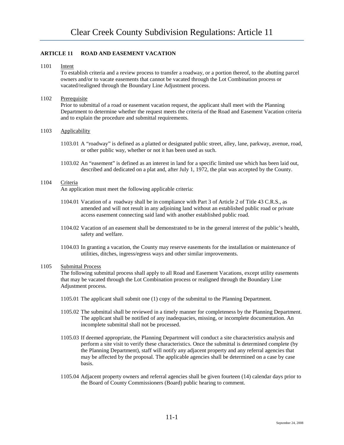# **ARTICLE 11 ROAD AND EASEMENT VACATION**

1101 Intent

To establish criteria and a review process to transfer a roadway, or a portion thereof, to the abutting parcel owners and/or to vacate easements that cannot be vacated through the Lot Combination process or vacated/realigned through the Boundary Line Adjustment process.

# 1102 Prerequisite

Prior to submittal of a road or easement vacation request, the applicant shall meet with the Planning Department to determine whether the request meets the criteria of the Road and Easement Vacation criteria and to explain the procedure and submittal requirements.

# 1103 Applicability

- 1103.01 A "roadway" is defined as a platted or designated public street, alley, lane, parkway, avenue, road, or other public way, whether or not it has been used as such.
- 1103.02 An "easement" is defined as an interest in land for a specific limited use which has been laid out, described and dedicated on a plat and, after July 1, 1972, the plat was accepted by the County.

# 1104 Criteria

An application must meet the following applicable criteria:

- 1104.01 Vacation of a roadway shall be in compliance with Part 3 of Article 2 of Title 43 C.R.S., as amended and will not result in any adjoining land without an established public road or private access easement connecting said land with another established public road.
- 1104.02 Vacation of an easement shall be demonstrated to be in the general interest of the public's health, safety and welfare.
- 1104.03 In granting a vacation, the County may reserve easements for the installation or maintenance of utilities, ditches, ingress/egress ways and other similar improvements.

### 1105 Submittal Process

The following submittal process shall apply to all Road and Easement Vacations, except utility easements that may be vacated through the Lot Combination process or realigned through the Boundary Line Adjustment process.

- 1105.01 The applicant shall submit one (1) copy of the submittal to the Planning Department.
- 1105.02 The submittal shall be reviewed in a timely manner for completeness by the Planning Department. The applicant shall be notified of any inadequacies, missing, or incomplete documentation. An incomplete submittal shall not be processed.
- 1105.03 If deemed appropriate, the Planning Department will conduct a site characteristics analysis and perform a site visit to verify these characteristics. Once the submittal is determined complete (by the Planning Department), staff will notify any adjacent property and any referral agencies that may be affected by the proposal. The applicable agencies shall be determined on a case by case basis.
- 1105.04 Adjacent property owners and referral agencies shall be given fourteen (14) calendar days prior to the Board of County Commissioners (Board) public hearing to comment.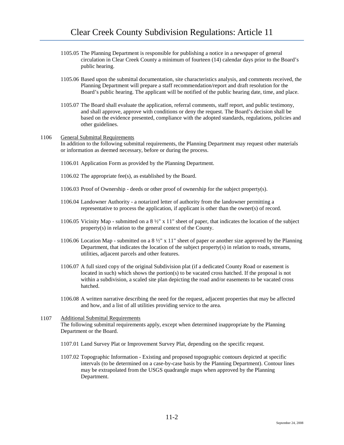- 1105.05 The Planning Department is responsible for publishing a notice in a newspaper of general circulation in Clear Creek County a minimum of fourteen (14) calendar days prior to the Board's public hearing.
- 1105.06 Based upon the submittal documentation, site characteristics analysis, and comments received, the Planning Department will prepare a staff recommendation/report and draft resolution for the Board's public hearing. The applicant will be notified of the public hearing date, time, and place.
- 1105.07 The Board shall evaluate the application, referral comments, staff report, and public testimony, and shall approve, approve with conditions or deny the request. The Board's decision shall be based on the evidence presented, compliance with the adopted standards, regulations, policies and other guidelines.

### 1106 General Submittal Requirements

In addition to the following submittal requirements, the Planning Department may request other materials or information as deemed necessary, before or during the process.

- 1106.01 Application Form as provided by the Planning Department.
- 1106.02 The appropriate fee(s), as established by the Board.
- 1106.03 Proof of Ownership deeds or other proof of ownership for the subject property(s).
- 1106.04 Landowner Authority a notarized letter of authority from the landowner permitting a representative to process the application, if applicant is other than the owner(s) of record.
- 1106.05 Vicinity Map submitted on a 8 ½" x 11" sheet of paper, that indicates the location of the subject property(s) in relation to the general context of the County.
- 1106.06 Location Map submitted on a 8 ½" x 11" sheet of paper or another size approved by the Planning Department, that indicates the location of the subject property(s) in relation to roads, streams, utilities, adjacent parcels and other features.
- 1106.07 A full sized copy of the original Subdivision plat (if a dedicated County Road or easement is located in such) which shows the portion(s) to be vacated cross hatched. If the proposal is not within a subdivision, a scaled site plan depicting the road and/or easements to be vacated cross hatched.
- 1106.08 A written narrative describing the need for the request, adjacent properties that may be affected and how, and a list of all utilities providing service to the area.

# 1107 Additional Submittal Requirements The following submittal requirements apply, except when determined inappropriate by the Planning Department or the Board.

- 1107.01 Land Survey Plat or Improvement Survey Plat, depending on the specific request.
- 1107.02 Topographic Information Existing and proposed topographic contours depicted at specific intervals (to be determined on a case-by-case basis by the Planning Department). Contour lines may be extrapolated from the USGS quadrangle maps when approved by the Planning Department.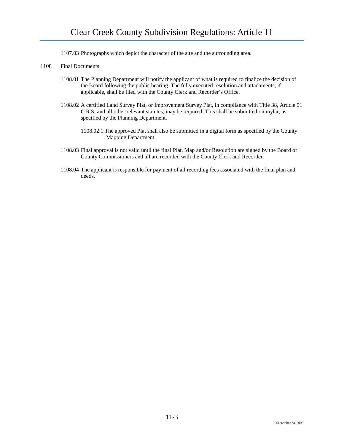- 1107.03 Photographs which depict the character of the site and the surrounding area.
- 1108 Final Documents
	- 1108.01 The Planning Department will notify the applicant of what is required to finalize the decision of the Board following the public hearing. The fully executed resolution and attachments, if applicable, shall be filed with the County Clerk and Recorder's Office.
	- 1108.02 A certified Land Survey Plat, or Improvement Survey Plat, in compliance with Title 38, Article 51 C.R.S. and all other relevant statutes, may be required. This shall be submitted on mylar, as specified by the Planning Department.
		- 1108.02.1 The approved Plat shall also be submitted in a digital form as specified by the County Mapping Department.
	- 1108.03 Final approval is not valid until the final Plat, Map and/or Resolution are signed by the Board of County Commissioners and all are recorded with the County Clerk and Recorder.
	- 1108.04 The applicant is responsible for payment of all recording fees associated with the final plan and deeds.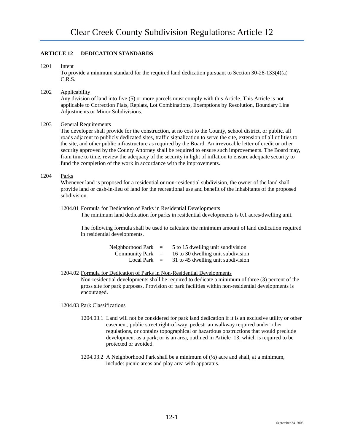# **ARTICLE 12 DEDICATION STANDARDS**

1201 Intent

To provide a minimum standard for the required land dedication pursuant to Section 30-28-133(4)(a) C.R.S.

1202 Applicability

Any division of land into five (5) or more parcels must comply with this Article. This Article is not applicable to Correction Plats, Replats, Lot Combinations, Exemptions by Resolution, Boundary Line Adjustments or Minor Subdivisions.

# 1203 General Requirements

The developer shall provide for the construction, at no cost to the County, school district, or public, all roads adjacent to publicly dedicated sites, traffic signalization to serve the site, extension of all utilities to the site, and other public infrastructure as required by the Board. An irrevocable letter of credit or other security approved by the County Attorney shall be required to ensure such improvements. The Board may, from time to time, review the adequacy of the security in light of inflation to ensure adequate security to fund the completion of the work in accordance with the improvements.

# 1204 Parks

Whenever land is proposed for a residential or non-residential subdivision, the owner of the land shall provide land or cash-in-lieu of land for the recreational use and benefit of the inhabitants of the proposed subdivision.

1204.01 Formula for Dedication of Parks in Residential Developments

The minimum land dedication for parks in residential developments is 0.1 acres/dwelling unit.

The following formula shall be used to calculate the minimum amount of land dedication required in residential developments.

| Neighborhood Park  | $\equiv$ | 5 to 15 dwelling unit subdivision  |
|--------------------|----------|------------------------------------|
| Community Park $=$ |          | 16 to 30 dwelling unit subdivision |
| Local Park         | $=$      | 31 to 45 dwelling unit subdivision |

### 1204.02 Formula for Dedication of Parks in Non-Residential Developments

Non-residential developments shall be required to dedicate a minimum of three (3) percent of the gross site for park purposes. Provision of park facilities within non-residential developments is encouraged.

### 1204.03 Park Classifications

- 1204.03.1 Land will not be considered for park land dedication if it is an exclusive utility or other easement, public street right-of-way, pedestrian walkway required under other regulations, or contains topographical or hazardous obstructions that would preclude development as a park; or is an area, outlined in Article 13, which is required to be protected or avoided.
- 1204.03.2 A Neighborhood Park shall be a minimum of  $(\frac{1}{2})$  acre and shall, at a minimum, include: picnic areas and play area with apparatus.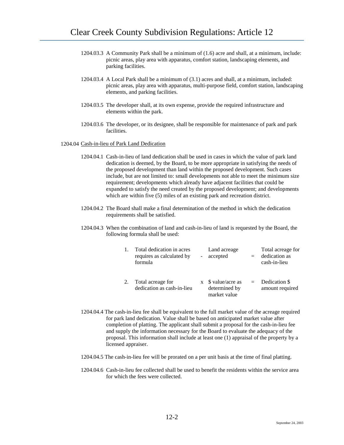- 1204.03.3 A Community Park shall be a minimum of (1.6) acre and shall, at a minimum, include: picnic areas, play area with apparatus, comfort station, landscaping elements, and parking facilities.
- 1204.03.4 A Local Park shall be a minimum of (3.1) acres and shall, at a minimum, included: picnic areas, play area with apparatus, multi-purpose field, comfort station, landscaping elements, and parking facilities.
- 1204.03.5 The developer shall, at its own expense, provide the required infrastructure and elements within the park.
- 1204.03.6 The developer, or its designee, shall be responsible for maintenance of park and park facilities.

### 1204.04 Cash-in-lieu of Park Land Dedication

- 1204.04.1 Cash-in-lieu of land dedication shall be used in cases in which the value of park land dedication is deemed, by the Board, to be more appropriate in satisfying the needs of the proposed development than land within the proposed development. Such cases include, but are not limited to: small developments not able to meet the minimum size requirement; developments which already have adjacent facilities that could be expanded to satisfy the need created by the proposed development; and developments which are within five (5) miles of an existing park and recreation district.
- 1204.04.2 The Board shall make a final determination of the method in which the dedication requirements shall be satisfied.
- 1204.04.3 When the combination of land and cash-in-lieu of land is requested by the Board, the following formula shall be used:

| Total dedication in acres<br>requires as calculated by<br>formula | ÷, | Land acreage<br>accepted                                   |     | Total acreage for<br>dedication as<br>cash-in-lieu |
|-------------------------------------------------------------------|----|------------------------------------------------------------|-----|----------------------------------------------------|
| Total acreage for<br>dedication as cash-in-lieu                   |    | $x \quad$ S value/acre as<br>determined by<br>market value | $=$ | Dedication \$<br>amount required                   |

- 1204.04.4 The cash-in-lieu fee shall be equivalent to the full market value of the acreage required for park land dedication. Value shall be based on anticipated market value after completion of platting. The applicant shall submit a proposal for the cash-in-lieu fee and supply the information necessary for the Board to evaluate the adequacy of the proposal. This information shall include at least one (1) appraisal of the property by a licensed appraiser.
- 1204.04.5 The cash-in-lieu fee will be prorated on a per unit basis at the time of final platting.
- 1204.04.6 Cash-in-lieu fee collected shall be used to benefit the residents within the service area for which the fees were collected.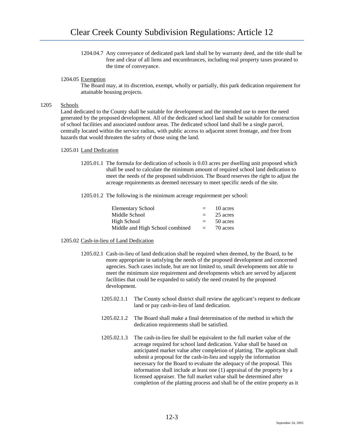1204.04.7 Any conveyance of dedicated park land shall be by warranty deed, and the title shall be free and clear of all liens and encumbrances, including real property taxes prorated to the time of conveyance.

### 1204.05 Exemption

The Board may, at its discretion, exempt, wholly or partially, this park dedication requirement for attainable housing projects.

### 1205 Schools

Land dedicated to the County shall be suitable for development and the intended use to meet the need generated by the proposed development. All of the dedicated school land shall be suitable for construction of school facilities and associated outdoor areas. The dedicated school land shall be a single parcel, centrally located within the service radius, with public access to adjacent street frontage, and free from hazards that would threaten the safety of those using the land.

### 1205.01 Land Dedication

- 1205.01.1 The formula for dedication of schools is 0.03 acres per dwelling unit proposed which shall be used to calculate the minimum amount of required school land dedication to meet the needs of the proposed subdivision. The Board reserves the right to adjust the acreage requirements as deemed necessary to meet specific needs of the site.
- 1205.01.2 The following is the minimum acreage requirement per school:

| <b>Elementary School</b>        | $=$      | 10 acres |
|---------------------------------|----------|----------|
| Middle School                   | $=$      | 25 acres |
| High School                     | $=$      | 50 acres |
| Middle and High School combined | $\equiv$ | 70 acres |

# 1205.02 Cash-in-lieu of Land Dedication

- 1205.02.1 Cash-in-lieu of land dedication shall be required when deemed, by the Board, to be more appropriate in satisfying the needs of the proposed development and concerned agencies. Such cases include, but are not limited to, small developments not able to meet the minimum size requirement and developments which are served by adjacent facilities that could be expanded to satisfy the need created by the proposed development.
	- 1205.02.1.1 The County school district shall review the applicant's request to dedicate land or pay cash-in-lieu of land dedication.
	- 1205.02.1.2 The Board shall make a final determination of the method in which the dedication requirements shall be satisfied.
	- 1205.02.1.3 The cash-in-lieu fee shall be equivalent to the full market value of the acreage required for school land dedication. Value shall be based on anticipated market value after completion of platting. The applicant shall submit a proposal for the cash-in-lieu and supply the information necessary for the Board to evaluate the adequacy of the proposal. This information shall include at least one (1) appraisal of the property by a licensed appraiser. The full market value shall be determined after completion of the platting process and shall be of the entire property as it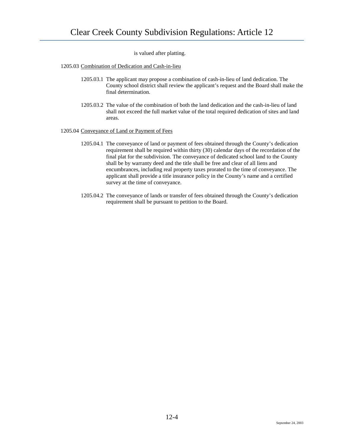is valued after platting.

1205.03 Combination of Dedication and Cash-in-lieu

- 1205.03.1 The applicant may propose a combination of cash-in-lieu of land dedication. The County school district shall review the applicant's request and the Board shall make the final determination.
- 1205.03.2 The value of the combination of both the land dedication and the cash-in-lieu of land shall not exceed the full market value of the total required dedication of sites and land areas.

### 1205.04 Conveyance of Land or Payment of Fees

- 1205.04.1 The conveyance of land or payment of fees obtained through the County's dedication requirement shall be required within thirty (30) calendar days of the recordation of the final plat for the subdivision. The conveyance of dedicated school land to the County shall be by warranty deed and the title shall be free and clear of all liens and encumbrances, including real property taxes prorated to the time of conveyance. The applicant shall provide a title insurance policy in the County's name and a certified survey at the time of conveyance.
- 1205.04.2 The conveyance of lands or transfer of fees obtained through the County's dedication requirement shall be pursuant to petition to the Board.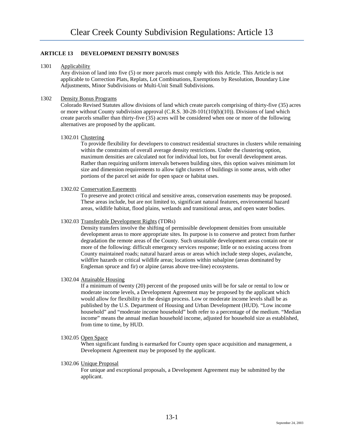# **ARTICLE 13 DEVELOPMENT DENSITY BONUSES**

# 1301 Applicability

Any division of land into five (5) or more parcels must comply with this Article. This Article is not applicable to Correction Plats, Replats, Lot Combinations, Exemptions by Resolution, Boundary Line Adjustments, Minor Subdivisions or Multi-Unit Small Subdivisions.

# 1302 Density Bonus Programs

Colorado Revised Statutes allow divisions of land which create parcels comprising of thirty-five (35) acres or more without County subdivision approval (C.R.S. 30-28-101(10)(b)(10)). Divisions of land which create parcels smaller than thirty-five (35) acres will be considered when one or more of the following alternatives are proposed by the applicant.

### 1302.01 Clustering

To provide flexibility for developers to construct residential structures in clusters while remaining within the constraints of overall average density restrictions. Under the clustering option, maximum densities are calculated not for individual lots, but for overall development areas. Rather than requiring uniform intervals between building sites, this option waives minimum lot size and dimension requirements to allow tight clusters of buildings in some areas, with other portions of the parcel set aside for open space or habitat uses.

### 1302.02 Conservation Easements

To preserve and protect critical and sensitive areas, conservation easements may be proposed. These areas include, but are not limited to, significant natural features, environmental hazard areas, wildlife habitat, flood plains, wetlands and transitional areas, and open water bodies.

# 1302.03 Transferable Development Rights (TDRs)

Density transfers involve the shifting of permissible development densities from unsuitable development areas to more appropriate sites. Its purpose is to conserve and protect from further degradation the remote areas of the County. Such unsuitable development areas contain one or more of the following: difficult emergency services response; little or no existing access from County maintained roads; natural hazard areas or areas which include steep slopes, avalanche, wildfire hazards or critical wildlife areas; locations within subalpine (areas dominated by Engleman spruce and fir) or alpine (areas above tree-line) ecosystems.

### 1302.04 Attainable Housing

If a minimum of twenty (20) percent of the proposed units will be for sale or rental to low or moderate income levels, a Development Agreement may be proposed by the applicant which would allow for flexibility in the design process. Low or moderate income levels shall be as published by the U.S. Department of Housing and Urban Development (HUD). "Low income household" and "moderate income household" both refer to a percentage of the medium. "Median income" means the annual median household income, adjusted for household size as established, from time to time, by HUD.

### 1302.05 Open Space

When significant funding is earmarked for County open space acquisition and management, a Development Agreement may be proposed by the applicant.

# 1302.06 Unique Proposal

For unique and exceptional proposals, a Development Agreement may be submitted by the applicant.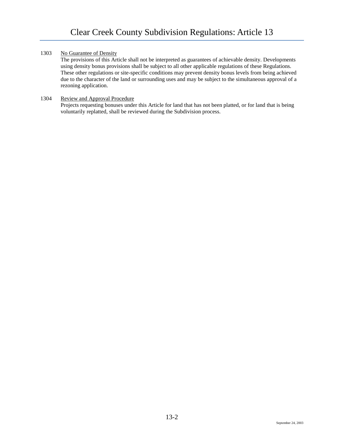# 1303 No Guarantee of Density

The provisions of this Article shall not be interpreted as guarantees of achievable density. Developments using density bonus provisions shall be subject to all other applicable regulations of these Regulations. These other regulations or site-specific conditions may prevent density bonus levels from being achieved due to the character of the land or surrounding uses and may be subject to the simultaneous approval of a rezoning application.

# 1304 Review and Approval Procedure

Projects requesting bonuses under this Article for land that has not been platted, or for land that is being voluntarily replatted, shall be reviewed during the Subdivision process.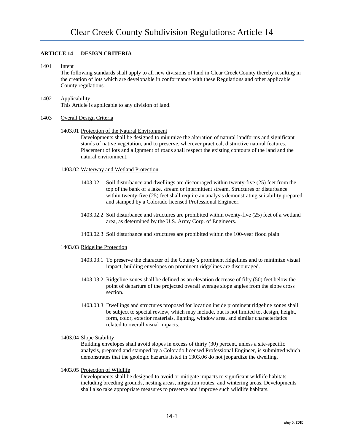# **ARTICLE 14 DESIGN CRITERIA**

### 1401 Intent

The following standards shall apply to all new divisions of land in Clear Creek County thereby resulting in the creation of lots which are developable in conformance with these Regulations and other applicable County regulations.

# 1402 Applicability This Article is applicable to any division of land.

### 1403 Overall Design Criteria

# 1403.01 Protection of the Natural Environment

Developments shall be designed to minimize the alteration of natural landforms and significant stands of native vegetation, and to preserve, wherever practical, distinctive natural features. Placement of lots and alignment of roads shall respect the existing contours of the land and the natural environment.

### 1403.02 Waterway and Wetland Protection

- 1403.02.1 Soil disturbance and dwellings are discouraged within twenty-five (25) feet from the top of the bank of a lake, stream or intermittent stream. Structures or disturbance within twenty-five (25) feet shall require an analysis demonstrating suitability prepared and stamped by a Colorado licensed Professional Engineer.
- 1403.02.2 Soil disturbance and structures are prohibited within twenty-five (25) feet of a wetland area, as determined by the U.S. Army Corp. of Engineers.
- 1403.02.3 Soil disturbance and structures are prohibited within the 100-year flood plain.

# 1403.03 Ridgeline Protection

- 1403.03.1 To preserve the character of the County's prominent ridgelines and to minimize visual impact, building envelopes on prominent ridgelines are discouraged.
- 1403.03.2 Ridgeline zones shall be defined as an elevation decrease of fifty (50) feet below the point of departure of the projected overall average slope angles from the slope cross section.
- 1403.03.3 Dwellings and structures proposed for location inside prominent ridgeline zones shall be subject to special review, which may include, but is not limited to, design, height, form, color, exterior materials, lighting, window area, and similar characteristics related to overall visual impacts.
- 1403.04 Slope Stability

Building envelopes shall avoid slopes in excess of thirty (30) percent, unless a site-specific analysis, prepared and stamped by a Colorado licensed Professional Engineer, is submitted which demonstrates that the geologic hazards listed in 1303.06 do not jeopardize the dwelling.

### 1403.05 Protection of Wildlife

Developments shall be designed to avoid or mitigate impacts to significant wildlife habitats including breeding grounds, nesting areas, migration routes, and wintering areas. Developments shall also take appropriate measures to preserve and improve such wildlife habitats.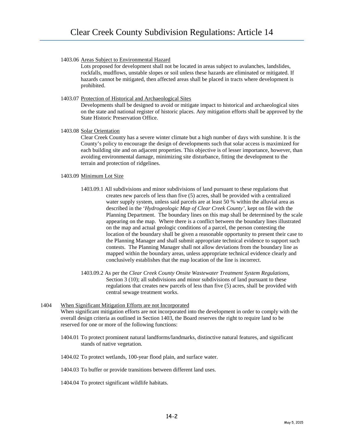1403.06 Areas Subject to Environmental Hazard

Lots proposed for development shall not be located in areas subject to avalanches, landslides, rockfalls, mudflows, unstable slopes or soil unless these hazards are eliminated or mitigated. If hazards cannot be mitigated, then affected areas shall be placed in tracts where development is prohibited.

# 1403.07 Protection of Historical and Archaeological Sites

Developments shall be designed to avoid or mitigate impact to historical and archaeological sites on the state and national register of historic places. Any mitigation efforts shall be approved by the State Historic Preservation Office.

1403.08 Solar Orientation

Clear Creek County has a severe winter climate but a high number of days with sunshine. It is the County's policy to encourage the design of developments such that solar access is maximized for each building site and on adjacent properties. This objective is of lesser importance, however, than avoiding environmental damage, minimizing site disturbance, fitting the development to the terrain and protection of ridgelines.

# 1403.09 Minimum Lot Size

- 1403.09.1 All subdivisions and minor subdivisions of land pursuant to these regulations that creates new parcels of less than five (5) acres, shall be provided with a centralized water supply system, unless said parcels are at least 50 % within the alluvial area as described in the '*Hydrogeologic Map of Clear Creek County'*, kept on file with the Planning Department. The boundary lines on this map shall be determined by the scale appearing on the map. Where there is a conflict between the boundary lines illustrated on the map and actual geologic conditions of a parcel, the person contesting the location of the boundary shall be given a reasonable opportunity to present their case to the Planning Manager and shall submit appropriate technical evidence to support such contests. The Planning Manager shall not allow deviations from the boundary line as mapped within the boundary areas, unless appropriate technical evidence clearly and conclusively establishes that the map location of the line is incorrect.
- 1403.09.2 As per the *Clear Creek County Onsite Wastewater Treatment System Regulations*, Section 3 (10); all subdivisions and minor subdivisions of land pursuant to these regulations that creates new parcels of less than five (5) acres, shall be provided with central sewage treatment works.
- 1404 When Significant Mitigation Efforts are not Incorporated When significant mitigation efforts are not incorporated into the development in order to comply with the overall design criteria as outlined in Section 1403, the Board reserves the right to require land to be reserved for one or more of the following functions:
	- 1404.01 To protect prominent natural landforms/landmarks, distinctive natural features, and significant stands of native vegetation.
	- 1404.02 To protect wetlands, 100-year flood plain, and surface water.
	- 1404.03 To buffer or provide transitions between different land uses.
	- 1404.04 To protect significant wildlife habitats.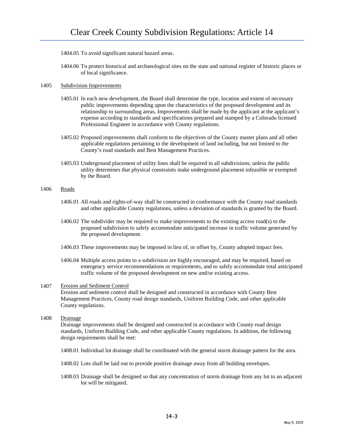- 1404.05 To avoid significant natural hazard areas.
- 1404.06 To protect historical and archaeological sites on the state and national register of historic places or of local significance.

### 1405 Subdivision Improvements

- 1405.01 In each new development, the Board shall determine the type, location and extent of necessary public improvements depending upon the characteristics of the proposed development and its relationship to surrounding areas. Improvements shall be made by the applicant at the applicant's expense according to standards and specifications prepared and stamped by a Colorado licensed Professional Engineer in accordance with County regulations.
- 1405.02 Proposed improvements shall conform to the objectives of the County master plans and all other applicable regulations pertaining to the development of land including, but not limited to the County's road standards and Best Management Practices.
- 1405.03 Underground placement of utility lines shall be required in all subdivisions; unless the public utility determines that physical constraints make underground placement infeasible or exempted by the Board.

# 1406 Roads

- 1406.01 All roads and rights-of-way shall be constructed in conformance with the County road standards and other applicable County regulations, unless a deviation of standards is granted by the Board.
- 1406.02 The subdivider may be required to make improvements to the existing access road(s) to the proposed subdivision to safely accommodate anticipated increase in traffic volume generated by the proposed development.
- 1406.03 These improvements may be imposed in lieu of, or offset by, County adopted impact fees.
- 1406.04 Multiple access points to a subdivision are highly encouraged, and may be required, based on emergency service recommendations or requirements, and to safely accommodate total anticipated traffic volume of the proposed development on new and/or existing access.

### 1407 Erosion and Sediment Control

Erosion and sediment control shall be designed and constructed in accordance with County Best Management Practices, County road design standards, Uniform Building Code, and other applicable County regulations.

# 1408 Drainage

Drainage improvements shall be designed and constructed in accordance with County road design standards, Uniform Building Code, and other applicable County regulations. In addition, the following design requirements shall be met:

- 1408.01 Individual lot drainage shall be coordinated with the general storm drainage pattern for the area.
- 1408.02 Lots shall be laid out to provide positive drainage away from all building envelopes.
- 1408.03 Drainage shall be designed so that any concentration of storm drainage from any lot to an adjacent lot will be mitigated.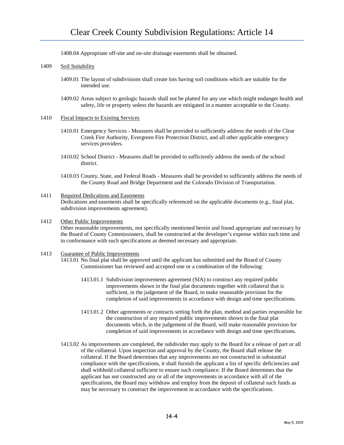1408.04 Appropriate off-site and on-site drainage easements shall be obtained.

# 1409 Soil Suitability

- 1409.01 The layout of subdivisions shall create lots having soil conditions which are suitable for the intended use.
- 1409.02 Areas subject to geologic hazards shall not be platted for any use which might endanger health and safety, life or property unless the hazards are mitigated in a manner acceptable to the County.
- 1410 Fiscal Impacts to Existing Services
	- 1410.01 Emergency Services Measures shall be provided to sufficiently address the needs of the Clear Creek Fire Authority, Evergreen Fire Protection District, and all other applicable emergency services providers.
	- 1410.02 School District Measures shall be provided to sufficiently address the needs of the school district.
	- 1410.03 County, State, and Federal Roads Measures shall be provided to sufficiently address the needs of the County Road and Bridge Department and the Colorado Division of Transportation.

### 1411 Required Dedications and Easements

Dedications and easements shall be specifically referenced on the applicable documents (e.g., final plat, subdivision improvements agreement).

### 1412 Other Public Improvements

Other reasonable improvements, not specifically mentioned herein and found appropriate and necessary by the Board of County Commissioners, shall be constructed at the developer's expense within such time and in conformance with such specifications as deemed necessary and appropriate.

# 1413 Guarantee of Public Improvements

1413.01 No final plat shall be approved until the applicant has submitted and the Board of County Commissioner has reviewed and accepted one or a combination of the following:

- 1413.01.1 Subdivision improvements agreement (SIA) to construct any required public improvements shown in the final plat documents together with collateral that is sufficient, in the judgement of the Board, to make reasonable provision for the completion of said improvements in accordance with design and time specifications.
- 1413.01.2 Other agreements or contracts setting forth the plan, method and parties responsible for the construction of any required public improvements shown in the final plat documents which, in the judgement of the Board, will make reasonable provision for completion of said improvements in accordance with design and time specifications.
- 1413.02 As improvements are completed, the subdivider may apply to the Board for a release of part or all of the collateral. Upon inspection and approval by the County, the Board shall release the collateral. If the Board determines that any improvements are not constructed in substantial compliance with the specifications, it shall furnish the applicant a list of specific deficiencies and shall withhold collateral sufficient to ensure such compliance. If the Board determines that the applicant has not constructed any or all of the improvements in accordance with all of the specifications, the Board may withdraw and employ from the deposit of collateral such funds as may be necessary to construct the improvement in accordance with the specifications.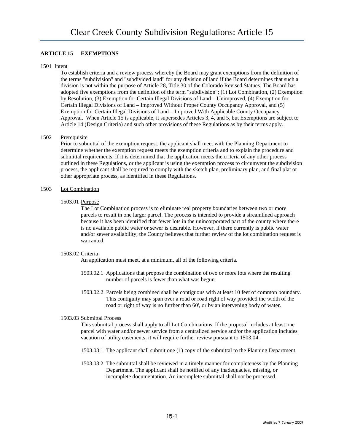# **ARTICLE 15 EXEMPTIONS**

### 1501 Intent

To establish criteria and a review process whereby the Board may grant exemptions from the definition of the terms "subdivision" and "subdivided land" for any division of land if the Board determines that such a division is not within the purpose of Article 28, Title 30 of the Colorado Revised Statues. The Board has adopted five exemptions from the definition of the term "subdivision"; (1) Lot Combination, (2) Exemption by Resolution, (3) Exemption for Certain Illegal Divisions of Land – Unimproved, (4) Exemption for Certain Illegal Divisions of Land – Improved Without Proper County Occupancy Approval, and (5) Exemption for Certain Illegal Divisions of Land – Improved With Applicable County Occupancy Approval. When Article 15 is applicable, it supersedes Articles 3, 4, and 5, but Exemptions are subject to Article 14 (Design Criteria) and such other provisions of these Regulations as by their terms apply.

# 1502 Prerequisite

Prior to submittal of the exemption request, the applicant shall meet with the Planning Department to determine whether the exemption request meets the exemption criteria and to explain the procedure and submittal requirements. If it is determined that the application meets the criteria of any other process outlined in these Regulations, or the applicant is using the exemption process to circumvent the subdivision process, the applicant shall be required to comply with the sketch plan, preliminary plan, and final plat or other appropriate process, as identified in these Regulations.

### 1503 Lot Combination

# 1503.01 Purpose

The Lot Combination process is to eliminate real property boundaries between two or more parcels to result in one larger parcel. The process is intended to provide a streamlined approach because it has been identified that fewer lots in the unincorporated part of the county where there is no available public water or sewer is desirable. However, if there currently is public water and/or sewer availability, the County believes that further review of the lot combination request is warranted.

# 1503.02 Criteria

An application must meet, at a minimum, all of the following criteria.

- 1503.02.1 Applications that propose the combination of two or more lots where the resulting number of parcels is fewer than what was begun.
- 1503.02.2 Parcels being combined shall be contiguous with at least 10 feet of common boundary. This contiguity may span over a road or road right of way provided the width of the road or right of way is no further than 60', or by an intervening body of water.

### 1503.03 Submittal Process

This submittal process shall apply to all Lot Combinations. If the proposal includes at least one parcel with water and/or sewer service from a centralized service and/or the application includes vacation of utility easements, it will require further review pursuant to 1503.04.

- 1503.03.1 The applicant shall submit one (1) copy of the submittal to the Planning Department.
- 1503.03.2 The submittal shall be reviewed in a timely manner for completeness by the Planning Department. The applicant shall be notified of any inadequacies, missing, or incomplete documentation. An incomplete submittal shall not be processed.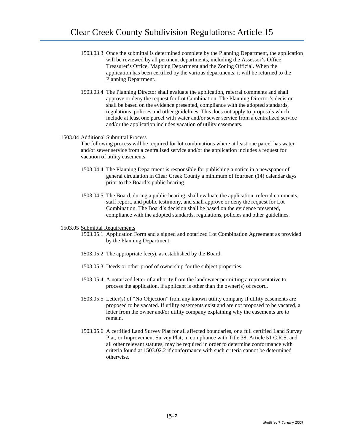- 1503.03.3 Once the submittal is determined complete by the Planning Department, the application will be reviewed by all pertinent departments, including the Assessor's Office, Treasurer's Office, Mapping Department and the Zoning Official. When the application has been certified by the various departments, it will be returned to the Planning Department.
- 1503.03.4 The Planning Director shall evaluate the application, referral comments and shall approve or deny the request for Lot Combination. The Planning Director's decision shall be based on the evidence presented, compliance with the adopted standards, regulations, policies and other guidelines. This does not apply to proposals which include at least one parcel with water and/or sewer service from a centralized service and/or the application includes vacation of utility easements.

### 1503.04 Additional Submittal Process

The following process will be required for lot combinations where at least one parcel has water and/or sewer service from a centralized service and/or the application includes a request for vacation of utility easements.

- 1503.04.4 The Planning Department is responsible for publishing a notice in a newspaper of general circulation in Clear Creek County a minimum of fourteen (14) calendar days prior to the Board's public hearing.
- 1503.04.5 The Board, during a public hearing, shall evaluate the application, referral comments, staff report, and public testimony, and shall approve or deny the request for Lot Combination. The Board's decision shall be based on the evidence presented, compliance with the adopted standards, regulations, policies and other guidelines.

#### 1503.05 Submittal Requirements

- 1503.05.1 Application Form and a signed and notarized Lot Combination Agreement as provided by the Planning Department.
- 1503.05.2 The appropriate fee(s), as established by the Board.
- 1503.05.3 Deeds or other proof of ownership for the subject properties.
- 1503.05.4 A notarized letter of authority from the landowner permitting a representative to process the application, if applicant is other than the owner(s) of record.
- 1503.05.5 Letter(s) of "No Objection" from any known utility company if utility easements are proposed to be vacated. If utility easements exist and are not proposed to be vacated, a letter from the owner and/or utility company explaining why the easements are to remain.
- 1503.05.6 A certified Land Survey Plat for all affected boundaries, or a full certified Land Survey Plat, or Improvement Survey Plat, in compliance with Title 38, Article 51 C.R.S. and all other relevant statutes, may be required in order to determine conformance with criteria found at 1503.02.2 if conformance with such criteria cannot be determined otherwise.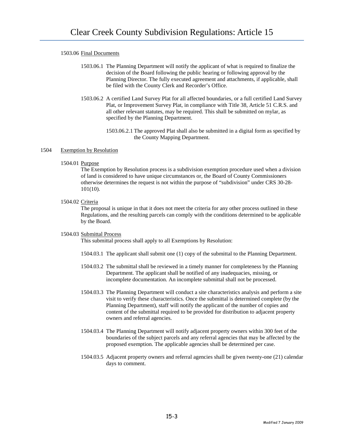# 1503.06 Final Documents

- 1503.06.1 The Planning Department will notify the applicant of what is required to finalize the decision of the Board following the public hearing or following approval by the Planning Director. The fully executed agreement and attachments, if applicable, shall be filed with the County Clerk and Recorder's Office.
- 1503.06.2 A certified Land Survey Plat for all affected boundaries, or a full certified Land Survey Plat, or Improvement Survey Plat, in compliance with Title 38, Article 51 C.R.S. and all other relevant statutes, may be required. This shall be submitted on mylar, as specified by the Planning Department.
	- 1503.06.2.1 The approved Plat shall also be submitted in a digital form as specified by the County Mapping Department.

### 1504 Exemption by Resolution

### 1504.01 Purpose

The Exemption by Resolution process is a subdivision exemption procedure used when a division of land is considered to have unique circumstances or, the Board of County Commissioners otherwise determines the request is not within the purpose of "subdivision" under CRS 30-28- 101(10).

1504.02 Criteria

The proposal is unique in that it does not meet the criteria for any other process outlined in these Regulations, and the resulting parcels can comply with the conditions determined to be applicable by the Board.

### 1504.03 Submittal Process

This submittal process shall apply to all Exemptions by Resolution:

- 1504.03.1 The applicant shall submit one (1) copy of the submittal to the Planning Department.
- 1504.03.2 The submittal shall be reviewed in a timely manner for completeness by the Planning Department. The applicant shall be notified of any inadequacies, missing, or incomplete documentation. An incomplete submittal shall not be processed.
- 1504.03.3 The Planning Department will conduct a site characteristics analysis and perform a site visit to verify these characteristics. Once the submittal is determined complete (by the Planning Department), staff will notify the applicant of the number of copies and content of the submittal required to be provided for distribution to adjacent property owners and referral agencies.
- 1504.03.4 The Planning Department will notify adjacent property owners within 300 feet of the boundaries of the subject parcels and any referral agencies that may be affected by the proposed exemption. The applicable agencies shall be determined per case.
- 1504.03.5 Adjacent property owners and referral agencies shall be given twenty-one (21) calendar days to comment.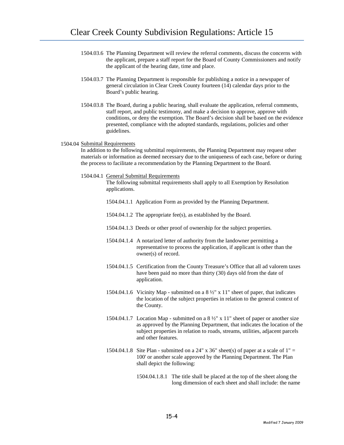- 1504.03.6 The Planning Department will review the referral comments, discuss the concerns with the applicant, prepare a staff report for the Board of County Commissioners and notify the applicant of the hearing date, time and place.
- 1504.03.7 The Planning Department is responsible for publishing a notice in a newspaper of general circulation in Clear Creek County fourteen (14) calendar days prior to the Board's public hearing.
- 1504.03.8 The Board, during a public hearing, shall evaluate the application, referral comments, staff report, and public testimony, and make a decision to approve, approve with conditions, or deny the exemption. The Board's decision shall be based on the evidence presented, compliance with the adopted standards, regulations, policies and other guidelines.

### 1504.04 Submittal Requirements

In addition to the following submittal requirements, the Planning Department may request other materials or information as deemed necessary due to the uniqueness of each case, before or during the process to facilitate a recommendation by the Planning Department to the Board.

1504.04.1 General Submittal Requirements

The following submittal requirements shall apply to all Exemption by Resolution applications.

- 1504.04.1.1 Application Form as provided by the Planning Department.
- 1504.04.1.2 The appropriate fee(s), as established by the Board.
- 1504.04.1.3 Deeds or other proof of ownership for the subject properties.
- 1504.04.1.4 A notarized letter of authority from the landowner permitting a representative to process the application, if applicant is other than the owner(s) of record.
- 1504.04.1.5 Certification from the County Treasure's Office that all ad valorem taxes have been paid no more than thirty (30) days old from the date of application.
- 1504.04.1.6 Vicinity Map submitted on a 8 ½" x 11" sheet of paper, that indicates the location of the subject properties in relation to the general context of the County.
- 1504.04.1.7 Location Map submitted on a 8 ½" x 11" sheet of paper or another size as approved by the Planning Department, that indicates the location of the subject properties in relation to roads, streams, utilities, adjacent parcels and other features.
- 1504.04.1.8 Site Plan submitted on a 24" x 36" sheet(s) of paper at a scale of  $1" =$ 100' or another scale approved by the Planning Department. The Plan shall depict the following:
	- 1504.04.1.8.1 The title shall be placed at the top of the sheet along the long dimension of each sheet and shall include: the name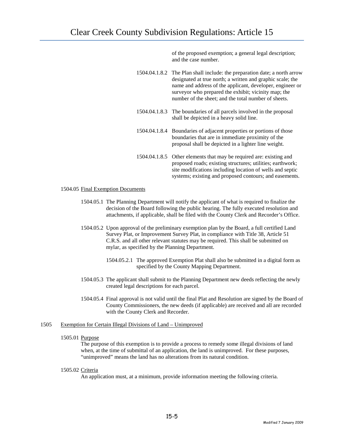of the proposed exemption; a general legal description; and the case number.

| 1504.04.1.8.2 The Plan shall include: the preparation date; a north arrow |
|---------------------------------------------------------------------------|
| designated at true north; a written and graphic scale; the                |
| name and address of the applicant, developer, engineer or                 |
| surveyor who prepared the exhibit; vicinity map; the                      |
| number of the sheet; and the total number of sheets.                      |

- 1504.04.1.8.3 The boundaries of all parcels involved in the proposal shall be depicted in a heavy solid line.
- 1504.04.1.8.4 Boundaries of adjacent properties or portions of those boundaries that are in immediate proximity of the proposal shall be depicted in a lighter line weight.
- 1504.04.1.8.5 Other elements that may be required are: existing and proposed roads; existing structures; utilities; earthwork; site modifications including location of wells and septic systems; existing and proposed contours; and easements.

### 1504.05 Final Exemption Documents

- 1504.05.1 The Planning Department will notify the applicant of what is required to finalize the decision of the Board following the public hearing. The fully executed resolution and attachments, if applicable, shall be filed with the County Clerk and Recorder's Office.
- 1504.05.2 Upon approval of the preliminary exemption plan by the Board, a full certified Land Survey Plat, or Improvement Survey Plat, in compliance with Title 38, Article 51 C.R.S. and all other relevant statutes may be required. This shall be submitted on mylar, as specified by the Planning Department.
	- 1504.05.2.1 The approved Exemption Plat shall also be submitted in a digital form as specified by the County Mapping Department.
- 1504.05.3 The applicant shall submit to the Planning Department new deeds reflecting the newly created legal descriptions for each parcel.
- 1504.05.4 Final approval is not valid until the final Plat and Resolution are signed by the Board of County Commissioners, the new deeds (if applicable) are received and all are recorded with the County Clerk and Recorder.

### 1505 Exemption for Certain Illegal Divisions of Land – Unimproved

#### 1505.01 Purpose

The purpose of this exemption is to provide a process to remedy some illegal divisions of land when, at the time of submittal of an application, the land is unimproved. For these purposes, "unimproved" means the land has no alterations from its natural condition.

### 1505.02 Criteria

An application must, at a minimum, provide information meeting the following criteria.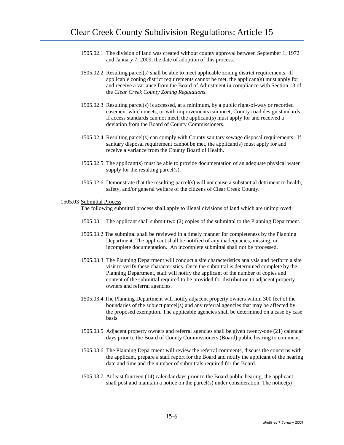- 1505.02.1 The division of land was created without county approval between September 1, 1972 and January 7, 2009, the date of adoption of this process.
- 1505.02.2 Resulting parcel(s) shall be able to meet applicable zoning district requirements. If applicable zoning district requirements cannot be met, the applicant(s) must apply for and receive a variance from the Board of Adjustment in compliance with Section 13 of the *Clear Creek County Zoning Regulations*.
- 1505.02.3 Resulting parcel(s) is accessed, at a minimum, by a public right-of-way or recorded easement which meets, or with improvements can meet, County road design standards. If access standards can not meet, the applicant(s) must apply for and received a deviation from the Board of County Commissioners.
- 1505.02.4 Resulting parcel(s) can comply with County sanitary sewage disposal requirements. If sanitary disposal requirement cannot be met, the applicant(s) must apply for and receive a variance from the County Board of Health.
- 1505.02.5 The applicant(s) must be able to provide documentation of an adequate physical water supply for the resulting parcel(s).
- 1505.02.6 Demonstrate that the resulting parcel(s) will not cause a substantial detriment to health, safety, and/or general welfare of the citizens of Clear Creek County.

#### 1505.03 Submittal Process

The following submittal process shall apply to illegal divisions of land which are unimproved:

- 1505.03.1 The applicant shall submit two (2) copies of the submittal to the Planning Department.
- 1505.03.2 The submittal shall be reviewed in a timely manner for completeness by the Planning Department. The applicant shall be notified of any inadequacies, missing, or incomplete documentation. An incomplete submittal shall not be processed.
- 1505.03.3 The Planning Department will conduct a site characteristics analysis and perform a site visit to verify these characteristics. Once the submittal is determined complete by the Planning Department, staff will notify the applicant of the number of copies and content of the submittal required to be provided for distribution to adjacent property owners and referral agencies.
- 1505.03.4 The Planning Department will notify adjacent property owners within 300 feet of the boundaries of the subject parcel(s) and any referral agencies that may be affected by the proposed exemption. The applicable agencies shall be determined on a case by case basis.
- 1505.03.5 Adjacent property owners and referral agencies shall be given twenty-one (21) calendar days prior to the Board of County Commissioners (Board) public hearing to comment.
- 1505.03.6 The Planning Department will review the referral comments, discuss the concerns with the applicant, prepare a staff report for the Board and notify the applicant of the hearing date and time and the number of submittals required for the Board.
- 1505.03.7 At least fourteen (14) calendar days prior to the Board public hearing, the applicant shall post and maintain a notice on the parcel(s) under consideration. The notice(s)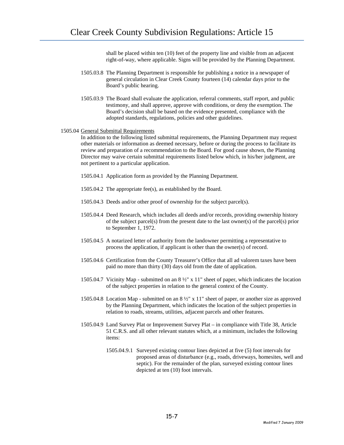shall be placed within ten (10) feet of the property line and visible from an adjacent right-of-way, where applicable. Signs will be provided by the Planning Department.

- 1505.03.8 The Planning Department is responsible for publishing a notice in a newspaper of general circulation in Clear Creek County fourteen (14) calendar days prior to the Board's public hearing.
- 1505.03.9 The Board shall evaluate the application, referral comments, staff report, and public testimony, and shall approve, approve with conditions, or deny the exemption. The Board's decision shall be based on the evidence presented, compliance with the adopted standards, regulations, policies and other guidelines.

### 1505.04 General Submittal Requirements

In addition to the following listed submittal requirements, the Planning Department may request other materials or information as deemed necessary, before or during the process to facilitate its review and preparation of a recommendation to the Board. For good cause shown, the Planning Director may waive certain submittal requirements listed below which, in his/her judgment, are not pertinent to a particular application.

- 1505.04.1 Application form as provided by the Planning Department.
- 1505.04.2 The appropriate fee(s), as established by the Board.
- 1505.04.3 Deeds and/or other proof of ownership for the subject parcel(s).
- 1505.04.4 Deed Research, which includes all deeds and/or records, providing ownership history of the subject parcel(s) from the present date to the last owner(s) of the parcel(s) prior to September 1, 1972.
- 1505.04.5 A notarized letter of authority from the landowner permitting a representative to process the application, if applicant is other than the owner(s) of record.
- 1505.04.6 Certification from the County Treasurer's Office that all ad valorem taxes have been paid no more than thirty (30) days old from the date of application.
- 1505.04.7 Vicinity Map submitted on an 8 ½" x 11" sheet of paper, which indicates the location of the subject properties in relation to the general context of the County.
- 1505.04.8 Location Map submitted on an 8 ½" x 11" sheet of paper, or another size as approved by the Planning Department, which indicates the location of the subject properties in relation to roads, streams, utilities, adjacent parcels and other features.
- 1505.04.9 Land Survey Plat or Improvement Survey Plat in compliance with Title 38, Article 51 C.R.S. and all other relevant statutes which, at a minimum, includes the following items:
	- 1505.04.9.1 Surveyed existing contour lines depicted at five (5) foot intervals for proposed areas of disturbance (e.g., roads, driveways, homesites, well and septic). For the remainder of the plan, surveyed existing contour lines depicted at ten (10) foot intervals.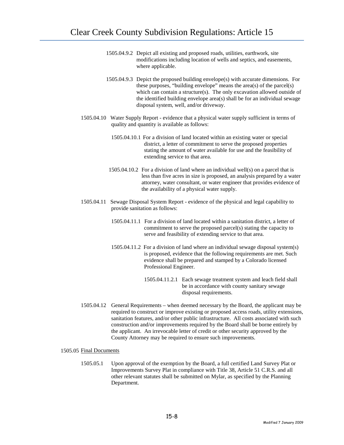- 1505.04.9.2 Depict all existing and proposed roads, utilities, earthwork, site modifications including location of wells and septics, and easements, where applicable.
- 1505.04.9.3 Depict the proposed building envelope(s) with accurate dimensions. For these purposes, "building envelope" means the area(s) of the parcel(s) which can contain a structure(s). The only excavation allowed outside of the identified building envelope area(s) shall be for an individual sewage disposal system, well, and/or driveway.
- 1505.04.10 Water Supply Report evidence that a physical water supply sufficient in terms of quality and quantity is available as follows:
	- 1505.04.10.1 For a division of land located within an existing water or special district, a letter of commitment to serve the proposed properties stating the amount of water available for use and the feasibility of extending service to that area.
	- 1505.04.10.2 For a division of land where an individual well(s) on a parcel that is less than five acres in size is proposed, an analysis prepared by a water attorney, water consultant, or water engineer that provides evidence of the availability of a physical water supply.
- 1505.04.11 Sewage Disposal System Report evidence of the physical and legal capability to provide sanitation as follows:
	- 1505.04.11.1 For a division of land located within a sanitation district, a letter of commitment to serve the proposed parcel(s) stating the capacity to serve and feasibility of extending service to that area.
	- 1505.04.11.2 For a division of land where an individual sewage disposal system(s) is proposed, evidence that the following requirements are met. Such evidence shall be prepared and stamped by a Colorado licensed Professional Engineer.
		- 1505.04.11.2.1 Each sewage treatment system and leach field shall be in accordance with county sanitary sewage disposal requirements.
- 1505.04.12 General Requirements when deemed necessary by the Board, the applicant may be required to construct or improve existing or proposed access roads, utility extensions, sanitation features, and/or other public infrastructure. All costs associated with such construction and/or improvements required by the Board shall be borne entirely by the applicant. An irrevocable letter of credit or other security approved by the County Attorney may be required to ensure such improvements.

### 1505.05 Final Documents

1505.05.1 Upon approval of the exemption by the Board, a full certified Land Survey Plat or Improvements Survey Plat in compliance with Title 38, Article 51 C.R.S. and all other relevant statutes shall be submitted on Mylar, as specified by the Planning Department.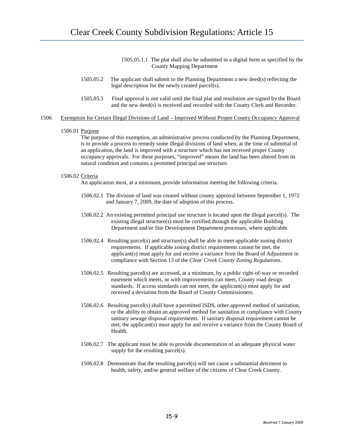- 1505.05.1.1 The plat shall also be submitted in a digital form as specified by the County Mapping Department
- 1505.05.2 The applicant shall submit to the Planning Department a new deed(s) reflecting the legal description for the newly created parcel(s).
- 1505.05.3 Final approval is not valid until the final plat and resolution are signed by the Board and the new deed(s) is received and recorded with the County Clerk and Recorder.

### 1506 Exemption for Certain Illegal Divisions of Land – Improved Without Proper County Occupancy Approval

### 1506.01 Purpose

The purpose of this exemption, an administrative process conducted by the Planning Department, is to provide a process to remedy some illegal divisions of land when, at the time of submittal of an application, the land is improved with a structure which has not received proper County occupancy approvals. For these purposes, "improved" means the land has been altered from its natural condition and contains a permitted principal use structure.

### 1506.02 Criteria

An application must, at a minimum, provide information meeting the following criteria.

- 1506.02.1 The division of land was created without county approval between September 1, 1972 and January 7, 2009, the date of adoption of this process.
- 1506.02.2 An existing permitted principal use structure is located upon the illegal parcel(s). The existing illegal structure(s) must be certified through the applicable Building Department and/or Site Development Department processes, where applicable.
- 1506.02.4 Resulting parcel(s) and structure(s) shall be able to meet applicable zoning district requirements. If applicable zoning district requirements cannot be met, the applicant(s) must apply for and receive a variance from the Board of Adjustment in compliance with Section 13 of the *Clear Creek County Zoning Regulations*.
- 1506.02.5 Resulting parcel(s) are accessed, at a minimum, by a public right-of-way or recorded easement which meets, or with improvements can meet, County road design standards. If access standards can not meet, the applicant(s) must apply for and received a deviation from the Board of County Commissioners.
- 1506.02.6 Resulting parcel(s) shall have a permitted ISDS, other approved method of sanitation, or the ability to obtain an approved method for sanitation in compliance with County sanitary sewage disposal requirements. If sanitary disposal requirement cannot be met, the applicant(s) must apply for and receive a variance from the County Board of Health.
- 1506.02.7 The applicant must be able to provide documentation of an adequate physical water supply for the resulting parcel(s).
- 1506.02.8 Demonstrate that the resulting parcel(s) will not cause a substantial detriment to health, safety, and/or general welfare of the citizens of Clear Creek County.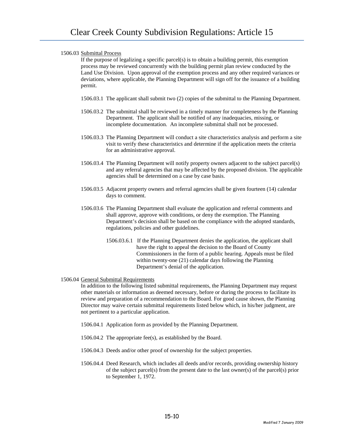## 1506.03 Submittal Process

If the purpose of legalizing a specific parcel(s) is to obtain a building permit, this exemption process may be reviewed concurrently with the building permit plan review conducted by the Land Use Division. Upon approval of the exemption process and any other required variances or deviations, where applicable, the Planning Department will sign off for the issuance of a building permit.

- 1506.03.1 The applicant shall submit two (2) copies of the submittal to the Planning Department.
- 1506.03.2 The submittal shall be reviewed in a timely manner for completeness by the Planning Department. The applicant shall be notified of any inadequacies, missing, or incomplete documentation. An incomplete submittal shall not be processed.
- 1506.03.3 The Planning Department will conduct a site characteristics analysis and perform a site visit to verify these characteristics and determine if the application meets the criteria for an administrative approval.
- 1506.03.4 The Planning Department will notify property owners adjacent to the subject parcel(s) and any referral agencies that may be affected by the proposed division. The applicable agencies shall be determined on a case by case basis.
- 1506.03.5 Adjacent property owners and referral agencies shall be given fourteen (14) calendar days to comment.
- 1506.03.6 The Planning Department shall evaluate the application and referral comments and shall approve, approve with conditions, or deny the exemption. The Planning Department's decision shall be based on the compliance with the adopted standards, regulations, policies and other guidelines.
	- 1506.03.6.1 If the Planning Department denies the application, the applicant shall have the right to appeal the decision to the Board of County Commissioners in the form of a public hearing. Appeals must be filed within twenty-one (21) calendar days following the Planning Department's denial of the application.

### 1506.04 General Submittal Requirements

In addition to the following listed submittal requirements, the Planning Department may request other materials or information as deemed necessary, before or during the process to facilitate its review and preparation of a recommendation to the Board. For good cause shown, the Planning Director may waive certain submittal requirements listed below which, in his/her judgment, are not pertinent to a particular application.

- 1506.04.1 Application form as provided by the Planning Department.
- 1506.04.2 The appropriate fee(s), as established by the Board.
- 1506.04.3 Deeds and/or other proof of ownership for the subject properties.
- 1506.04.4 Deed Research, which includes all deeds and/or records, providing ownership history of the subject parcel(s) from the present date to the last owner(s) of the parcel(s) prior to September 1, 1972.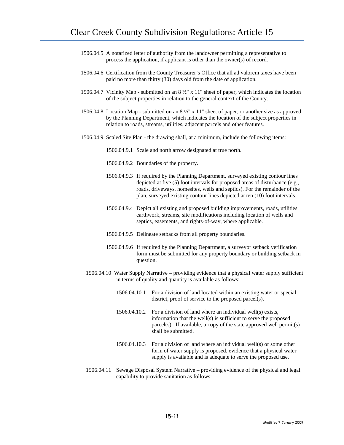- 1506.04.5 A notarized letter of authority from the landowner permitting a representative to process the application, if applicant is other than the owner(s) of record.
- 1506.04.6 Certification from the County Treasurer's Office that all ad valorem taxes have been paid no more than thirty (30) days old from the date of application.
- 1506.04.7 Vicinity Map submitted on an 8 ½" x 11" sheet of paper, which indicates the location of the subject properties in relation to the general context of the County.
- 1506.04.8 Location Map submitted on an 8 ½" x 11" sheet of paper, or another size as approved by the Planning Department, which indicates the location of the subject properties in relation to roads, streams, utilities, adjacent parcels and other features.
- 1506.04.9 Scaled Site Plan the drawing shall, at a minimum, include the following items:
	- 1506.04.9.1 Scale and north arrow designated at true north.
	- 1506.04.9.2 Boundaries of the property.
	- 1506.04.9.3 If required by the Planning Department, surveyed existing contour lines depicted at five (5) foot intervals for proposed areas of disturbance (e.g., roads, driveways, homesites, wells and septics). For the remainder of the plan, surveyed existing contour lines depicted at ten (10) foot intervals.
	- 1506.04.9.4 Depict all existing and proposed building improvements, roads, utilities, earthwork, streams, site modifications including location of wells and septics, easements, and rights-of-way, where applicable.
	- 1506.04.9.5 Delineate setbacks from all property boundaries.
	- 1506.04.9.6 If required by the Planning Department, a surveyor setback verification form must be submitted for any property boundary or building setback in question.
	- 1506.04.10 Water Supply Narrative providing evidence that a physical water supply sufficient in terms of quality and quantity is available as follows:
		- 1506.04.10.1 For a division of land located within an existing water or special district, proof of service to the proposed parcel(s).
		- 1506.04.10.2 For a division of land where an individual well(s) exists, information that the well(s) is sufficient to serve the proposed parcel(s). If available, a copy of the state approved well permit(s) shall be submitted.
		- 1506.04.10.3 For a division of land where an individual well(s) or some other form of water supply is proposed, evidence that a physical water supply is available and is adequate to serve the proposed use.
	- 1506.04.11 Sewage Disposal System Narrative providing evidence of the physical and legal capability to provide sanitation as follows: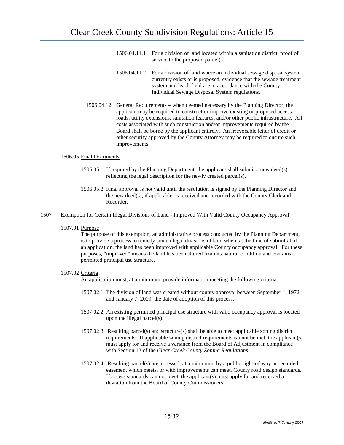- 1506.04.11.1 For a division of land located within a sanitation district, proof of service to the proposed parcel(s).
- 1506.04.11.2 For a division of land where an individual sewage disposal system currently exists or is proposed, evidence that the sewage treatment system and leach field are in accordance with the County Individual Sewage Disposal System regulations.
- 1506.04.12 General Requirements when deemed necessary by the Planning Director, the applicant may be required to construct or improve existing or proposed access roads, utility extensions, sanitation features, and/or other public infrastructure. All costs associated with such construction and/or improvements required by the Board shall be borne by the applicant entirely. An irrevocable letter of credit or other security approved by the County Attorney may be required to ensure such improvements.

### 1506.05 Final Documents

- 1506.05.1 If required by the Planning Department, the applicant shall submit a new deed(s) reflecting the legal description for the newly created parcel(s).
- 1506.05.2 Final approval is not valid until the resolution is signed by the Planning Director and the new deed(s), if applicable, is received and recorded with the County Clerk and Recorder.

#### 1507 Exemption for Certain Illegal Divisions of Land - Improved With Valid County Occupancy Approval

1507.01 Purpose

The purpose of this exemption, an administrative process conducted by the Planning Department, is to provide a process to remedy some illegal divisions of land when, at the time of submittal of an application, the land has been improved with applicable County occupancy approval. For these purposes, "improved" means the land has been altered from its natural condition and contains a permitted principal use structure.

### 1507.02 Criteria

An application must, at a minimum, provide information meeting the following criteria.

- 1507.02.1 The division of land was created without county approval between September 1, 1972 and January 7, 2009, the date of adoption of this process.
- 1507.02.2 An existing permitted principal use structure with valid occupancy approval is located upon the illegal parcel(s).
- 1507.02.3 Resulting parcel(s) and structure(s) shall be able to meet applicable zoning district requirements. If applicable zoning district requirements cannot be met, the applicant(s) must apply for and receive a variance from the Board of Adjustment in compliance with Section 13 of the *Clear Creek County Zoning Regulations*.
- 1507.02.4 Resulting parcel(s) are accessed, at a minimum, by a public right-of-way or recorded easement which meets, or with improvements can meet, County road design standards. If access standards can not meet, the applicant(s) must apply for and received a deviation from the Board of County Commissioners.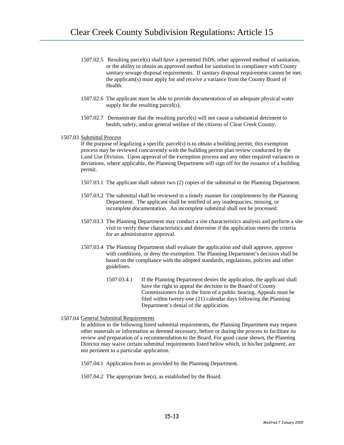- 1507.02.5 Resulting parcel(s) shall have a permitted ISDS, other approved method of sanitation, or the ability to obtain an approved method for sanitation in compliance with County sanitary sewage disposal requirements. If sanitary disposal requirement cannot be met, the applicant(s) must apply for and receive a variance from the County Board of Health.
- 1507.02.6 The applicant must be able to provide documentation of an adequate physical water supply for the resulting parcel(s).
- 1507.02.7 Demonstrate that the resulting parcel(s) will not cause a substantial detriment to health, safety, and/or general welfare of the citizens of Clear Creek County.

## 1507.03 Submittal Process

If the purpose of legalizing a specific parcel(s) is to obtain a building permit, this exemption process may be reviewed concurrently with the building permit plan review conducted by the Land Use Division. Upon approval of the exemption process and any other required variances or deviations, where applicable, the Planning Department will sign off for the issuance of a building permit.

- 1507.03.1 The applicant shall submit two (2) copies of the submittal to the Planning Department.
- 1507.03.2 The submittal shall be reviewed in a timely manner for completeness by the Planning Department. The applicant shall be notified of any inadequacies, missing, or incomplete documentation. An incomplete submittal shall not be processed.
- 1507.03.3 The Planning Department may conduct a site characteristics analysis and perform a site visit to verify these characteristics and determine if the application meets the criteria for an administrative approval.
- 1507.03.4 The Planning Department shall evaluate the application and shall approve, approve with conditions, or deny the exemption. The Planning Department's decision shall be based on the compliance with the adopted standards, regulations, policies and other guidelines.
	- 1507.03.4.1 If the Planning Department denies the application, the applicant shall have the right to appeal the decision to the Board of County Commissioners for in the form of a public hearing. Appeals must be filed within twenty-one (21) calendar days following the Planning Department's denial of the application.

### 1507.04 General Submittal Requirements

In addition to the following listed submittal requirements, the Planning Department may request other materials or information as deemed necessary, before or during the process to facilitate its review and preparation of a recommendation to the Board. For good cause shown, the Planning Director may waive certain submittal requirements listed below which, in his/her judgment, are not pertinent to a particular application.

1507.04.1 Application form as provided by the Planning Department.

1507.04.2 The appropriate fee(s), as established by the Board.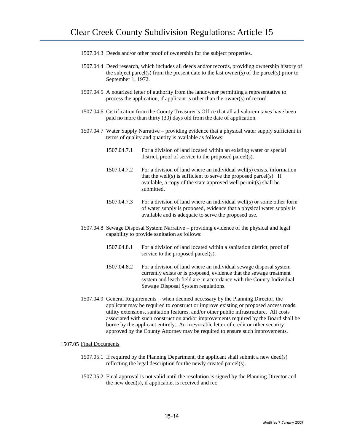- 1507.04.3 Deeds and/or other proof of ownership for the subject properties.
- 1507.04.4 Deed research, which includes all deeds and/or records, providing ownership history of the subject parcel(s) from the present date to the last owner(s) of the parcel(s) prior to September 1, 1972.
- 1507.04.5 A notarized letter of authority from the landowner permitting a representative to process the application, if applicant is other than the owner(s) of record.
- 1507.04.6 Certification from the County Treasurer's Office that all ad valorem taxes have been paid no more than thirty (30) days old from the date of application.
- 1507.04.7 Water Supply Narrative providing evidence that a physical water supply sufficient in terms of quality and quantity is available as follows:
	- 1507.04.7.1 For a division of land located within an existing water or special district, proof of service to the proposed parcel(s).
	- 1507.04.7.2 For a division of land where an individual well(s) exists, information that the well(s) is sufficient to serve the proposed parcel(s). If available, a copy of the state approved well permit(s) shall be submitted.
	- 1507.04.7.3 For a division of land where an individual well(s) or some other form of water supply is proposed, evidence that a physical water supply is available and is adequate to serve the proposed use.
- 1507.04.8 Sewage Disposal System Narrative providing evidence of the physical and legal capability to provide sanitation as follows:
	- 1507.04.8.1 For a division of land located within a sanitation district, proof of service to the proposed parcel(s).
	- 1507.04.8.2 For a division of land where an individual sewage disposal system currently exists or is proposed, evidence that the sewage treatment system and leach field are in accordance with the County Individual Sewage Disposal System regulations.
- 1507.04.9 General Requirements when deemed necessary by the Planning Director, the applicant may be required to construct or improve existing or proposed access roads, utility extensions, sanitation features, and/or other public infrastructure. All costs associated with such construction and/or improvements required by the Board shall be borne by the applicant entirely. An irrevocable letter of credit or other security approved by the County Attorney may be required to ensure such improvements.

### 1507.05 Final Documents

- 1507.05.1 If required by the Planning Department, the applicant shall submit a new deed(s) reflecting the legal description for the newly created parcel(s).
- 1507.05.2 Final approval is not valid until the resolution is signed by the Planning Director and the new deed(s), if applicable, is received and rec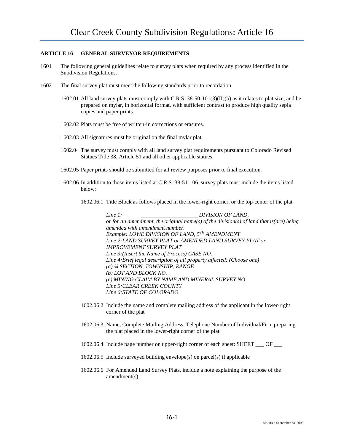## **ARTICLE 16 GENERAL SURVEYOR REQUIREMENTS**

- 1601 The following general guidelines relate to survey plats when required by any process identified in the Subdivision Regulations.
- 1602 The final survey plat must meet the following standards prior to recordation:
	- 1602.01 All land survey plats must comply with C.R.S. 38-50-101(3)(II)(b) as it relates to plat size, and be prepared on mylar, in horizontal format, with sufficient contrast to produce high quality sepia copies and paper prints.
	- 1602.02 Plats must be free of written-in corrections or erasures.
	- 1602.03 All signatures must be original on the final mylar plat.
	- 1602.04 The survey must comply with all land survey plat requirements pursuant to Colorado Revised Statues Title 38, Article 51 and all other applicable statues.
	- 1602.05 Paper prints should be submitted for all review purposes prior to final execution.
	- 1602.06 In addition to those items listed at C.R.S. 38-51-106, survey plats must include the items listed below:
		- 1602.06.1 Title Block as follows placed in the lower-right corner, or the top-center of the plat

*Line 1: DIVISION OF LAND, or for an amendment, the original name(s) of the division(s) of land that is(are) being amended with amendment number. Example: LOWE DIVISION OF LAND, 5TH AMENDMENT Line 2:LAND SURVEY PLAT or AMENDED LAND SURVEY PLAT or IMPROVEMENT SURVEY PLAT Line 3:(Insert the Name of Process) CASE NO. Line 4:Brief legal description of all property affected: (Choose one) (a) ¼ SECTION, TOWNSHIP, RANGE (b) LOT AND BLOCK NO. (c) MINING CLAIM BY NAME AND MINERAL SURVEY NO. Line 5:CLEAR CREEK COUNTY Line 6:STATE OF COLORADO*

- 1602.06.2 Include the name and complete mailing address of the applicant in the lower-right corner of the plat
- 1602.06.3 Name, Complete Mailing Address, Telephone Number of Individual/Firm preparing the plat placed in the lower-right corner of the plat
- 1602.06.4 Include page number on upper-right corner of each sheet: SHEET \_\_\_ OF \_\_\_
- 1602.06.5 Include surveyed building envelope(s) on parcel(s) if applicable
- 1602.06.6 For Amended Land Survey Plats, include a note explaining the purpose of the amendment(s).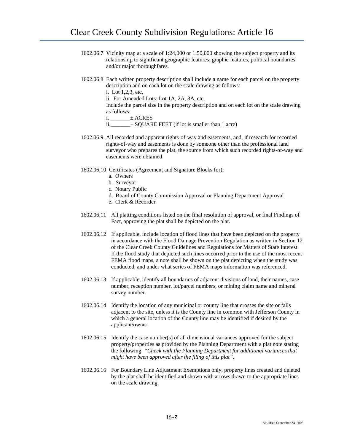- 1602.06.7 Vicinity map at a scale of 1:24,000 or 1:50,000 showing the subject property and its relationship to significant geographic features, graphic features, political boundaries and/or major thoroughfares.
- 1602.06.8 Each written property description shall include a name for each parcel on the property description and on each lot on the scale drawing as follows:

i. Lot 1,2,3, etc.

ii. For Amended Lots: Lot 1A, 2A, 3A, etc.

Include the parcel size in the property description and on each lot on the scale drawing as follows:

 $i. \_\_\_\_\\pm$  ACRES

ii.\_\_\_\_\_\_\_± SQUARE FEET (if lot is smaller than 1 acre)

- 1602.06.9 All recorded and apparent rights-of-way and easements, and, if research for recorded rights-of-way and easements is done by someone other than the professional land surveyor who prepares the plat, the source from which such recorded rights-of-way and easements were obtained
- 1602.06.10 Certificates (Agreement and Signature Blocks for):
	- a. Owners
	- b. Surveyor
	- c. Notary Public
	- d. Board of County Commission Approval or Planning Department Approval
	- e. Clerk & Recorder
- 1602.06.11 All platting conditions listed on the final resolution of approval, or final Findings of Fact, approving the plat shall be depicted on the plat.
- 1602.06.12 If applicable, include location of flood lines that have been depicted on the property in accordance with the Flood Damage Prevention Regulation as written in Section 12 of the Clear Creek County Guidelines and Regulations for Matters of State Interest. If the flood study that depicted such lines occurred prior to the use of the most recent FEMA flood maps, a note shall be shown on the plat depicting when the study was conducted, and under what series of FEMA maps information was referenced.
- 1602.06.13 If applicable, identify all boundaries of adjacent divisions of land, their names, case number, reception number, lot/parcel numbers, or mining claim name and mineral survey number.
- 1602.06.14 Identify the location of any municipal or county line that crosses the site or falls adjacent to the site, unless it is the County line in common with Jefferson County in which a general location of the County line may be identified if desired by the applicant/owner.
- 1602.06.15 Identify the case number(s) of all dimensional variances approved for the subject property/properties as provided by the Planning Department with a plat note stating the following: *"Check with the Planning Department for additional variances that might have been approved after the filing of this plat"*.
- 1602.06.16 For Boundary Line Adjustment Exemptions only, property lines created and deleted by the plat shall be identified and shown with arrows drawn to the appropriate lines on the scale drawing.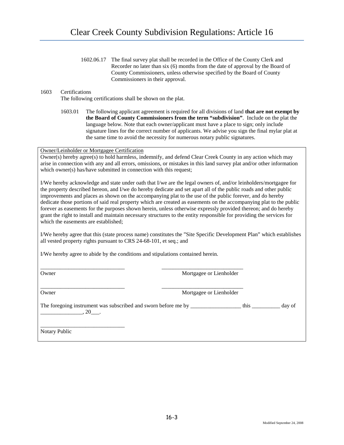1602.06.17 The final survey plat shall be recorded in the Office of the County Clerk and Recorder no later than six (6) months from the date of approval by the Board of County Commissioners, unless otherwise specified by the Board of County Commissioners in their approval.

# 1603 Certifications

The following certifications shall be shown on the plat.

1603.01 The following applicant agreement is required for all divisions of land **that are not exempt by the Board of County Commissioners from the term "subdivision"**. Include on the plat the language below. Note that each owner/applicant must have a place to sign; only include signature lines for the correct number of applicants. We advise you sign the final mylar plat at the same time to avoid the necessity for numerous notary public signatures.

Owner/Leinholder or Mortgagee Certification

Owner(s) hereby agree(s) to hold harmless, indemnify, and defend Clear Creek County in any action which may arise in connection with any and all errors, omissions, or mistakes in this land survey plat and/or other information which owner(s) has/have submitted in connection with this request;

I/We hereby acknowledge and state under oath that I/we are the legal owners of, and/or leinholders/mortgagee for the property described hereon, and I/we do hereby dedicate and set apart all of the public roads and other public improvements and places as shown on the accompanying plat to the use of the public forever, and do hereby dedicate those portions of said real property which are created as easements on the accompanying plat to the public forever as easements for the purposes shown herein, unless otherwise expressly provided thereon; and do hereby grant the right to install and maintain necessary structures to the entity responsible for providing the services for which the easements are established;

I/We hereby agree that this (state process name) constitutes the "Site Specific Development Plan" which establishes all vested property rights pursuant to CRS 24-68-101, et seq.; and

I/We hereby agree to abide by the conditions and stipulations contained herein.

\_\_\_\_\_\_\_\_\_\_\_\_\_\_\_\_\_\_\_\_\_\_\_\_\_\_\_\_\_\_ \_\_\_\_\_\_\_\_\_\_\_\_\_\_\_\_\_\_\_\_\_\_\_\_\_\_\_\_\_

Owner Mortgagee or Lienholder

\_\_\_\_\_\_\_\_\_\_\_\_\_\_\_\_\_\_\_\_\_\_\_\_\_\_\_\_\_\_ \_\_\_\_\_\_\_\_\_\_\_\_\_\_\_\_\_\_\_\_\_\_\_\_\_\_\_\_\_

Owner **Communister Communist Communist Communist Communist Communist Communist Communist Communist Communist Communist Communist Communist Communist Communist Communist Communist Communist Communist Communist Communist Com** 

The foregoing instrument was subscribed and sworn before me by \_\_\_\_\_\_\_\_\_\_\_\_\_\_\_\_\_\_\_\_\_ this \_\_\_\_\_\_\_\_\_\_\_\_ day of  $\frac{1}{20}$ , 20 $\frac{1}{20}$ .

Notary Public

\_\_\_\_\_\_\_\_\_\_\_\_\_\_\_\_\_\_\_\_\_\_\_\_\_\_\_\_\_\_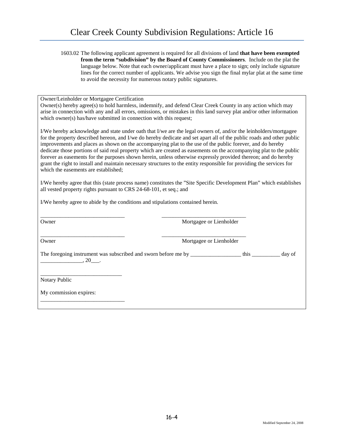| 1603.02 The following applicant agreement is required for all divisions of land that have been exempted |
|---------------------------------------------------------------------------------------------------------|
| from the term "subdivision" by the Board of County Commissioners. Include on the plat the               |
| language below. Note that each owner/applicant must have a place to sign; only include signature        |
| lines for the correct number of applicants. We advise you sign the final mylar plat at the same time    |
| to avoid the necessity for numerous notary public signatures.                                           |

Owner/Leinholder or Mortgagee Certification

Owner(s) hereby agree(s) to hold harmless, indemnify, and defend Clear Creek County in any action which may arise in connection with any and all errors, omissions, or mistakes in this land survey plat and/or other information which owner(s) has/have submitted in connection with this request;

I/We hereby acknowledge and state under oath that I/we are the legal owners of, and/or the leinholders/mortgagee for the property described hereon, and I/we do hereby dedicate and set apart all of the public roads and other public improvements and places as shown on the accompanying plat to the use of the public forever, and do hereby dedicate those portions of said real property which are created as easements on the accompanying plat to the public forever as easements for the purposes shown herein, unless otherwise expressly provided thereon; and do hereby grant the right to install and maintain necessary structures to the entity responsible for providing the services for which the easements are established;

I/We hereby agree that this (state process name) constitutes the "Site Specific Development Plan" which establishes all vested property rights pursuant to CRS 24-68-101, et seq.; and

I/We hereby agree to abide by the conditions and stipulations contained herein.

| Owner                                                                                        | Mortgagee or Lienholder |      |        |
|----------------------------------------------------------------------------------------------|-------------------------|------|--------|
| Owner                                                                                        | Mortgagee or Lienholder |      |        |
| The foregoing instrument was subscribed and sworn before me by _________________<br>$, 20$ . |                         | this | day of |
| Notary Public                                                                                |                         |      |        |
| My commission expires:                                                                       |                         |      |        |
|                                                                                              |                         |      |        |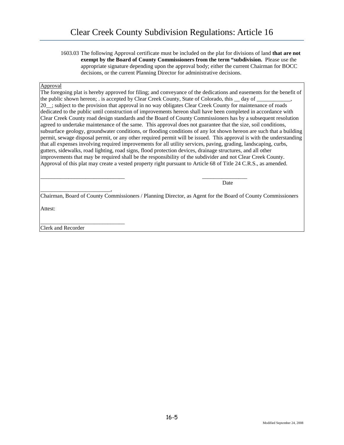1603.03 The following Approval certificate must be included on the plat for divisions of land **that are not exempt by the Board of County Commissioners from the term "subdivision.** Please use the appropriate signature depending upon the approval body; either the current Chairman for BOCC decisions, or the current Planning Director for administrative decisions.

### Approval

The foregoing plat is hereby approved for filing; and conveyance of the dedications and easements for the benefit of the public shown hereon; . is accepted by Clear Creek County, State of Colorado, this  $\_\text{day}$  of  $\_\text{day}$ 20\_\_; subject to the provision that approval in no way obligates Clear Creek County for maintenance of roads dedicated to the public until construction of improvements hereon shall have been completed in accordance with Clear Creek County road design standards and the Board of County Commissioners has by a subsequent resolution agreed to undertake maintenance of the same. This approval does not guarantee that the size, soil conditions, subsurface geology, groundwater conditions, or flooding conditions of any lot shown hereon are such that a building permit, sewage disposal permit, or any other required permit will be issued. This approval is with the understanding that all expenses involving required improvements for all utility services, paving, grading, landscaping, curbs, gutters, sidewalks, road lighting, road signs, flood protection devices, drainage structures, and all other improvements that may be required shall be the responsibility of the subdivider and not Clear Creek County. Approval of this plat may create a vested property right pursuant to Article 68 of Title 24 C.R.S., as amended.

\_\_\_\_\_\_\_\_\_\_\_\_\_\_\_\_\_\_\_\_\_\_\_\_\_\_\_\_\_\_ \_\_\_\_\_\_\_\_\_\_\_\_\_\_\_\_ Date

\_\_\_\_\_\_\_\_\_\_\_\_\_\_\_\_\_\_\_\_\_\_\_\_\_, Chairman, Board of County Commissioners / Planning Director, as Agent for the Board of County Commissioners

Attest:

\_\_\_\_\_\_\_\_\_\_\_\_\_\_\_\_\_\_\_\_\_\_\_\_\_\_\_\_\_\_ Clerk and Recorder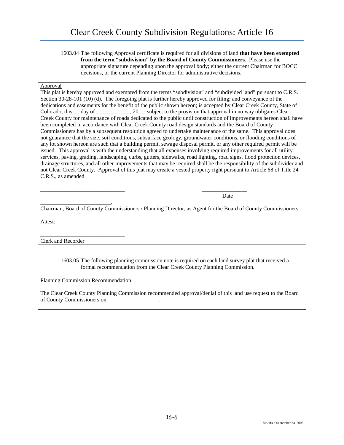1603.04 The following Approval certificate is required for all divisions of land **that have been exempted from the term "subdivision" by the Board of County Commissioners**. Please use the appropriate signature depending upon the approval body; either the current Chairman for BOCC decisions, or the current Planning Director for administrative decisions.

# Approval

This plat is hereby approved and exempted from the terms "subdivision" and "subdivided land" pursuant to C.R.S. Section 30-28-101 (10) (d). The foregoing plat is further hereby approved for filing; and conveyance of the dedications and easements for the benefit of the public shown hereon; is accepted by Clear Creek County, State of Colorado, this \_\_ day of \_\_\_\_\_\_\_\_\_, 20\_\_; subject to the provision that approval in no way obligates Clear Creek County for maintenance of roads dedicated to the public until construction of improvements hereon shall have been completed in accordance with Clear Creek County road design standards and the Board of County Commissioners has by a subsequent resolution agreed to undertake maintenance of the same. This approval does not guarantee that the size, soil conditions, subsurface geology, groundwater conditions, or flooding conditions of any lot shown hereon are such that a building permit, sewage disposal permit, or any other required permit will be issued. This approval is with the understanding that all expenses involving required improvements for all utility services, paving, grading, landscaping, curbs, gutters, sidewalks, road lighting, road signs, flood protection devices, drainage structures, and all other improvements that may be required shall be the responsibility of the subdivider and not Clear Creek County. Approval of this plat may create a vested property right pursuant to Article 68 of Title 24 C.R.S., as amended.

 $\overline{\phantom{a}}$  , and the contract of the contract of the contract of the contract of the contract of the contract of the contract of the contract of the contract of the contract of the contract of the contract of the contrac Date

Chairman, Board of County Commissioners / Planning Director, as Agent for the Board of County Commissioners

Attest:

\_\_\_\_\_\_\_\_\_\_\_\_\_\_\_\_\_\_\_\_\_\_\_\_\_\_\_\_\_\_ Clerk and Recorder

\_\_\_\_\_\_\_\_\_\_\_\_\_\_\_\_\_\_\_\_\_\_\_\_\_,

1603.05 The following planning commission note is required on each land survey plat that received a formal recommendation from the Clear Creek County Planning Commission.

Planning Commission Recommendation

The Clear Creek County Planning Commission recommended approval/denial of this land use request to the Board of County Commissioners on \_\_\_\_\_\_\_\_\_\_\_\_\_\_\_\_\_\_.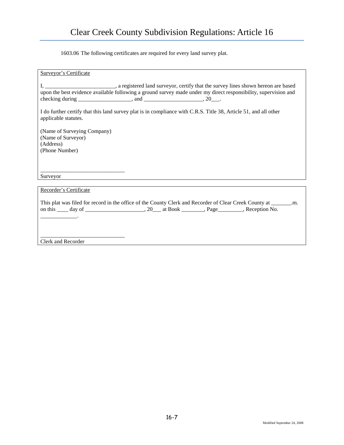1603.06 The following certificates are required for every land survey plat.

| Surveyor's Certificate                                                                                                                                                                                                                   |
|------------------------------------------------------------------------------------------------------------------------------------------------------------------------------------------------------------------------------------------|
| I, ________________________________, a registered land surveyor, certify that the survey lines shown hereon are based<br>upon the best evidence available following a ground survey made under my direct responsibility, supervision and |
| I do further certify that this land survey plat is in compliance with C.R.S. Title 38, Article 51, and all other<br>applicable statutes.                                                                                                 |
| (Name of Surveying Company)<br>(Name of Surveyor)<br>(Address)<br>(Phone Number)                                                                                                                                                         |
| Surveyor                                                                                                                                                                                                                                 |
| Recorder's Certificate                                                                                                                                                                                                                   |

This plat was filed for record in the office of the County Clerk and Recorder of Clear Creek County at \_\_\_\_\_\_\_.m. on this \_\_\_\_ day of \_\_\_\_\_\_\_\_\_\_\_\_\_\_\_\_\_\_\_, 20\_\_\_ at Book \_\_\_\_\_\_\_, Page\_\_\_\_\_\_\_\_, Reception No.

\_\_\_\_\_\_\_\_\_\_\_\_\_\_\_\_\_\_\_\_\_\_\_\_\_\_\_\_\_\_ Clerk and Recorder

 $\overline{\phantom{a}}$  . The contract of the contract of  $\overline{\phantom{a}}$